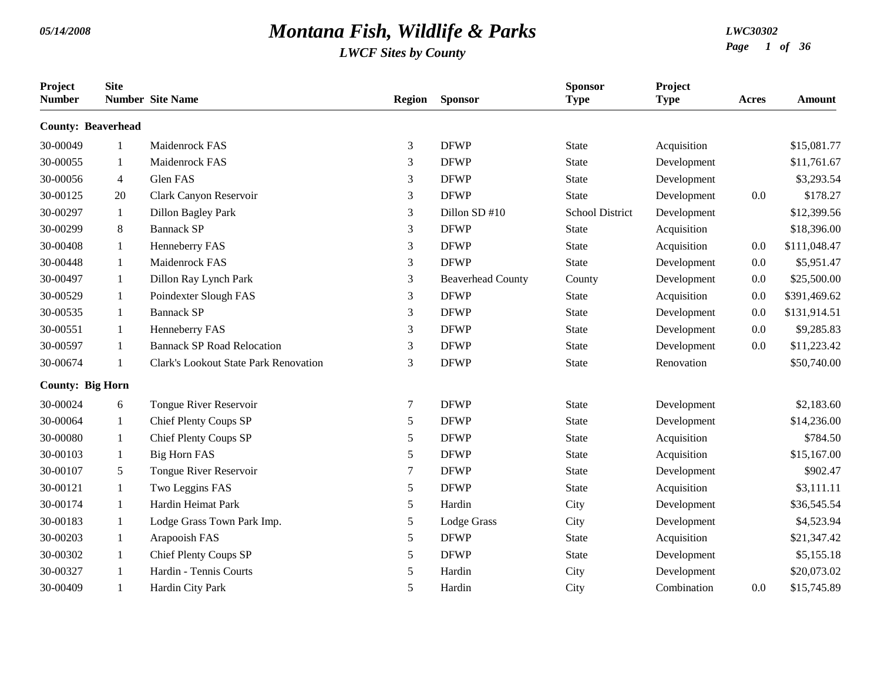| Project<br><b>Number</b>  | <b>Site</b>  | <b>Number</b> Site Name                      | <b>Region</b>  | <b>Sponsor</b>           | <b>Sponsor</b><br><b>Type</b> | Project<br><b>Type</b> | Acres | Amount       |
|---------------------------|--------------|----------------------------------------------|----------------|--------------------------|-------------------------------|------------------------|-------|--------------|
| <b>County: Beaverhead</b> |              |                                              |                |                          |                               |                        |       |              |
| 30-00049                  | 1            | Maidenrock FAS                               | $\mathfrak{Z}$ | <b>DFWP</b>              | State                         | Acquisition            |       | \$15,081.77  |
| 30-00055                  | 1            | Maidenrock FAS                               | 3              | <b>DFWP</b>              | <b>State</b>                  | Development            |       | \$11,761.67  |
| 30-00056                  | 4            | Glen FAS                                     | 3              | <b>DFWP</b>              | <b>State</b>                  | Development            |       | \$3,293.54   |
| 30-00125                  | 20           | Clark Canyon Reservoir                       | 3              | <b>DFWP</b>              | <b>State</b>                  | Development            | 0.0   | \$178.27     |
| 30-00297                  | 1            | <b>Dillon Bagley Park</b>                    | 3              | Dillon SD #10            | <b>School District</b>        | Development            |       | \$12,399.56  |
| 30-00299                  | 8            | <b>Bannack SP</b>                            | 3              | <b>DFWP</b>              | <b>State</b>                  | Acquisition            |       | \$18,396.00  |
| 30-00408                  | 1            | Henneberry FAS                               | 3              | <b>DFWP</b>              | <b>State</b>                  | Acquisition            | 0.0   | \$111,048.47 |
| 30-00448                  | $\mathbf{1}$ | Maidenrock FAS                               | 3              | <b>DFWP</b>              | <b>State</b>                  | Development            | 0.0   | \$5,951.47   |
| 30-00497                  | 1            | Dillon Ray Lynch Park                        | $\mathfrak{Z}$ | <b>Beaverhead County</b> | County                        | Development            | 0.0   | \$25,500.00  |
| 30-00529                  | $\mathbf{1}$ | Poindexter Slough FAS                        | 3              | <b>DFWP</b>              | <b>State</b>                  | Acquisition            | 0.0   | \$391,469.62 |
| 30-00535                  | $\mathbf{1}$ | <b>Bannack SP</b>                            | 3              | <b>DFWP</b>              | <b>State</b>                  | Development            | 0.0   | \$131,914.51 |
| 30-00551                  | 1            | Henneberry FAS                               | $\mathfrak{Z}$ | <b>DFWP</b>              | <b>State</b>                  | Development            | 0.0   | \$9,285.83   |
| 30-00597                  | 1            | <b>Bannack SP Road Relocation</b>            | 3              | <b>DFWP</b>              | <b>State</b>                  | Development            | 0.0   | \$11,223.42  |
| 30-00674                  | $\mathbf{1}$ | <b>Clark's Lookout State Park Renovation</b> | 3              | <b>DFWP</b>              | <b>State</b>                  | Renovation             |       | \$50,740.00  |
| <b>County: Big Horn</b>   |              |                                              |                |                          |                               |                        |       |              |
| 30-00024                  | 6            | Tongue River Reservoir                       | 7              | <b>DFWP</b>              | <b>State</b>                  | Development            |       | \$2,183.60   |
| 30-00064                  | 1            | Chief Plenty Coups SP                        | 5              | <b>DFWP</b>              | <b>State</b>                  | Development            |       | \$14,236.00  |
| 30-00080                  | $\mathbf{1}$ | Chief Plenty Coups SP                        | 5              | <b>DFWP</b>              | <b>State</b>                  | Acquisition            |       | \$784.50     |
| 30-00103                  | $\mathbf{1}$ | <b>Big Horn FAS</b>                          | 5              | <b>DFWP</b>              | <b>State</b>                  | Acquisition            |       | \$15,167.00  |
| 30-00107                  | 5            | Tongue River Reservoir                       | $\tau$         | <b>DFWP</b>              | <b>State</b>                  | Development            |       | \$902.47     |
| 30-00121                  | 1            | Two Leggins FAS                              | 5              | <b>DFWP</b>              | <b>State</b>                  | Acquisition            |       | \$3,111.11   |
| 30-00174                  | $\mathbf{1}$ | Hardin Heimat Park                           | 5              | Hardin                   | City                          | Development            |       | \$36,545.54  |
| 30-00183                  | 1            | Lodge Grass Town Park Imp.                   | 5              | Lodge Grass              | City                          | Development            |       | \$4,523.94   |
| 30-00203                  | $\mathbf{1}$ | Arapooish FAS                                | 5              | <b>DFWP</b>              | <b>State</b>                  | Acquisition            |       | \$21,347.42  |
| 30-00302                  | 1            | Chief Plenty Coups SP                        | 5              | <b>DFWP</b>              | <b>State</b>                  | Development            |       | \$5,155.18   |
| 30-00327                  | 1            | Hardin - Tennis Courts                       | 5              | Hardin                   | City                          | Development            |       | \$20,073.02  |
| 30-00409                  | 1            | Hardin City Park                             | 5              | Hardin                   | City                          | Combination            | 0.0   | \$15,745.89  |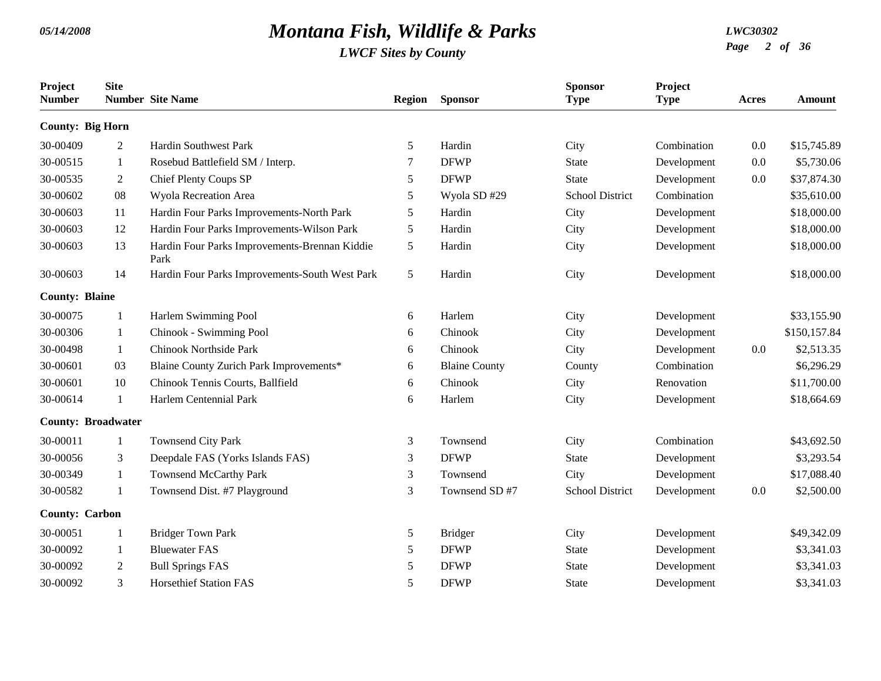| Project<br><b>Number</b>  | <b>Site</b>  | <b>Number</b> Site Name                               | <b>Region</b> | <b>Sponsor</b>       | <b>Sponsor</b><br><b>Type</b> | Project<br><b>Type</b> | Acres | <b>Amount</b> |
|---------------------------|--------------|-------------------------------------------------------|---------------|----------------------|-------------------------------|------------------------|-------|---------------|
| <b>County: Big Horn</b>   |              |                                                       |               |                      |                               |                        |       |               |
| 30-00409                  | 2            | <b>Hardin Southwest Park</b>                          | 5             | Hardin               | City                          | Combination            | 0.0   | \$15,745.89   |
| 30-00515                  | 1            | Rosebud Battlefield SM / Interp.                      | 7             | <b>DFWP</b>          | <b>State</b>                  | Development            | 0.0   | \$5,730.06    |
| 30-00535                  | 2            | Chief Plenty Coups SP                                 | 5             | <b>DFWP</b>          | <b>State</b>                  | Development            | 0.0   | \$37,874.30   |
| 30-00602                  | 08           | Wyola Recreation Area                                 | 5             | Wyola SD#29          | <b>School District</b>        | Combination            |       | \$35,610.00   |
| 30-00603                  | 11           | Hardin Four Parks Improvements-North Park             | 5             | Hardin               | City                          | Development            |       | \$18,000.00   |
| 30-00603                  | 12           | Hardin Four Parks Improvements-Wilson Park            | 5             | Hardin               | City                          | Development            |       | \$18,000.00   |
| 30-00603                  | 13           | Hardin Four Parks Improvements-Brennan Kiddie<br>Park | $\mathfrak s$ | Hardin               | City                          | Development            |       | \$18,000.00   |
| 30-00603                  | 14           | Hardin Four Parks Improvements-South West Park        | $\mathfrak s$ | Hardin               | City                          | Development            |       | \$18,000.00   |
| <b>County: Blaine</b>     |              |                                                       |               |                      |                               |                        |       |               |
| 30-00075                  | 1            | Harlem Swimming Pool                                  | 6             | Harlem               | City                          | Development            |       | \$33,155.90   |
| 30-00306                  | 1            | Chinook - Swimming Pool                               | 6             | Chinook              | City                          | Development            |       | \$150,157.84  |
| 30-00498                  | 1            | <b>Chinook Northside Park</b>                         | 6             | Chinook              | City                          | Development            | 0.0   | \$2,513.35    |
| 30-00601                  | 03           | Blaine County Zurich Park Improvements*               | 6             | <b>Blaine County</b> | County                        | Combination            |       | \$6,296.29    |
| 30-00601                  | 10           | Chinook Tennis Courts, Ballfield                      | 6             | Chinook              | City                          | Renovation             |       | \$11,700.00   |
| 30-00614                  | $\mathbf{1}$ | Harlem Centennial Park                                | 6             | Harlem               | City                          | Development            |       | \$18,664.69   |
| <b>County: Broadwater</b> |              |                                                       |               |                      |                               |                        |       |               |
| 30-00011                  | -1           | <b>Townsend City Park</b>                             | 3             | Townsend             | City                          | Combination            |       | \$43,692.50   |
| 30-00056                  | 3            | Deepdale FAS (Yorks Islands FAS)                      | 3             | <b>DFWP</b>          | <b>State</b>                  | Development            |       | \$3,293.54    |
| 30-00349                  | 1            | <b>Townsend McCarthy Park</b>                         | 3             | Townsend             | City                          | Development            |       | \$17,088.40   |
| 30-00582                  | 1            | Townsend Dist. #7 Playground                          | 3             | Townsend SD #7       | <b>School District</b>        | Development            | 0.0   | \$2,500.00    |
| <b>County: Carbon</b>     |              |                                                       |               |                      |                               |                        |       |               |
| 30-00051                  |              | <b>Bridger Town Park</b>                              | 5             | <b>Bridger</b>       | City                          | Development            |       | \$49,342.09   |
| 30-00092                  | 1            | <b>Bluewater FAS</b>                                  | 5             | <b>DFWP</b>          | <b>State</b>                  | Development            |       | \$3,341.03    |
| 30-00092                  | 2            | <b>Bull Springs FAS</b>                               | 5             | <b>DFWP</b>          | <b>State</b>                  | Development            |       | \$3,341.03    |
| 30-00092                  | 3            | <b>Horsethief Station FAS</b>                         | 5             | <b>DFWP</b>          | <b>State</b>                  | Development            |       | \$3,341.03    |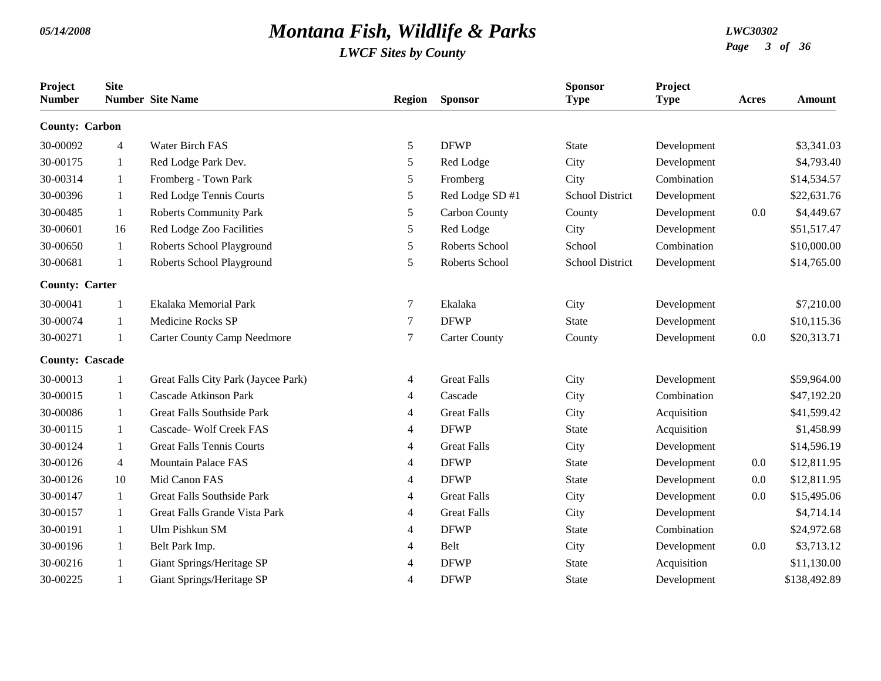| Project<br><b>Number</b> | <b>Site</b>    | <b>Number</b> Site Name             | <b>Region</b>  | <b>Sponsor</b>       | <b>Sponsor</b><br><b>Type</b> | Project<br><b>Type</b> | Acres   | <b>Amount</b> |
|--------------------------|----------------|-------------------------------------|----------------|----------------------|-------------------------------|------------------------|---------|---------------|
| <b>County: Carbon</b>    |                |                                     |                |                      |                               |                        |         |               |
| 30-00092                 | $\overline{4}$ | Water Birch FAS                     | 5              | <b>DFWP</b>          | <b>State</b>                  | Development            |         | \$3,341.03    |
| 30-00175                 | 1              | Red Lodge Park Dev.                 | 5              | Red Lodge            | City                          | Development            |         | \$4,793.40    |
| 30-00314                 | 1              | Fromberg - Town Park                | 5              | Fromberg             | City                          | Combination            |         | \$14,534.57   |
| 30-00396                 | $\mathbf{1}$   | Red Lodge Tennis Courts             | 5              | Red Lodge SD #1      | <b>School District</b>        | Development            |         | \$22,631.76   |
| 30-00485                 | 1              | <b>Roberts Community Park</b>       | 5              | Carbon County        | County                        | Development            | 0.0     | \$4,449.67    |
| 30-00601                 | 16             | Red Lodge Zoo Facilities            | 5              | Red Lodge            | City                          | Development            |         | \$51,517.47   |
| 30-00650                 | $\mathbf{1}$   | Roberts School Playground           | 5              | Roberts School       | School                        | Combination            |         | \$10,000.00   |
| 30-00681                 | 1              | Roberts School Playground           | 5              | Roberts School       | <b>School District</b>        | Development            |         | \$14,765.00   |
| <b>County: Carter</b>    |                |                                     |                |                      |                               |                        |         |               |
| 30-00041                 | -1             | Ekalaka Memorial Park               | $\tau$         | Ekalaka              | City                          | Development            |         | \$7,210.00    |
| 30-00074                 | 1              | <b>Medicine Rocks SP</b>            | 7              | <b>DFWP</b>          | <b>State</b>                  | Development            |         | \$10,115.36   |
| 30-00271                 | -1             | <b>Carter County Camp Needmore</b>  | 7              | <b>Carter County</b> | County                        | Development            | $0.0\,$ | \$20,313.71   |
| <b>County: Cascade</b>   |                |                                     |                |                      |                               |                        |         |               |
| 30-00013                 | $\mathbf{1}$   | Great Falls City Park (Jaycee Park) | 4              | <b>Great Falls</b>   | City                          | Development            |         | \$59,964.00   |
| 30-00015                 | 1              | <b>Cascade Atkinson Park</b>        | 4              | Cascade              | City                          | Combination            |         | \$47,192.20   |
| 30-00086                 | -1             | <b>Great Falls Southside Park</b>   | 4              | <b>Great Falls</b>   | City                          | Acquisition            |         | \$41,599.42   |
| 30-00115                 | 1              | Cascade- Wolf Creek FAS             | 4              | <b>DFWP</b>          | <b>State</b>                  | Acquisition            |         | \$1,458.99    |
| 30-00124                 | $\mathbf{1}$   | <b>Great Falls Tennis Courts</b>    | 4              | <b>Great Falls</b>   | City                          | Development            |         | \$14,596.19   |
| 30-00126                 | $\overline{4}$ | <b>Mountain Palace FAS</b>          | 4              | <b>DFWP</b>          | <b>State</b>                  | Development            | 0.0     | \$12,811.95   |
| 30-00126                 | 10             | Mid Canon FAS                       | 4              | <b>DFWP</b>          | <b>State</b>                  | Development            | 0.0     | \$12,811.95   |
| 30-00147                 | 1              | <b>Great Falls Southside Park</b>   | 4              | <b>Great Falls</b>   | City                          | Development            | 0.0     | \$15,495.06   |
| 30-00157                 | 1              | Great Falls Grande Vista Park       | 4              | <b>Great Falls</b>   | City                          | Development            |         | \$4,714.14    |
| 30-00191                 | 1              | Ulm Pishkun SM                      | 4              | <b>DFWP</b>          | <b>State</b>                  | Combination            |         | \$24,972.68   |
| 30-00196                 | 1              | Belt Park Imp.                      | 4              | Belt                 | City                          | Development            | 0.0     | \$3,713.12    |
| 30-00216                 | 1              | Giant Springs/Heritage SP           | 4              | <b>DFWP</b>          | <b>State</b>                  | Acquisition            |         | \$11,130.00   |
| 30-00225                 | $\mathbf{1}$   | Giant Springs/Heritage SP           | $\overline{4}$ | <b>DFWP</b>          | <b>State</b>                  | Development            |         | \$138,492.89  |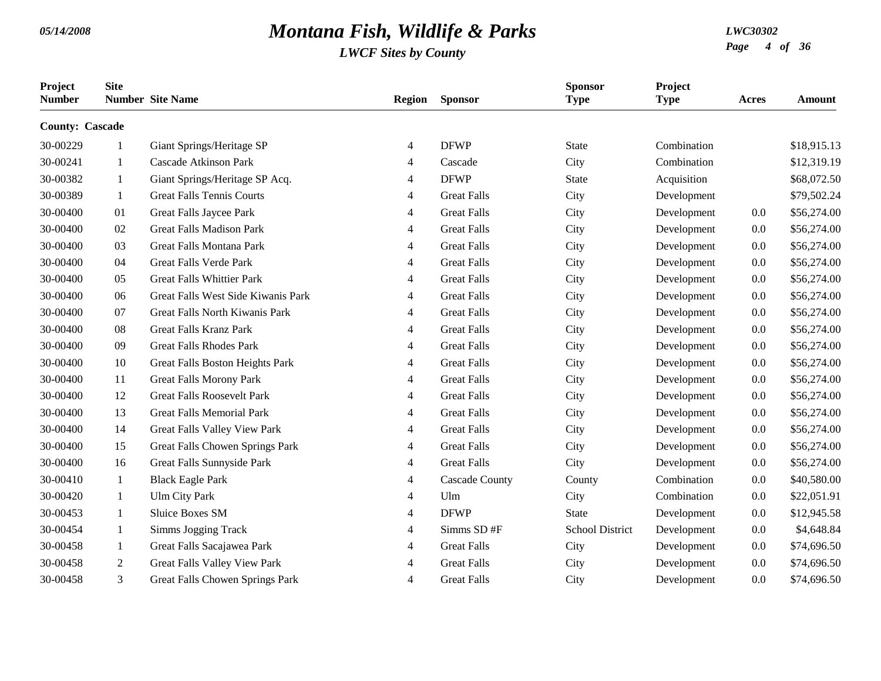| Project<br><b>Number</b> | <b>Site</b>  | <b>Number</b> Site Name                | <b>Region</b>  | <b>Sponsor</b>        | <b>Sponsor</b><br><b>Type</b> | Project<br><b>Type</b> | Acres   | <b>Amount</b> |
|--------------------------|--------------|----------------------------------------|----------------|-----------------------|-------------------------------|------------------------|---------|---------------|
| <b>County: Cascade</b>   |              |                                        |                |                       |                               |                        |         |               |
| 30-00229                 | $\mathbf{1}$ | Giant Springs/Heritage SP              | 4              | <b>DFWP</b>           | <b>State</b>                  | Combination            |         | \$18,915.13   |
| 30-00241                 | -1           | <b>Cascade Atkinson Park</b>           | 4              | Cascade               | City                          | Combination            |         | \$12,319.19   |
| 30-00382                 | 1            | Giant Springs/Heritage SP Acq.         | 4              | <b>DFWP</b>           | <b>State</b>                  | Acquisition            |         | \$68,072.50   |
| 30-00389                 | $\mathbf{1}$ | <b>Great Falls Tennis Courts</b>       | 4              | <b>Great Falls</b>    | City                          | Development            |         | \$79,502.24   |
| 30-00400                 | 01           | Great Falls Jaycee Park                | 4              | <b>Great Falls</b>    | City                          | Development            | 0.0     | \$56,274.00   |
| 30-00400                 | 02           | <b>Great Falls Madison Park</b>        | 4              | <b>Great Falls</b>    | City                          | Development            | 0.0     | \$56,274.00   |
| 30-00400                 | 03           | <b>Great Falls Montana Park</b>        | 4              | <b>Great Falls</b>    | City                          | Development            | 0.0     | \$56,274.00   |
| 30-00400                 | 04           | Great Falls Verde Park                 | 4              | <b>Great Falls</b>    | City                          | Development            | 0.0     | \$56,274.00   |
| 30-00400                 | 05           | <b>Great Falls Whittier Park</b>       | $\overline{4}$ | <b>Great Falls</b>    | City                          | Development            | 0.0     | \$56,274.00   |
| 30-00400                 | 06           | Great Falls West Side Kiwanis Park     | 4              | <b>Great Falls</b>    | City                          | Development            | $0.0\,$ | \$56,274.00   |
| 30-00400                 | 07           | <b>Great Falls North Kiwanis Park</b>  | 4              | <b>Great Falls</b>    | City                          | Development            | 0.0     | \$56,274.00   |
| 30-00400                 | 08           | <b>Great Falls Kranz Park</b>          | 4              | <b>Great Falls</b>    | City                          | Development            | 0.0     | \$56,274.00   |
| 30-00400                 | 09           | <b>Great Falls Rhodes Park</b>         | 4              | <b>Great Falls</b>    | City                          | Development            | 0.0     | \$56,274.00   |
| 30-00400                 | 10           | Great Falls Boston Heights Park        | 4              | <b>Great Falls</b>    | City                          | Development            | 0.0     | \$56,274.00   |
| 30-00400                 | 11           | Great Falls Morony Park                | 4              | <b>Great Falls</b>    | City                          | Development            | 0.0     | \$56,274.00   |
| 30-00400                 | 12           | <b>Great Falls Roosevelt Park</b>      | 4              | <b>Great Falls</b>    | City                          | Development            | 0.0     | \$56,274.00   |
| 30-00400                 | 13           | <b>Great Falls Memorial Park</b>       | 4              | <b>Great Falls</b>    | City                          | Development            | 0.0     | \$56,274.00   |
| 30-00400                 | 14           | Great Falls Valley View Park           | 4              | <b>Great Falls</b>    | City                          | Development            | 0.0     | \$56,274.00   |
| 30-00400                 | 15           | Great Falls Chowen Springs Park        | 4              | <b>Great Falls</b>    | City                          | Development            | 0.0     | \$56,274.00   |
| 30-00400                 | 16           | Great Falls Sunnyside Park             | $\overline{4}$ | <b>Great Falls</b>    | City                          | Development            | 0.0     | \$56,274.00   |
| 30-00410                 | 1            | <b>Black Eagle Park</b>                | 4              | <b>Cascade County</b> | County                        | Combination            | $0.0\,$ | \$40,580.00   |
| 30-00420                 | 1            | <b>Ulm City Park</b>                   | 4              | Ulm                   | City                          | Combination            | 0.0     | \$22,051.91   |
| 30-00453                 | $\mathbf{1}$ | <b>Sluice Boxes SM</b>                 | 4              | <b>DFWP</b>           | <b>State</b>                  | Development            | 0.0     | \$12,945.58   |
| 30-00454                 | 1            | Simms Jogging Track                    | 4              | Simms SD #F           | <b>School District</b>        | Development            | 0.0     | \$4,648.84    |
| 30-00458                 | 1            | Great Falls Sacajawea Park             | 4              | <b>Great Falls</b>    | City                          | Development            | $0.0\,$ | \$74,696.50   |
| 30-00458                 | 2            | <b>Great Falls Valley View Park</b>    | 4              | <b>Great Falls</b>    | City                          | Development            | 0.0     | \$74,696.50   |
| 30-00458                 | 3            | <b>Great Falls Chowen Springs Park</b> | $\overline{4}$ | <b>Great Falls</b>    | City                          | Development            | 0.0     | \$74,696.50   |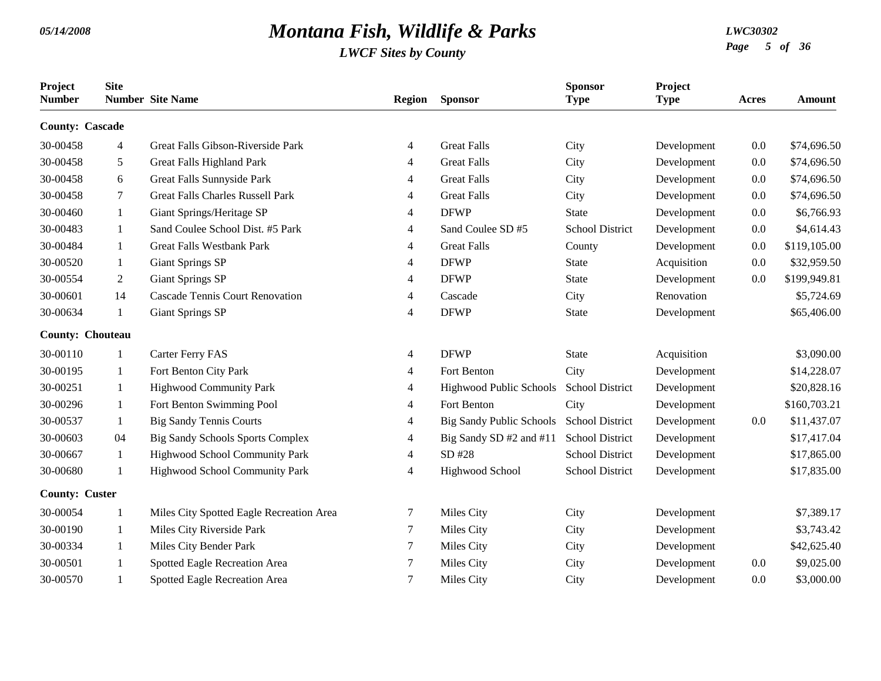| Project<br><b>Number</b> | <b>Site</b>    | <b>Number</b> Site Name                  | <b>Region</b> | <b>Sponsor</b>                  | <b>Sponsor</b><br><b>Type</b> | Project<br><b>Type</b> | <b>Acres</b> | <b>Amount</b> |
|--------------------------|----------------|------------------------------------------|---------------|---------------------------------|-------------------------------|------------------------|--------------|---------------|
| <b>County: Cascade</b>   |                |                                          |               |                                 |                               |                        |              |               |
| 30-00458                 | $\overline{4}$ | Great Falls Gibson-Riverside Park        | 4             | <b>Great Falls</b>              | City                          | Development            | 0.0          | \$74,696.50   |
| 30-00458                 | 5              | Great Falls Highland Park                | 4             | <b>Great Falls</b>              | City                          | Development            | 0.0          | \$74,696.50   |
| 30-00458                 | 6              | Great Falls Sunnyside Park               | 4             | <b>Great Falls</b>              | City                          | Development            | 0.0          | \$74,696.50   |
| 30-00458                 | $\tau$         | <b>Great Falls Charles Russell Park</b>  | 4             | <b>Great Falls</b>              | City                          | Development            | 0.0          | \$74,696.50   |
| 30-00460                 | 1              | Giant Springs/Heritage SP                | 4             | <b>DFWP</b>                     | <b>State</b>                  | Development            | 0.0          | \$6,766.93    |
| 30-00483                 | 1              | Sand Coulee School Dist. #5 Park         | 4             | Sand Coulee SD #5               | <b>School District</b>        | Development            | 0.0          | \$4,614.43    |
| 30-00484                 | -1             | <b>Great Falls Westbank Park</b>         | 4             | <b>Great Falls</b>              | County                        | Development            | 0.0          | \$119,105.00  |
| 30-00520                 | 1              | <b>Giant Springs SP</b>                  | 4             | <b>DFWP</b>                     | <b>State</b>                  | Acquisition            | 0.0          | \$32,959.50   |
| 30-00554                 | 2              | <b>Giant Springs SP</b>                  | 4             | <b>DFWP</b>                     | <b>State</b>                  | Development            | 0.0          | \$199,949.81  |
| 30-00601                 | 14             | <b>Cascade Tennis Court Renovation</b>   | 4             | Cascade                         | City                          | Renovation             |              | \$5,724.69    |
| 30-00634                 | 1              | <b>Giant Springs SP</b>                  | 4             | <b>DFWP</b>                     | <b>State</b>                  | Development            |              | \$65,406.00   |
| <b>County: Chouteau</b>  |                |                                          |               |                                 |                               |                        |              |               |
| 30-00110                 | 1              | Carter Ferry FAS                         | 4             | <b>DFWP</b>                     | <b>State</b>                  | Acquisition            |              | \$3,090.00    |
| 30-00195                 | -1             | Fort Benton City Park                    | 4             | Fort Benton                     | City                          | Development            |              | \$14,228.07   |
| 30-00251                 | -1             | <b>Highwood Community Park</b>           | 4             | Highwood Public Schools         | <b>School District</b>        | Development            |              | \$20,828.16   |
| 30-00296                 | -1             | Fort Benton Swimming Pool                | 4             | Fort Benton                     | City                          | Development            |              | \$160,703.21  |
| 30-00537                 | -1             | <b>Big Sandy Tennis Courts</b>           | 4             | <b>Big Sandy Public Schools</b> | <b>School District</b>        | Development            | 0.0          | \$11,437.07   |
| 30-00603                 | 04             | <b>Big Sandy Schools Sports Complex</b>  | 4             | Big Sandy SD #2 and #11         | <b>School District</b>        | Development            |              | \$17,417.04   |
| 30-00667                 | 1              | Highwood School Community Park           | 4             | SD #28                          | <b>School District</b>        | Development            |              | \$17,865.00   |
| 30-00680                 | 1              | Highwood School Community Park           | 4             | Highwood School                 | <b>School District</b>        | Development            |              | \$17,835.00   |
| <b>County: Custer</b>    |                |                                          |               |                                 |                               |                        |              |               |
| 30-00054                 | -1             | Miles City Spotted Eagle Recreation Area | 7             | Miles City                      | City                          | Development            |              | \$7,389.17    |
| 30-00190                 | 1              | Miles City Riverside Park                | 7             | Miles City                      | City                          | Development            |              | \$3,743.42    |
| 30-00334                 | 1              | Miles City Bender Park                   | 7             | Miles City                      | City                          | Development            |              | \$42,625.40   |
| 30-00501                 |                | Spotted Eagle Recreation Area            | 7             | Miles City                      | City                          | Development            | 0.0          | \$9,025.00    |
| 30-00570                 |                | Spotted Eagle Recreation Area            | 7             | Miles City                      | City                          | Development            | 0.0          | \$3,000.00    |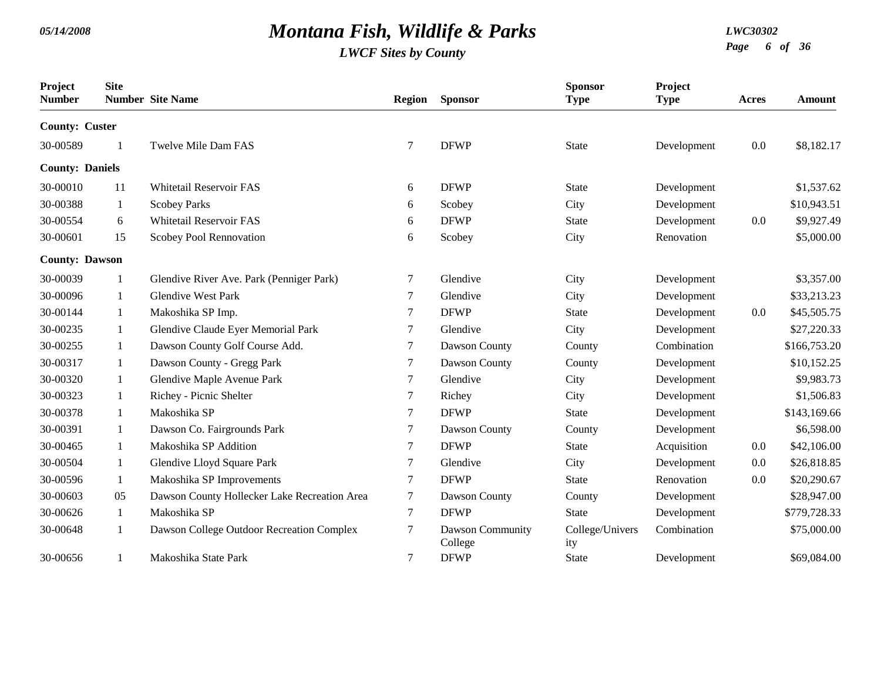| Project<br><b>Number</b> | <b>Site</b>  | <b>Number</b> Site Name                      | Region           | <b>Sponsor</b>              | <b>Sponsor</b><br><b>Type</b> | Project<br><b>Type</b> | <b>Acres</b> | <b>Amount</b> |
|--------------------------|--------------|----------------------------------------------|------------------|-----------------------------|-------------------------------|------------------------|--------------|---------------|
| <b>County: Custer</b>    |              |                                              |                  |                             |                               |                        |              |               |
| 30-00589                 | $\mathbf{1}$ | Twelve Mile Dam FAS                          | 7                | <b>DFWP</b>                 | <b>State</b>                  | Development            | 0.0          | \$8,182.17    |
| <b>County: Daniels</b>   |              |                                              |                  |                             |                               |                        |              |               |
| 30-00010                 | 11           | <b>Whitetail Reservoir FAS</b>               | 6                | <b>DFWP</b>                 | <b>State</b>                  | Development            |              | \$1,537.62    |
| 30-00388                 | 1            | <b>Scobey Parks</b>                          | 6                | Scobey                      | City                          | Development            |              | \$10,943.51   |
| 30-00554                 | 6            | Whitetail Reservoir FAS                      | 6                | <b>DFWP</b>                 | <b>State</b>                  | Development            | 0.0          | \$9,927.49    |
| 30-00601                 | 15           | Scobey Pool Rennovation                      | 6                | Scobey                      | City                          | Renovation             |              | \$5,000.00    |
| <b>County: Dawson</b>    |              |                                              |                  |                             |                               |                        |              |               |
| 30-00039                 | 1            | Glendive River Ave. Park (Penniger Park)     | 7                | Glendive                    | City                          | Development            |              | \$3,357.00    |
| 30-00096                 | 1            | <b>Glendive West Park</b>                    | 7                | Glendive                    | City                          | Development            |              | \$33,213.23   |
| 30-00144                 | 1            | Makoshika SP Imp.                            | 7                | <b>DFWP</b>                 | <b>State</b>                  | Development            | 0.0          | \$45,505.75   |
| 30-00235                 | 1            | Glendive Claude Eyer Memorial Park           | 7                | Glendive                    | City                          | Development            |              | \$27,220.33   |
| 30-00255                 | 1            | Dawson County Golf Course Add.               | 7                | Dawson County               | County                        | Combination            |              | \$166,753.20  |
| 30-00317                 | 1            | Dawson County - Gregg Park                   | $\tau$           | Dawson County               | County                        | Development            |              | \$10,152.25   |
| 30-00320                 | 1            | Glendive Maple Avenue Park                   | 7                | Glendive                    | City                          | Development            |              | \$9,983.73    |
| 30-00323                 | 1            | Richey - Picnic Shelter                      | 7                | Richey                      | City                          | Development            |              | \$1,506.83    |
| 30-00378                 | 1            | Makoshika SP                                 | 7                | <b>DFWP</b>                 | <b>State</b>                  | Development            |              | \$143,169.66  |
| 30-00391                 | 1            | Dawson Co. Fairgrounds Park                  | $\tau$           | Dawson County               | County                        | Development            |              | \$6,598.00    |
| 30-00465                 | 1            | Makoshika SP Addition                        | 7                | <b>DFWP</b>                 | <b>State</b>                  | Acquisition            | 0.0          | \$42,106.00   |
| 30-00504                 | 1            | Glendive Lloyd Square Park                   | 7                | Glendive                    | City                          | Development            | 0.0          | \$26,818.85   |
| 30-00596                 | 1            | Makoshika SP Improvements                    | 7                | <b>DFWP</b>                 | <b>State</b>                  | Renovation             | 0.0          | \$20,290.67   |
| 30-00603                 | 05           | Dawson County Hollecker Lake Recreation Area | $\tau$           | Dawson County               | County                        | Development            |              | \$28,947.00   |
| 30-00626                 | 1            | Makoshika SP                                 | $\boldsymbol{7}$ | <b>DFWP</b>                 | <b>State</b>                  | Development            |              | \$779,728.33  |
| 30-00648                 | 1            | Dawson College Outdoor Recreation Complex    | 7                | Dawson Community<br>College | College/Univers<br>ity        | Combination            |              | \$75,000.00   |
| 30-00656                 |              | Makoshika State Park                         | $\boldsymbol{7}$ | <b>DFWP</b>                 | <b>State</b>                  | Development            |              | \$69,084.00   |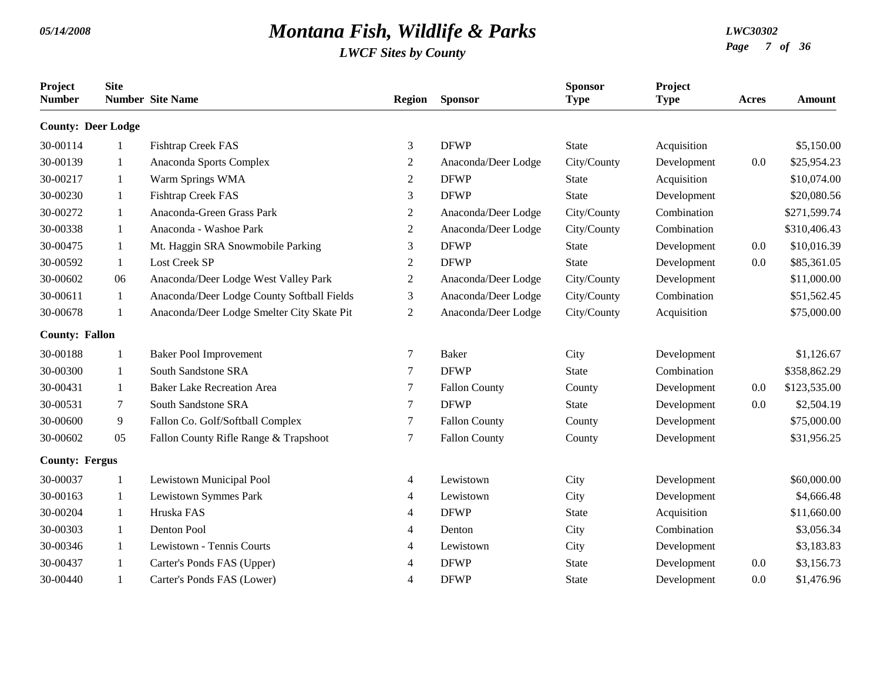| Project<br><b>Number</b>  | <b>Site</b>  | <b>Number</b> Site Name                    | <b>Region</b>  | <b>Sponsor</b>       | <b>Sponsor</b><br><b>Type</b> | Project<br><b>Type</b> | Acres | Amount       |
|---------------------------|--------------|--------------------------------------------|----------------|----------------------|-------------------------------|------------------------|-------|--------------|
| <b>County: Deer Lodge</b> |              |                                            |                |                      |                               |                        |       |              |
| 30-00114                  | 1            | Fishtrap Creek FAS                         | 3              | <b>DFWP</b>          | <b>State</b>                  | Acquisition            |       | \$5,150.00   |
| 30-00139                  | 1            | Anaconda Sports Complex                    | $\overline{c}$ | Anaconda/Deer Lodge  | City/County                   | Development            | 0.0   | \$25,954.23  |
| 30-00217                  | 1            | Warm Springs WMA                           | 2              | <b>DFWP</b>          | <b>State</b>                  | Acquisition            |       | \$10,074.00  |
| 30-00230                  | 1            | Fishtrap Creek FAS                         | 3              | <b>DFWP</b>          | <b>State</b>                  | Development            |       | \$20,080.56  |
| 30-00272                  | 1            | Anaconda-Green Grass Park                  | $\overline{c}$ | Anaconda/Deer Lodge  | City/County                   | Combination            |       | \$271,599.74 |
| 30-00338                  | 1            | Anaconda - Washoe Park                     | $\overline{2}$ | Anaconda/Deer Lodge  | City/County                   | Combination            |       | \$310,406.43 |
| 30-00475                  | 1            | Mt. Haggin SRA Snowmobile Parking          | 3              | <b>DFWP</b>          | <b>State</b>                  | Development            | 0.0   | \$10,016.39  |
| 30-00592                  | 1            | <b>Lost Creek SP</b>                       | $\overline{2}$ | <b>DFWP</b>          | <b>State</b>                  | Development            | 0.0   | \$85,361.05  |
| 30-00602                  | 06           | Anaconda/Deer Lodge West Valley Park       | $\overline{c}$ | Anaconda/Deer Lodge  | City/County                   | Development            |       | \$11,000.00  |
| 30-00611                  | $\mathbf{1}$ | Anaconda/Deer Lodge County Softball Fields | 3              | Anaconda/Deer Lodge  | City/County                   | Combination            |       | \$51,562.45  |
| 30-00678                  | $\mathbf{1}$ | Anaconda/Deer Lodge Smelter City Skate Pit | 2              | Anaconda/Deer Lodge  | City/County                   | Acquisition            |       | \$75,000.00  |
| <b>County: Fallon</b>     |              |                                            |                |                      |                               |                        |       |              |
| 30-00188                  | -1           | <b>Baker Pool Improvement</b>              | 7              | <b>Baker</b>         | City                          | Development            |       | \$1,126.67   |
| 30-00300                  | 1            | South Sandstone SRA                        | 7              | <b>DFWP</b>          | <b>State</b>                  | Combination            |       | \$358,862.29 |
| 30-00431                  | 1            | <b>Baker Lake Recreation Area</b>          | 7              | <b>Fallon County</b> | County                        | Development            | 0.0   | \$123,535.00 |
| 30-00531                  | $\tau$       | South Sandstone SRA                        | 7              | <b>DFWP</b>          | <b>State</b>                  | Development            | 0.0   | \$2,504.19   |
| 30-00600                  | 9            | Fallon Co. Golf/Softball Complex           | 7              | <b>Fallon County</b> | County                        | Development            |       | \$75,000.00  |
| 30-00602                  | 05           | Fallon County Rifle Range & Trapshoot      | 7              | <b>Fallon County</b> | County                        | Development            |       | \$31,956.25  |
| <b>County: Fergus</b>     |              |                                            |                |                      |                               |                        |       |              |
| 30-00037                  | 1            | Lewistown Municipal Pool                   | 4              | Lewistown            | City                          | Development            |       | \$60,000.00  |
| 30-00163                  | 1            | Lewistown Symmes Park                      | 4              | Lewistown            | City                          | Development            |       | \$4,666.48   |
| 30-00204                  | 1            | Hruska FAS                                 | 4              | <b>DFWP</b>          | <b>State</b>                  | Acquisition            |       | \$11,660.00  |
| 30-00303                  | 1            | Denton Pool                                | 4              | Denton               | City                          | Combination            |       | \$3,056.34   |
| 30-00346                  | 1            | Lewistown - Tennis Courts                  | 4              | Lewistown            | City                          | Development            |       | \$3,183.83   |
| 30-00437                  | 1            | Carter's Ponds FAS (Upper)                 | 4              | <b>DFWP</b>          | State                         | Development            | 0.0   | \$3,156.73   |
| 30-00440                  | 1            | Carter's Ponds FAS (Lower)                 | 4              | <b>DFWP</b>          | <b>State</b>                  | Development            | 0.0   | \$1,476.96   |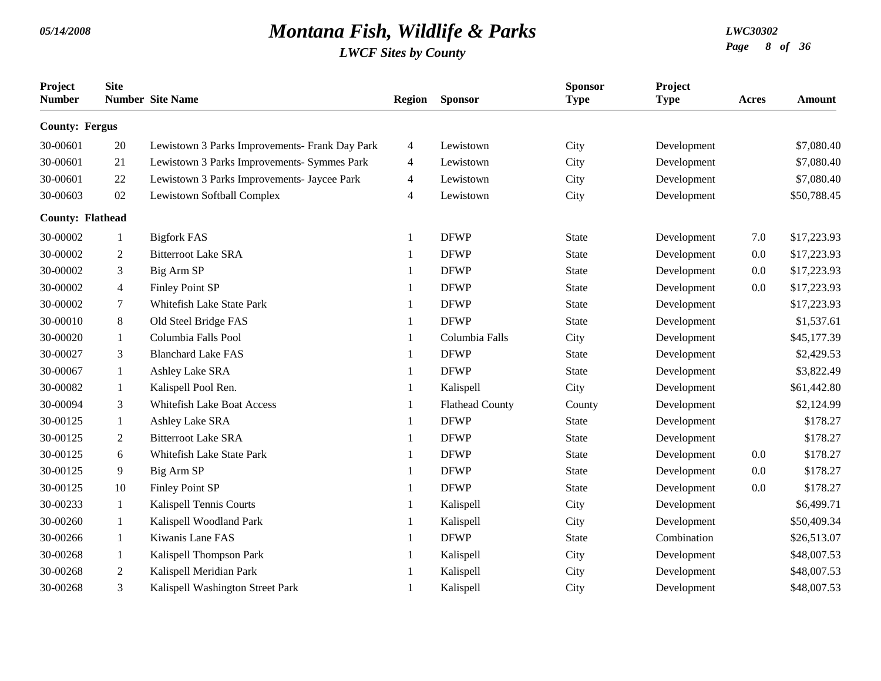| Project<br><b>Number</b> | <b>Site</b>    | <b>Number</b> Site Name                        | Region       | <b>Sponsor</b>         | <b>Sponsor</b><br><b>Type</b> | Project<br><b>Type</b> | Acres   | <b>Amount</b> |
|--------------------------|----------------|------------------------------------------------|--------------|------------------------|-------------------------------|------------------------|---------|---------------|
| <b>County: Fergus</b>    |                |                                                |              |                        |                               |                        |         |               |
| 30-00601                 | 20             | Lewistown 3 Parks Improvements- Frank Day Park | 4            | Lewistown              | City                          | Development            |         | \$7,080.40    |
| 30-00601                 | 21             | Lewistown 3 Parks Improvements- Symmes Park    | 4            | Lewistown              | City                          | Development            |         | \$7,080.40    |
| 30-00601                 | 22             | Lewistown 3 Parks Improvements- Jaycee Park    | 4            | Lewistown              | City                          | Development            |         | \$7,080.40    |
| 30-00603                 | 02             | Lewistown Softball Complex                     | 4            | Lewistown              | City                          | Development            |         | \$50,788.45   |
| <b>County: Flathead</b>  |                |                                                |              |                        |                               |                        |         |               |
| 30-00002                 | 1              | <b>Bigfork FAS</b>                             | $\mathbf{1}$ | <b>DFWP</b>            | <b>State</b>                  | Development            | 7.0     | \$17,223.93   |
| 30-00002                 | 2              | <b>Bitterroot Lake SRA</b>                     | $\mathbf{1}$ | <b>DFWP</b>            | <b>State</b>                  | Development            | 0.0     | \$17,223.93   |
| 30-00002                 | 3              | Big Arm SP                                     | $\mathbf{1}$ | <b>DFWP</b>            | State                         | Development            | 0.0     | \$17,223.93   |
| 30-00002                 | 4              | <b>Finley Point SP</b>                         | -1           | <b>DFWP</b>            | <b>State</b>                  | Development            | 0.0     | \$17,223.93   |
| 30-00002                 | $\tau$         | Whitefish Lake State Park                      | 1            | <b>DFWP</b>            | <b>State</b>                  | Development            |         | \$17,223.93   |
| 30-00010                 | 8              | Old Steel Bridge FAS                           | -1           | <b>DFWP</b>            | <b>State</b>                  | Development            |         | \$1,537.61    |
| 30-00020                 | 1              | Columbia Falls Pool                            |              | Columbia Falls         | City                          | Development            |         | \$45,177.39   |
| 30-00027                 | 3              | <b>Blanchard Lake FAS</b>                      |              | <b>DFWP</b>            | <b>State</b>                  | Development            |         | \$2,429.53    |
| 30-00067                 | 1              | Ashley Lake SRA                                | 1            | <b>DFWP</b>            | <b>State</b>                  | Development            |         | \$3,822.49    |
| 30-00082                 | 1              | Kalispell Pool Ren.                            | 1            | Kalispell              | City                          | Development            |         | \$61,442.80   |
| 30-00094                 | 3              | <b>Whitefish Lake Boat Access</b>              |              | <b>Flathead County</b> | County                        | Development            |         | \$2,124.99    |
| 30-00125                 | 1              | Ashley Lake SRA                                | 1            | <b>DFWP</b>            | <b>State</b>                  | Development            |         | \$178.27      |
| 30-00125                 | $\overline{2}$ | <b>Bitterroot Lake SRA</b>                     | 1            | <b>DFWP</b>            | <b>State</b>                  | Development            |         | \$178.27      |
| 30-00125                 | 6              | Whitefish Lake State Park                      | $\mathbf{1}$ | <b>DFWP</b>            | <b>State</b>                  | Development            | 0.0     | \$178.27      |
| 30-00125                 | 9              | Big Arm SP                                     |              | <b>DFWP</b>            | <b>State</b>                  | Development            | 0.0     | \$178.27      |
| 30-00125                 | 10             | <b>Finley Point SP</b>                         | 1            | <b>DFWP</b>            | <b>State</b>                  | Development            | $0.0\,$ | \$178.27      |
| 30-00233                 | 1              | Kalispell Tennis Courts                        | 1            | Kalispell              | City                          | Development            |         | \$6,499.71    |
| 30-00260                 | 1              | Kalispell Woodland Park                        |              | Kalispell              | City                          | Development            |         | \$50,409.34   |
| 30-00266                 | 1              | Kiwanis Lane FAS                               |              | <b>DFWP</b>            | State                         | Combination            |         | \$26,513.07   |
| 30-00268                 | 1              | Kalispell Thompson Park                        |              | Kalispell              | City                          | Development            |         | \$48,007.53   |
| 30-00268                 | $\overline{2}$ | Kalispell Meridian Park                        |              | Kalispell              | City                          | Development            |         | \$48,007.53   |
| 30-00268                 | 3              | Kalispell Washington Street Park               |              | Kalispell              | City                          | Development            |         | \$48,007.53   |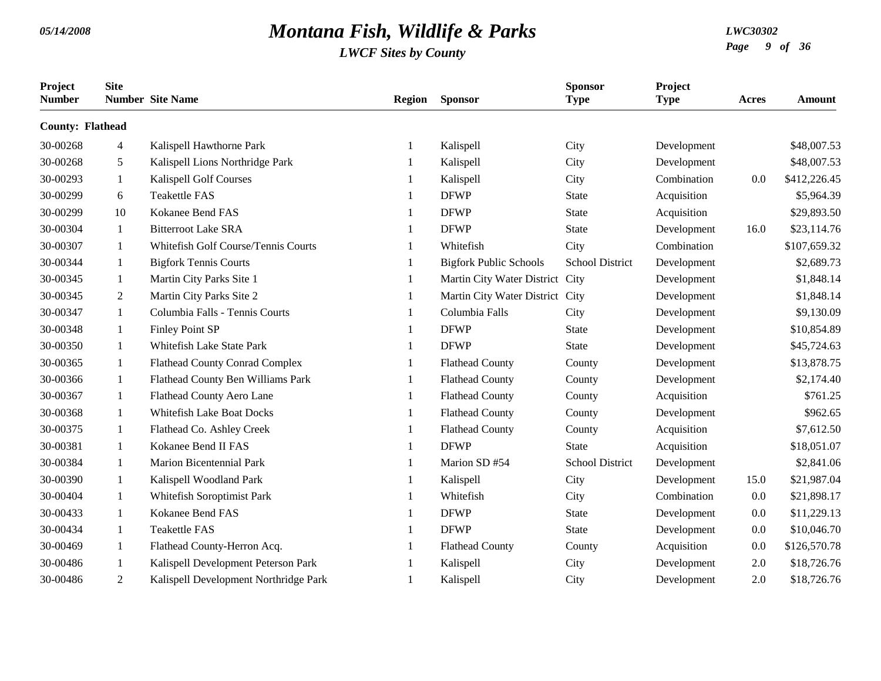| Project<br><b>Number</b> | <b>Site</b> | <b>Number</b> Site Name               | <b>Region</b> | <b>Sponsor</b>                  | <b>Sponsor</b><br><b>Type</b> | Project<br><b>Type</b> | Acres | Amount       |
|--------------------------|-------------|---------------------------------------|---------------|---------------------------------|-------------------------------|------------------------|-------|--------------|
| <b>County: Flathead</b>  |             |                                       |               |                                 |                               |                        |       |              |
| 30-00268                 | 4           | Kalispell Hawthorne Park              |               | Kalispell                       | City                          | Development            |       | \$48,007.53  |
| 30-00268                 | 5           | Kalispell Lions Northridge Park       | -1            | Kalispell                       | City                          | Development            |       | \$48,007.53  |
| 30-00293                 | 1           | Kalispell Golf Courses                |               | Kalispell                       | City                          | Combination            | 0.0   | \$412,226.45 |
| 30-00299                 | 6           | <b>Teakettle FAS</b>                  |               | <b>DFWP</b>                     | <b>State</b>                  | Acquisition            |       | \$5,964.39   |
| 30-00299                 | 10          | Kokanee Bend FAS                      |               | <b>DFWP</b>                     | <b>State</b>                  | Acquisition            |       | \$29,893.50  |
| 30-00304                 | 1           | <b>Bitterroot Lake SRA</b>            |               | <b>DFWP</b>                     | <b>State</b>                  | Development            | 16.0  | \$23,114.76  |
| 30-00307                 | 1           | Whitefish Golf Course/Tennis Courts   |               | Whitefish                       | City                          | Combination            |       | \$107,659.32 |
| 30-00344                 | 1           | <b>Bigfork Tennis Courts</b>          |               | <b>Bigfork Public Schools</b>   | <b>School District</b>        | Development            |       | \$2,689.73   |
| 30-00345                 | 1           | Martin City Parks Site 1              |               | Martin City Water District City |                               | Development            |       | \$1,848.14   |
| 30-00345                 | 2           | Martin City Parks Site 2              |               | Martin City Water District City |                               | Development            |       | \$1,848.14   |
| 30-00347                 | 1           | Columbia Falls - Tennis Courts        |               | Columbia Falls                  | City                          | Development            |       | \$9,130.09   |
| 30-00348                 | 1           | <b>Finley Point SP</b>                |               | <b>DFWP</b>                     | <b>State</b>                  | Development            |       | \$10,854.89  |
| 30-00350                 | 1           | Whitefish Lake State Park             |               | <b>DFWP</b>                     | <b>State</b>                  | Development            |       | \$45,724.63  |
| 30-00365                 | 1           | <b>Flathead County Conrad Complex</b> |               | <b>Flathead County</b>          | County                        | Development            |       | \$13,878.75  |
| 30-00366                 | 1           | Flathead County Ben Williams Park     |               | <b>Flathead County</b>          | County                        | Development            |       | \$2,174.40   |
| 30-00367                 | 1           | Flathead County Aero Lane             |               | <b>Flathead County</b>          | County                        | Acquisition            |       | \$761.25     |
| 30-00368                 | 1           | <b>Whitefish Lake Boat Docks</b>      |               | <b>Flathead County</b>          | County                        | Development            |       | \$962.65     |
| 30-00375                 | 1           | Flathead Co. Ashley Creek             |               | <b>Flathead County</b>          | County                        | Acquisition            |       | \$7,612.50   |
| 30-00381                 | -1          | Kokanee Bend II FAS                   |               | <b>DFWP</b>                     | <b>State</b>                  | Acquisition            |       | \$18,051.07  |
| 30-00384                 | 1           | Marion Bicentennial Park              |               | Marion SD #54                   | <b>School District</b>        | Development            |       | \$2,841.06   |
| 30-00390                 | 1           | Kalispell Woodland Park               |               | Kalispell                       | City                          | Development            | 15.0  | \$21,987.04  |
| 30-00404                 | 1           | Whitefish Soroptimist Park            |               | Whitefish                       | City                          | Combination            | 0.0   | \$21,898.17  |
| 30-00433                 | 1           | Kokanee Bend FAS                      |               | <b>DFWP</b>                     | State                         | Development            | 0.0   | \$11,229.13  |
| 30-00434                 | 1           | <b>Teakettle FAS</b>                  |               | <b>DFWP</b>                     | <b>State</b>                  | Development            | 0.0   | \$10,046.70  |
| 30-00469                 | -1          | Flathead County-Herron Acq.           |               | <b>Flathead County</b>          | County                        | Acquisition            | 0.0   | \$126,570.78 |
| 30-00486                 | -1          | Kalispell Development Peterson Park   |               | Kalispell                       | City                          | Development            | 2.0   | \$18,726.76  |
| 30-00486                 | 2           | Kalispell Development Northridge Park | -1            | Kalispell                       | City                          | Development            | 2.0   | \$18,726.76  |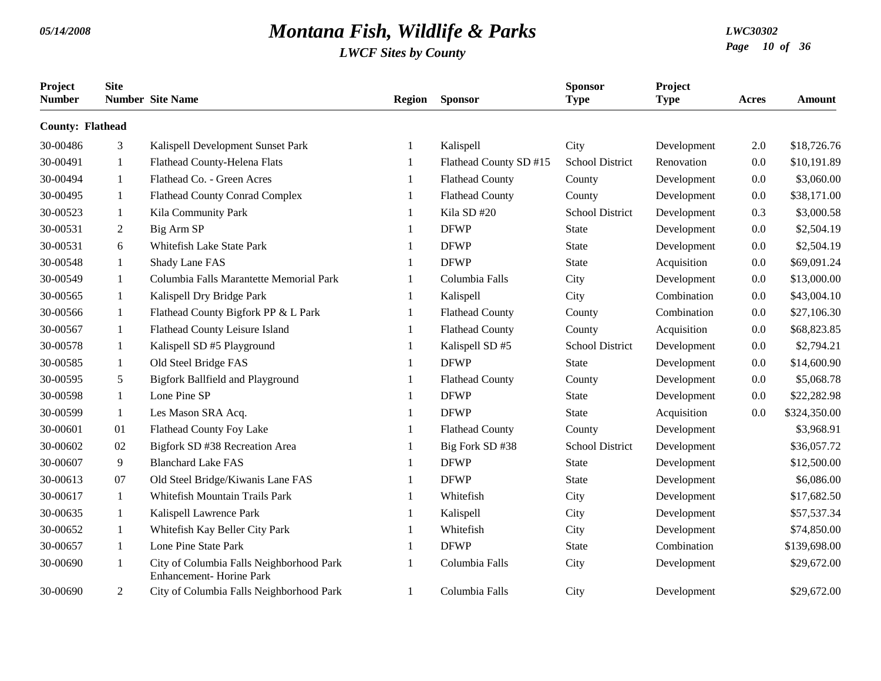| Project<br><b>Number</b> | <b>Site</b>    | <b>Number</b> Site Name                                             | <b>Region</b> | <b>Sponsor</b>         | <b>Sponsor</b><br><b>Type</b> | Project<br><b>Type</b> | <b>Acres</b> | <b>Amount</b> |
|--------------------------|----------------|---------------------------------------------------------------------|---------------|------------------------|-------------------------------|------------------------|--------------|---------------|
| <b>County: Flathead</b>  |                |                                                                     |               |                        |                               |                        |              |               |
| 30-00486                 | 3              | Kalispell Development Sunset Park                                   | -1            | Kalispell              | City                          | Development            | 2.0          | \$18,726.76   |
| 30-00491                 | 1              | Flathead County-Helena Flats                                        | -1            | Flathead County SD #15 | <b>School District</b>        | Renovation             | 0.0          | \$10,191.89   |
| 30-00494                 | 1              | Flathead Co. - Green Acres                                          | -1            | <b>Flathead County</b> | County                        | Development            | 0.0          | \$3,060.00    |
| 30-00495                 | 1              | <b>Flathead County Conrad Complex</b>                               |               | <b>Flathead County</b> | County                        | Development            | 0.0          | \$38,171.00   |
| 30-00523                 | 1              | Kila Community Park                                                 | -1            | Kila SD #20            | <b>School District</b>        | Development            | 0.3          | \$3,000.58    |
| 30-00531                 | $\overline{2}$ | Big Arm SP                                                          | -1            | <b>DFWP</b>            | <b>State</b>                  | Development            | 0.0          | \$2,504.19    |
| 30-00531                 | 6              | Whitefish Lake State Park                                           | -1            | <b>DFWP</b>            | <b>State</b>                  | Development            | 0.0          | \$2,504.19    |
| 30-00548                 | 1              | Shady Lane FAS                                                      |               | <b>DFWP</b>            | <b>State</b>                  | Acquisition            | 0.0          | \$69,091.24   |
| 30-00549                 | 1              | Columbia Falls Marantette Memorial Park                             |               | Columbia Falls         | City                          | Development            | $0.0\,$      | \$13,000.00   |
| 30-00565                 | 1              | Kalispell Dry Bridge Park                                           | -1            | Kalispell              | City                          | Combination            | 0.0          | \$43,004.10   |
| 30-00566                 | 1              | Flathead County Bigfork PP & L Park                                 | -1            | <b>Flathead County</b> | County                        | Combination            | 0.0          | \$27,106.30   |
| 30-00567                 | -1             | Flathead County Leisure Island                                      | -1            | <b>Flathead County</b> | County                        | Acquisition            | 0.0          | \$68,823.85   |
| 30-00578                 | 1              | Kalispell SD #5 Playground                                          |               | Kalispell SD #5        | <b>School District</b>        | Development            | 0.0          | \$2,794.21    |
| 30-00585                 | 1              | Old Steel Bridge FAS                                                |               | <b>DFWP</b>            | <b>State</b>                  | Development            | $0.0\,$      | \$14,600.90   |
| 30-00595                 | 5              | <b>Bigfork Ballfield and Playground</b>                             |               | <b>Flathead County</b> | County                        | Development            | 0.0          | \$5,068.78    |
| 30-00598                 | 1              | Lone Pine SP                                                        |               | <b>DFWP</b>            | <b>State</b>                  | Development            | 0.0          | \$22,282.98   |
| 30-00599                 | 1              | Les Mason SRA Acq.                                                  | -1            | <b>DFWP</b>            | <b>State</b>                  | Acquisition            | 0.0          | \$324,350.00  |
| 30-00601                 | 01             | Flathead County Foy Lake                                            |               | <b>Flathead County</b> | County                        | Development            |              | \$3,968.91    |
| 30-00602                 | 02             | Bigfork SD #38 Recreation Area                                      |               | Big Fork SD #38        | <b>School District</b>        | Development            |              | \$36,057.72   |
| 30-00607                 | 9              | <b>Blanchard Lake FAS</b>                                           |               | <b>DFWP</b>            | <b>State</b>                  | Development            |              | \$12,500.00   |
| 30-00613                 | 07             | Old Steel Bridge/Kiwanis Lane FAS                                   |               | <b>DFWP</b>            | <b>State</b>                  | Development            |              | \$6,086.00    |
| 30-00617                 | 1              | Whitefish Mountain Trails Park                                      | -1            | Whitefish              | City                          | Development            |              | \$17,682.50   |
| 30-00635                 | 1              | Kalispell Lawrence Park                                             |               | Kalispell              | City                          | Development            |              | \$57,537.34   |
| 30-00652                 | 1              | Whitefish Kay Beller City Park                                      |               | Whitefish              | City                          | Development            |              | \$74,850.00   |
| 30-00657                 | 1              | Lone Pine State Park                                                |               | <b>DFWP</b>            | <b>State</b>                  | Combination            |              | \$139,698.00  |
| 30-00690                 | -1             | City of Columbia Falls Neighborhood Park<br>Enhancement-Horine Park | -1            | Columbia Falls         | City                          | Development            |              | \$29,672.00   |
| 30-00690                 | $\overline{2}$ | City of Columbia Falls Neighborhood Park                            | $\mathbf{1}$  | Columbia Falls         | City                          | Development            |              | \$29,672.00   |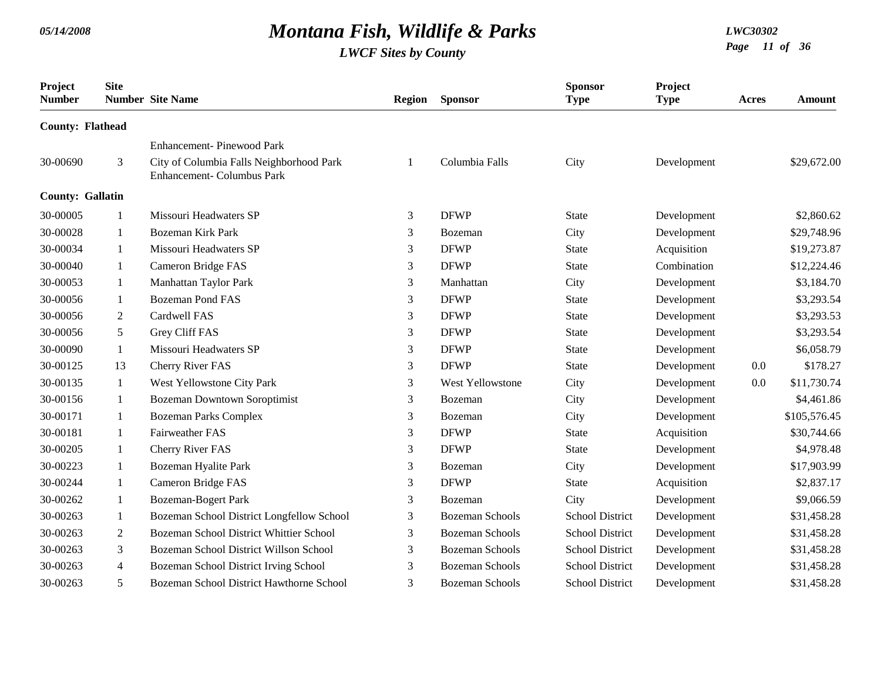| Project<br><b>Number</b> | <b>Site</b>    | <b>Number</b> Site Name                                                       | Region | <b>Sponsor</b>          | <b>Sponsor</b><br><b>Type</b> | Project<br><b>Type</b> | Acres | Amount       |
|--------------------------|----------------|-------------------------------------------------------------------------------|--------|-------------------------|-------------------------------|------------------------|-------|--------------|
| <b>County: Flathead</b>  |                |                                                                               |        |                         |                               |                        |       |              |
|                          |                | <b>Enhancement-Pinewood Park</b>                                              |        |                         |                               |                        |       |              |
| 30-00690                 | 3              | City of Columbia Falls Neighborhood Park<br><b>Enhancement- Columbus Park</b> |        | Columbia Falls          | City                          | Development            |       | \$29,672.00  |
| <b>County: Gallatin</b>  |                |                                                                               |        |                         |                               |                        |       |              |
| 30-00005                 | $\mathbf{1}$   | Missouri Headwaters SP                                                        | 3      | <b>DFWP</b>             | <b>State</b>                  | Development            |       | \$2,860.62   |
| 30-00028                 | 1              | <b>Bozeman Kirk Park</b>                                                      | 3      | Bozeman                 | City                          | Development            |       | \$29,748.96  |
| 30-00034                 | $\mathbf{1}$   | Missouri Headwaters SP                                                        | 3      | <b>DFWP</b>             | <b>State</b>                  | Acquisition            |       | \$19,273.87  |
| 30-00040                 | $\mathbf{1}$   | Cameron Bridge FAS                                                            | 3      | <b>DFWP</b>             | <b>State</b>                  | Combination            |       | \$12,224.46  |
| 30-00053                 | $\mathbf{1}$   | Manhattan Taylor Park                                                         | 3      | Manhattan               | City                          | Development            |       | \$3,184.70   |
| 30-00056                 | $\mathbf{1}$   | <b>Bozeman Pond FAS</b>                                                       | 3      | <b>DFWP</b>             | <b>State</b>                  | Development            |       | \$3,293.54   |
| 30-00056                 | $\overline{2}$ | Cardwell FAS                                                                  | 3      | <b>DFWP</b>             | <b>State</b>                  | Development            |       | \$3,293.53   |
| 30-00056                 | 5              | Grey Cliff FAS                                                                | 3      | <b>DFWP</b>             | <b>State</b>                  | Development            |       | \$3,293.54   |
| 30-00090                 | $\mathbf{1}$   | Missouri Headwaters SP                                                        | 3      | <b>DFWP</b>             | <b>State</b>                  | Development            |       | \$6,058.79   |
| 30-00125                 | 13             | <b>Cherry River FAS</b>                                                       | 3      | <b>DFWP</b>             | <b>State</b>                  | Development            | 0.0   | \$178.27     |
| 30-00135                 | $\mathbf{1}$   | West Yellowstone City Park                                                    | 3      | <b>West Yellowstone</b> | City                          | Development            | 0.0   | \$11,730.74  |
| 30-00156                 | $\mathbf{1}$   | <b>Bozeman Downtown Soroptimist</b>                                           | 3      | Bozeman                 | City                          | Development            |       | \$4,461.86   |
| 30-00171                 | $\mathbf{1}$   | <b>Bozeman Parks Complex</b>                                                  | 3      | Bozeman                 | City                          | Development            |       | \$105,576.45 |
| 30-00181                 | $\mathbf{1}$   | <b>Fairweather FAS</b>                                                        | 3      | <b>DFWP</b>             | <b>State</b>                  | Acquisition            |       | \$30,744.66  |
| 30-00205                 | $\mathbf{1}$   | Cherry River FAS                                                              | 3      | <b>DFWP</b>             | <b>State</b>                  | Development            |       | \$4,978.48   |
| 30-00223                 | $\mathbf{1}$   | Bozeman Hyalite Park                                                          | 3      | Bozeman                 | City                          | Development            |       | \$17,903.99  |
| 30-00244                 | $\mathbf{1}$   | Cameron Bridge FAS                                                            | 3      | <b>DFWP</b>             | <b>State</b>                  | Acquisition            |       | \$2,837.17   |
| 30-00262                 | $\mathbf{1}$   | <b>Bozeman-Bogert Park</b>                                                    | 3      | Bozeman                 | City                          | Development            |       | \$9,066.59   |
| 30-00263                 | 1              | Bozeman School District Longfellow School                                     | 3      | <b>Bozeman Schools</b>  | <b>School District</b>        | Development            |       | \$31,458.28  |
| 30-00263                 | $\overline{2}$ | Bozeman School District Whittier School                                       | 3      | <b>Bozeman Schools</b>  | <b>School District</b>        | Development            |       | \$31,458.28  |
| 30-00263                 | 3              | Bozeman School District Willson School                                        | 3      | <b>Bozeman Schools</b>  | <b>School District</b>        | Development            |       | \$31,458.28  |
| 30-00263                 | $\overline{4}$ | Bozeman School District Irving School                                         | 3      | <b>Bozeman Schools</b>  | <b>School District</b>        | Development            |       | \$31,458.28  |
| 30-00263                 | 5              | Bozeman School District Hawthorne School                                      | 3      | <b>Bozeman Schools</b>  | <b>School District</b>        | Development            |       | \$31,458.28  |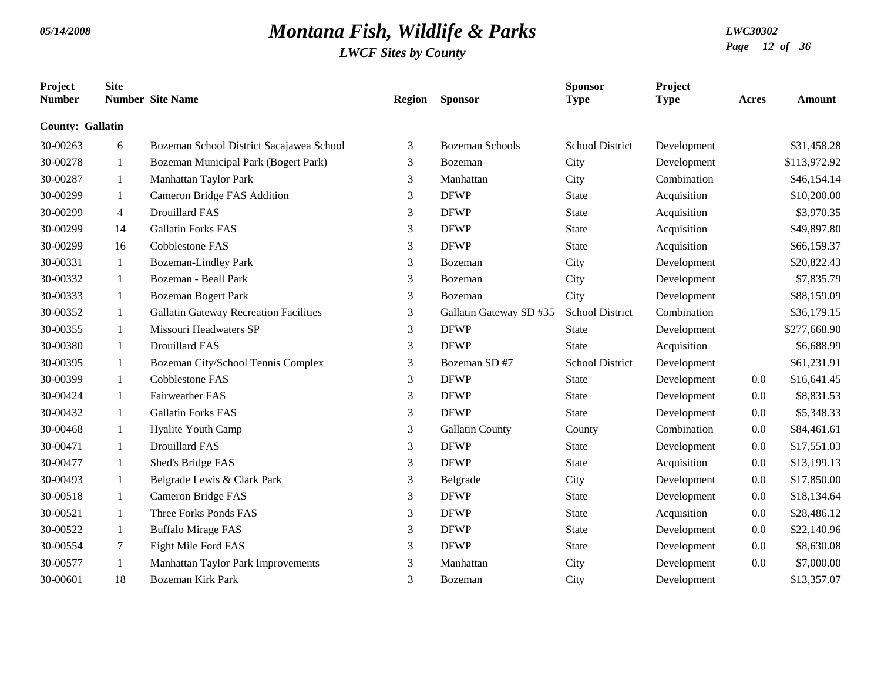| Project<br><b>Number</b> | <b>Site</b>    | <b>Number</b> Site Name                       | <b>Region</b>  | <b>Sponsor</b>          | <b>Sponsor</b><br><b>Type</b> | Project<br><b>Type</b> | Acres | <b>Amount</b> |
|--------------------------|----------------|-----------------------------------------------|----------------|-------------------------|-------------------------------|------------------------|-------|---------------|
| <b>County: Gallatin</b>  |                |                                               |                |                         |                               |                        |       |               |
| 30-00263                 | 6              | Bozeman School District Sacajawea School      | 3              | <b>Bozeman Schools</b>  | <b>School District</b>        | Development            |       | \$31,458.28   |
| 30-00278                 | 1              | Bozeman Municipal Park (Bogert Park)          | 3              | Bozeman                 | City                          | Development            |       | \$113,972.92  |
| 30-00287                 | 1              | Manhattan Taylor Park                         | 3              | Manhattan               | City                          | Combination            |       | \$46,154.14   |
| 30-00299                 | 1              | Cameron Bridge FAS Addition                   | 3              | <b>DFWP</b>             | <b>State</b>                  | Acquisition            |       | \$10,200.00   |
| 30-00299                 | $\overline{4}$ | <b>Drouillard FAS</b>                         | 3              | <b>DFWP</b>             | <b>State</b>                  | Acquisition            |       | \$3,970.35    |
| 30-00299                 | 14             | <b>Gallatin Forks FAS</b>                     | 3              | <b>DFWP</b>             | <b>State</b>                  | Acquisition            |       | \$49,897.80   |
| 30-00299                 | 16             | Cobblestone FAS                               | 3              | <b>DFWP</b>             | <b>State</b>                  | Acquisition            |       | \$66,159.37   |
| 30-00331                 | -1             | <b>Bozeman-Lindley Park</b>                   | 3              | Bozeman                 | City                          | Development            |       | \$20,822.43   |
| 30-00332                 | 1              | Bozeman - Beall Park                          | 3              | Bozeman                 | City                          | Development            |       | \$7,835.79    |
| 30-00333                 | -1             | <b>Bozeman Bogert Park</b>                    | 3              | Bozeman                 | City                          | Development            |       | \$88,159.09   |
| 30-00352                 | 1              | <b>Gallatin Gateway Recreation Facilities</b> | 3              | Gallatin Gateway SD #35 | School District               | Combination            |       | \$36,179.15   |
| 30-00355                 | -1             | Missouri Headwaters SP                        | 3              | <b>DFWP</b>             | <b>State</b>                  | Development            |       | \$277,668.90  |
| 30-00380                 | 1              | <b>Drouillard FAS</b>                         | 3              | <b>DFWP</b>             | <b>State</b>                  | Acquisition            |       | \$6,688.99    |
| 30-00395                 | 1              | Bozeman City/School Tennis Complex            | 3              | Bozeman SD #7           | <b>School District</b>        | Development            |       | \$61,231.91   |
| 30-00399                 | 1              | <b>Cobblestone FAS</b>                        | 3              | <b>DFWP</b>             | <b>State</b>                  | Development            | 0.0   | \$16,641.45   |
| 30-00424                 | $\mathbf{1}$   | <b>Fairweather FAS</b>                        | 3              | <b>DFWP</b>             | <b>State</b>                  | Development            | 0.0   | \$8,831.53    |
| 30-00432                 | 1              | <b>Gallatin Forks FAS</b>                     | 3              | <b>DFWP</b>             | <b>State</b>                  | Development            | 0.0   | \$5,348.33    |
| 30-00468                 | 1              | Hyalite Youth Camp                            | 3              | Gallatin County         | County                        | Combination            | 0.0   | \$84,461.61   |
| 30-00471                 | -1             | <b>Drouillard FAS</b>                         | 3              | <b>DFWP</b>             | <b>State</b>                  | Development            | 0.0   | \$17,551.03   |
| 30-00477                 | 1              | Shed's Bridge FAS                             | 3              | <b>DFWP</b>             | <b>State</b>                  | Acquisition            | 0.0   | \$13,199.13   |
| 30-00493                 | $\mathbf{1}$   | Belgrade Lewis & Clark Park                   | 3              | Belgrade                | City                          | Development            | 0.0   | \$17,850.00   |
| 30-00518                 | 1              | Cameron Bridge FAS                            | 3              | <b>DFWP</b>             | <b>State</b>                  | Development            | 0.0   | \$18,134.64   |
| 30-00521                 | -1             | Three Forks Ponds FAS                         | $\mathfrak{Z}$ | <b>DFWP</b>             | <b>State</b>                  | Acquisition            | 0.0   | \$28,486.12   |
| 30-00522                 | -1             | <b>Buffalo Mirage FAS</b>                     | 3              | <b>DFWP</b>             | State                         | Development            | 0.0   | \$22,140.96   |
| 30-00554                 | 7              | Eight Mile Ford FAS                           | 3              | <b>DFWP</b>             | <b>State</b>                  | Development            | 0.0   | \$8,630.08    |
| 30-00577                 | 1              | Manhattan Taylor Park Improvements            | 3              | Manhattan               | City                          | Development            | 0.0   | \$7,000.00    |
| 30-00601                 | 18             | <b>Bozeman Kirk Park</b>                      | 3              | Bozeman                 | City                          | Development            |       | \$13,357.07   |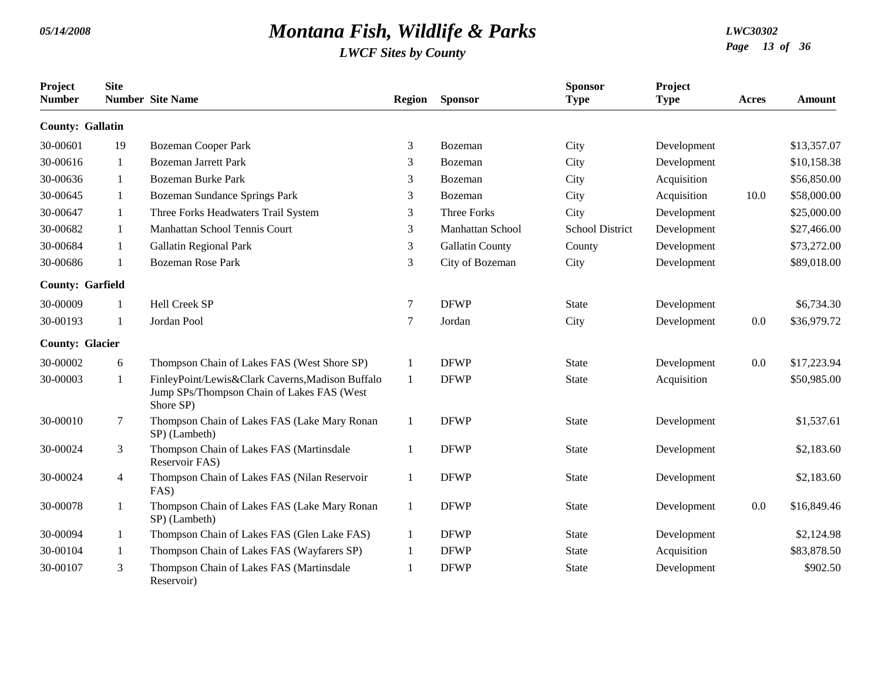| Project<br><b>Number</b> | <b>Site</b>    | <b>Number</b> Site Name                                                                                     | <b>Region</b> | <b>Sponsor</b>          | <b>Sponsor</b><br><b>Type</b> | Project<br><b>Type</b> | Acres | <b>Amount</b> |
|--------------------------|----------------|-------------------------------------------------------------------------------------------------------------|---------------|-------------------------|-------------------------------|------------------------|-------|---------------|
| <b>County: Gallatin</b>  |                |                                                                                                             |               |                         |                               |                        |       |               |
| 30-00601                 | 19             | <b>Bozeman Cooper Park</b>                                                                                  | 3             | Bozeman                 | City                          | Development            |       | \$13,357.07   |
| 30-00616                 | 1              | <b>Bozeman Jarrett Park</b>                                                                                 | 3             | Bozeman                 | City                          | Development            |       | \$10,158.38   |
| 30-00636                 | 1              | <b>Bozeman Burke Park</b>                                                                                   | 3             | Bozeman                 | City                          | Acquisition            |       | \$56,850.00   |
| 30-00645                 | 1              | Bozeman Sundance Springs Park                                                                               | 3             | <b>Bozeman</b>          | City                          | Acquisition            | 10.0  | \$58,000.00   |
| 30-00647                 | 1              | Three Forks Headwaters Trail System                                                                         | 3             | <b>Three Forks</b>      | City                          | Development            |       | \$25,000.00   |
| 30-00682                 | 1              | Manhattan School Tennis Court                                                                               | 3             | <b>Manhattan School</b> | <b>School District</b>        | Development            |       | \$27,466.00   |
| 30-00684                 | -1             | Gallatin Regional Park                                                                                      | 3             | <b>Gallatin County</b>  | County                        | Development            |       | \$73,272.00   |
| 30-00686                 | $\mathbf{1}$   | <b>Bozeman Rose Park</b>                                                                                    | 3             | City of Bozeman         | City                          | Development            |       | \$89,018.00   |
| <b>County: Garfield</b>  |                |                                                                                                             |               |                         |                               |                        |       |               |
| 30-00009                 |                | <b>Hell Creek SP</b>                                                                                        | $\tau$        | <b>DFWP</b>             | <b>State</b>                  | Development            |       | \$6,734.30    |
| 30-00193                 | $\mathbf{1}$   | Jordan Pool                                                                                                 | 7             | Jordan                  | City                          | Development            | 0.0   | \$36,979.72   |
| <b>County: Glacier</b>   |                |                                                                                                             |               |                         |                               |                        |       |               |
| 30-00002                 | 6              | Thompson Chain of Lakes FAS (West Shore SP)                                                                 | 1             | <b>DFWP</b>             | <b>State</b>                  | Development            | 0.0   | \$17,223.94   |
| 30-00003                 | 1              | FinleyPoint/Lewis&Clark Caverns, Madison Buffalo<br>Jump SPs/Thompson Chain of Lakes FAS (West<br>Shore SP) | $\mathbf{1}$  | <b>DFWP</b>             | <b>State</b>                  | Acquisition            |       | \$50,985.00   |
| 30-00010                 | 7              | Thompson Chain of Lakes FAS (Lake Mary Ronan<br>SP) (Lambeth)                                               | 1             | <b>DFWP</b>             | <b>State</b>                  | Development            |       | \$1,537.61    |
| 30-00024                 | 3              | Thompson Chain of Lakes FAS (Martinsdale<br>Reservoir FAS)                                                  | 1             | <b>DFWP</b>             | <b>State</b>                  | Development            |       | \$2,183.60    |
| 30-00024                 | $\overline{4}$ | Thompson Chain of Lakes FAS (Nilan Reservoir<br>FAS)                                                        | 1             | <b>DFWP</b>             | <b>State</b>                  | Development            |       | \$2,183.60    |
| 30-00078                 | -1             | Thompson Chain of Lakes FAS (Lake Mary Ronan<br>SP) (Lambeth)                                               | 1             | <b>DFWP</b>             | <b>State</b>                  | Development            | 0.0   | \$16,849.46   |
| 30-00094                 | 1              | Thompson Chain of Lakes FAS (Glen Lake FAS)                                                                 | 1             | <b>DFWP</b>             | <b>State</b>                  | Development            |       | \$2,124.98    |
| 30-00104                 | -1             | Thompson Chain of Lakes FAS (Wayfarers SP)                                                                  | 1             | <b>DFWP</b>             | <b>State</b>                  | Acquisition            |       | \$83,878.50   |
| 30-00107                 | 3              | Thompson Chain of Lakes FAS (Martinsdale<br>Reservoir)                                                      | 1             | <b>DFWP</b>             | <b>State</b>                  | Development            |       | \$902.50      |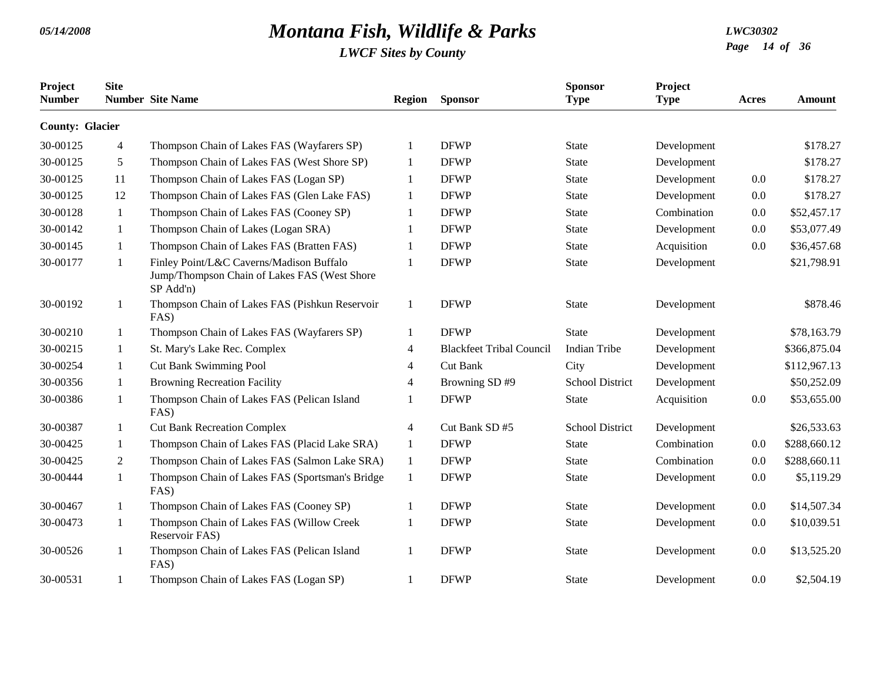| Project<br><b>Number</b> | <b>Site</b>    | <b>Number</b> Site Name                                                                               | <b>Region</b>  | <b>Sponsor</b>                  | <b>Sponsor</b><br><b>Type</b> | Project<br><b>Type</b> | Acres   | <b>Amount</b> |
|--------------------------|----------------|-------------------------------------------------------------------------------------------------------|----------------|---------------------------------|-------------------------------|------------------------|---------|---------------|
| <b>County: Glacier</b>   |                |                                                                                                       |                |                                 |                               |                        |         |               |
| 30-00125                 | 4              | Thompson Chain of Lakes FAS (Wayfarers SP)                                                            | 1              | <b>DFWP</b>                     | <b>State</b>                  | Development            |         | \$178.27      |
| 30-00125                 | 5              | Thompson Chain of Lakes FAS (West Shore SP)                                                           | -1             | <b>DFWP</b>                     | <b>State</b>                  | Development            |         | \$178.27      |
| 30-00125                 | 11             | Thompson Chain of Lakes FAS (Logan SP)                                                                | $\mathbf{1}$   | <b>DFWP</b>                     | <b>State</b>                  | Development            | 0.0     | \$178.27      |
| 30-00125                 | 12             | Thompson Chain of Lakes FAS (Glen Lake FAS)                                                           | 1              | <b>DFWP</b>                     | <b>State</b>                  | Development            | 0.0     | \$178.27      |
| 30-00128                 | 1              | Thompson Chain of Lakes FAS (Cooney SP)                                                               |                | <b>DFWP</b>                     | <b>State</b>                  | Combination            | 0.0     | \$52,457.17   |
| 30-00142                 | 1              | Thompson Chain of Lakes (Logan SRA)                                                                   |                | <b>DFWP</b>                     | <b>State</b>                  | Development            | 0.0     | \$53,077.49   |
| 30-00145                 | 1              | Thompson Chain of Lakes FAS (Bratten FAS)                                                             | 1              | <b>DFWP</b>                     | <b>State</b>                  | Acquisition            | 0.0     | \$36,457.68   |
| 30-00177                 | 1              | Finley Point/L&C Caverns/Madison Buffalo<br>Jump/Thompson Chain of Lakes FAS (West Shore<br>SP Add'n) | $\mathbf{1}$   | <b>DFWP</b>                     | <b>State</b>                  | Development            |         | \$21,798.91   |
| 30-00192                 | 1              | Thompson Chain of Lakes FAS (Pishkun Reservoir<br>FAS)                                                | 1              | <b>DFWP</b>                     | <b>State</b>                  | Development            |         | \$878.46      |
| 30-00210                 | 1              | Thompson Chain of Lakes FAS (Wayfarers SP)                                                            | -1             | <b>DFWP</b>                     | <b>State</b>                  | Development            |         | \$78,163.79   |
| 30-00215                 | 1              | St. Mary's Lake Rec. Complex                                                                          | $\overline{4}$ | <b>Blackfeet Tribal Council</b> | <b>Indian Tribe</b>           | Development            |         | \$366,875.04  |
| 30-00254                 | $\mathbf{1}$   | <b>Cut Bank Swimming Pool</b>                                                                         | $\overline{4}$ | <b>Cut Bank</b>                 | City                          | Development            |         | \$112,967.13  |
| 30-00356                 | 1              | <b>Browning Recreation Facility</b>                                                                   | $\overline{4}$ | Browning SD #9                  | <b>School District</b>        | Development            |         | \$50,252.09   |
| 30-00386                 | 1              | Thompson Chain of Lakes FAS (Pelican Island<br>FAS)                                                   |                | <b>DFWP</b>                     | <b>State</b>                  | Acquisition            | $0.0\,$ | \$53,655.00   |
| 30-00387                 | 1              | <b>Cut Bank Recreation Complex</b>                                                                    | 4              | Cut Bank SD #5                  | <b>School District</b>        | Development            |         | \$26,533.63   |
| 30-00425                 | 1              | Thompson Chain of Lakes FAS (Placid Lake SRA)                                                         | $\mathbf{1}$   | <b>DFWP</b>                     | <b>State</b>                  | Combination            | 0.0     | \$288,660.12  |
| 30-00425                 | $\overline{2}$ | Thompson Chain of Lakes FAS (Salmon Lake SRA)                                                         | 1              | <b>DFWP</b>                     | <b>State</b>                  | Combination            | 0.0     | \$288,660.11  |
| 30-00444                 | 1              | Thompson Chain of Lakes FAS (Sportsman's Bridge<br>FAS)                                               | 1              | <b>DFWP</b>                     | <b>State</b>                  | Development            | 0.0     | \$5,119.29    |
| 30-00467                 | 1              | Thompson Chain of Lakes FAS (Cooney SP)                                                               | -1             | <b>DFWP</b>                     | <b>State</b>                  | Development            | 0.0     | \$14,507.34   |
| 30-00473                 | 1              | Thompson Chain of Lakes FAS (Willow Creek<br>Reservoir FAS)                                           | -1             | <b>DFWP</b>                     | <b>State</b>                  | Development            | 0.0     | \$10,039.51   |
| 30-00526                 | 1              | Thompson Chain of Lakes FAS (Pelican Island<br>FAS)                                                   | $\mathbf{1}$   | <b>DFWP</b>                     | <b>State</b>                  | Development            | 0.0     | \$13,525.20   |
| 30-00531                 | 1              | Thompson Chain of Lakes FAS (Logan SP)                                                                |                | <b>DFWP</b>                     | <b>State</b>                  | Development            | 0.0     | \$2,504.19    |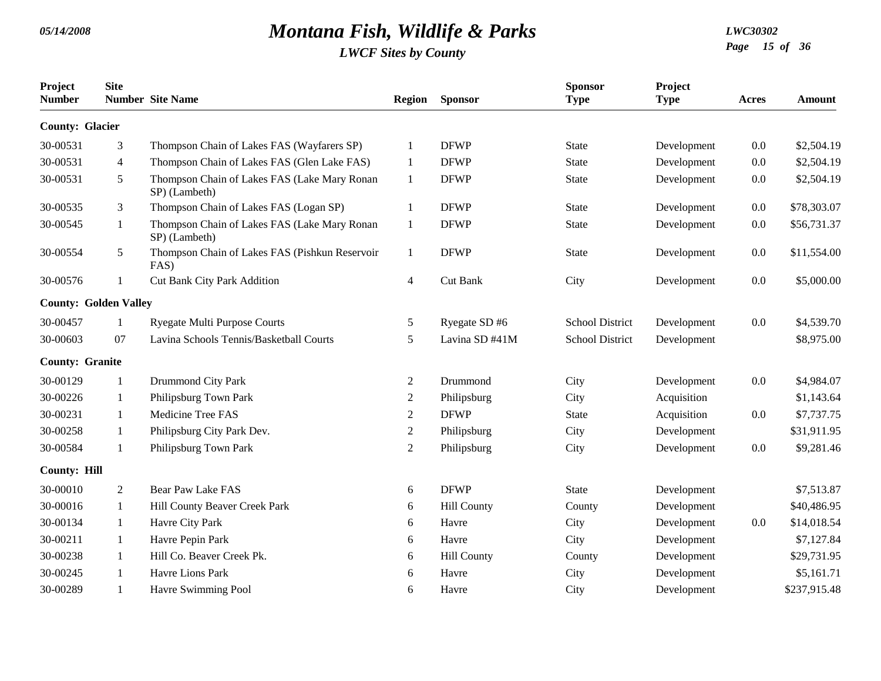| Project<br><b>Number</b>     | <b>Site</b>    | <b>Number Site Name</b>                                       | Region         | <b>Sponsor</b>     | <b>Sponsor</b><br><b>Type</b> | Project<br><b>Type</b> | Acres   | <b>Amount</b> |
|------------------------------|----------------|---------------------------------------------------------------|----------------|--------------------|-------------------------------|------------------------|---------|---------------|
| <b>County: Glacier</b>       |                |                                                               |                |                    |                               |                        |         |               |
| 30-00531                     | 3              | Thompson Chain of Lakes FAS (Wayfarers SP)                    | $\mathbf{1}$   | <b>DFWP</b>        | <b>State</b>                  | Development            | 0.0     | \$2,504.19    |
| 30-00531                     | $\overline{4}$ | Thompson Chain of Lakes FAS (Glen Lake FAS)                   | 1              | <b>DFWP</b>        | <b>State</b>                  | Development            | 0.0     | \$2,504.19    |
| 30-00531                     | 5              | Thompson Chain of Lakes FAS (Lake Mary Ronan<br>SP) (Lambeth) | $\mathbf{1}$   | <b>DFWP</b>        | <b>State</b>                  | Development            | 0.0     | \$2,504.19    |
| 30-00535                     | 3              | Thompson Chain of Lakes FAS (Logan SP)                        | $\mathbf{1}$   | <b>DFWP</b>        | <b>State</b>                  | Development            | 0.0     | \$78,303.07   |
| 30-00545                     | 1              | Thompson Chain of Lakes FAS (Lake Mary Ronan<br>SP) (Lambeth) | -1             | <b>DFWP</b>        | <b>State</b>                  | Development            | 0.0     | \$56,731.37   |
| 30-00554                     | 5              | Thompson Chain of Lakes FAS (Pishkun Reservoir<br>FAS)        | $\mathbf{1}$   | <b>DFWP</b>        | <b>State</b>                  | Development            | $0.0\,$ | \$11,554.00   |
| 30-00576                     | 1              | <b>Cut Bank City Park Addition</b>                            | $\overline{4}$ | Cut Bank           | City                          | Development            | 0.0     | \$5,000.00    |
| <b>County: Golden Valley</b> |                |                                                               |                |                    |                               |                        |         |               |
| 30-00457                     | $\mathbf{1}$   | <b>Ryegate Multi Purpose Courts</b>                           | 5              | Ryegate SD#6       | <b>School District</b>        | Development            | 0.0     | \$4,539.70    |
| 30-00603                     | 07             | Lavina Schools Tennis/Basketball Courts                       | 5              | Lavina SD #41M     | <b>School District</b>        | Development            |         | \$8,975.00    |
| <b>County: Granite</b>       |                |                                                               |                |                    |                               |                        |         |               |
| 30-00129                     | $\mathbf{1}$   | Drummond City Park                                            | $\overline{2}$ | Drummond           | City                          | Development            | 0.0     | \$4,984.07    |
| 30-00226                     | 1              | Philipsburg Town Park                                         | $\mathbf{2}$   | Philipsburg        | City                          | Acquisition            |         | \$1,143.64    |
| 30-00231                     | $\mathbf{1}$   | Medicine Tree FAS                                             | 2              | <b>DFWP</b>        | <b>State</b>                  | Acquisition            | 0.0     | \$7,737.75    |
| 30-00258                     | $\mathbf{1}$   | Philipsburg City Park Dev.                                    | $\overline{2}$ | Philipsburg        | City                          | Development            |         | \$31,911.95   |
| 30-00584                     | $\mathbf{1}$   | Philipsburg Town Park                                         | $\overline{2}$ | Philipsburg        | City                          | Development            | 0.0     | \$9,281.46    |
| <b>County: Hill</b>          |                |                                                               |                |                    |                               |                        |         |               |
| 30-00010                     | $\overline{2}$ | <b>Bear Paw Lake FAS</b>                                      | 6              | <b>DFWP</b>        | <b>State</b>                  | Development            |         | \$7,513.87    |
| 30-00016                     | $\mathbf{1}$   | Hill County Beaver Creek Park                                 | 6              | <b>Hill County</b> | County                        | Development            |         | \$40,486.95   |
| 30-00134                     | $\mathbf{1}$   | Havre City Park                                               | 6              | Havre              | City                          | Development            | 0.0     | \$14,018.54   |
| 30-00211                     | 1              | Havre Pepin Park                                              | 6              | Havre              | City                          | Development            |         | \$7,127.84    |
| 30-00238                     | $\mathbf{1}$   | Hill Co. Beaver Creek Pk.                                     | 6              | <b>Hill County</b> | County                        | Development            |         | \$29,731.95   |
| 30-00245                     | 1              | <b>Havre Lions Park</b>                                       | 6              | Havre              | City                          | Development            |         | \$5,161.71    |
| 30-00289                     | 1              | Havre Swimming Pool                                           | 6              | Havre              | City                          | Development            |         | \$237,915.48  |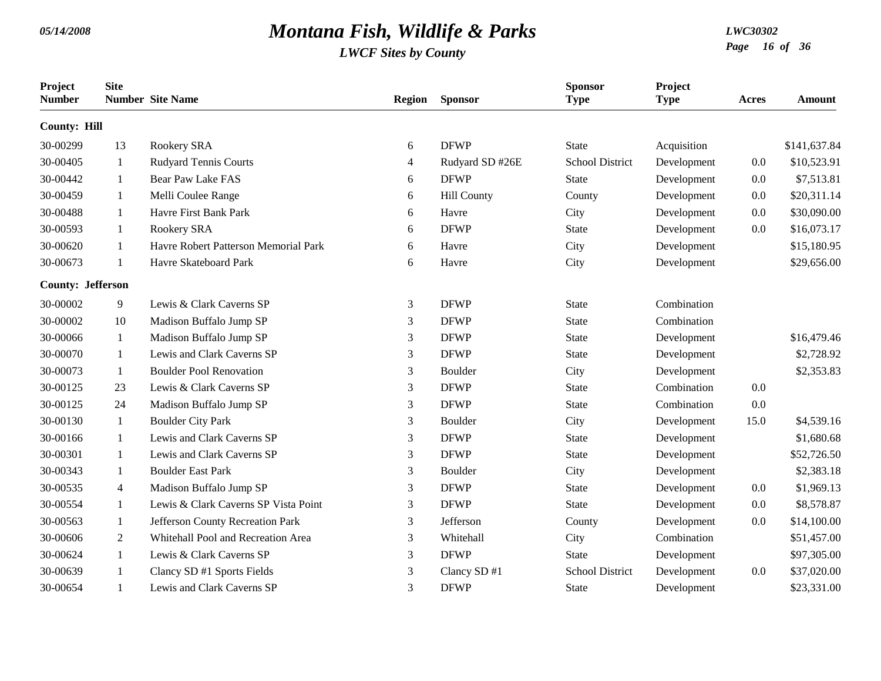| Project<br><b>Number</b> | <b>Site</b>    | <b>Number</b> Site Name              | Region         | <b>Sponsor</b>     | <b>Sponsor</b><br><b>Type</b> | Project<br><b>Type</b> | Acres   | Amount       |
|--------------------------|----------------|--------------------------------------|----------------|--------------------|-------------------------------|------------------------|---------|--------------|
| <b>County: Hill</b>      |                |                                      |                |                    |                               |                        |         |              |
| 30-00299                 | 13             | Rookery SRA                          | 6              | <b>DFWP</b>        | <b>State</b>                  | Acquisition            |         | \$141,637.84 |
| 30-00405                 | -1             | <b>Rudyard Tennis Courts</b>         | $\overline{4}$ | Rudyard SD #26E    | School District               | Development            | 0.0     | \$10,523.91  |
| 30-00442                 | -1             | <b>Bear Paw Lake FAS</b>             | 6              | <b>DFWP</b>        | <b>State</b>                  | Development            | 0.0     | \$7,513.81   |
| 30-00459                 | 1              | Melli Coulee Range                   | 6              | <b>Hill County</b> | County                        | Development            | $0.0\,$ | \$20,311.14  |
| 30-00488                 | 1              | Havre First Bank Park                | 6              | Havre              | City                          | Development            | 0.0     | \$30,090.00  |
| 30-00593                 | 1              | Rookery SRA                          | 6              | <b>DFWP</b>        | <b>State</b>                  | Development            | 0.0     | \$16,073.17  |
| 30-00620                 | -1             | Havre Robert Patterson Memorial Park | 6              | Havre              | City                          | Development            |         | \$15,180.95  |
| 30-00673                 | 1              | Havre Skateboard Park                | 6              | Havre              | City                          | Development            |         | \$29,656.00  |
| <b>County: Jefferson</b> |                |                                      |                |                    |                               |                        |         |              |
| 30-00002                 | 9              | Lewis & Clark Caverns SP             | 3              | <b>DFWP</b>        | <b>State</b>                  | Combination            |         |              |
| 30-00002                 | 10             | Madison Buffalo Jump SP              | 3              | <b>DFWP</b>        | <b>State</b>                  | Combination            |         |              |
| 30-00066                 | 1              | Madison Buffalo Jump SP              | 3              | <b>DFWP</b>        | <b>State</b>                  | Development            |         | \$16,479.46  |
| 30-00070                 | -1             | Lewis and Clark Caverns SP           | 3              | <b>DFWP</b>        | <b>State</b>                  | Development            |         | \$2,728.92   |
| 30-00073                 | -1             | <b>Boulder Pool Renovation</b>       | 3              | Boulder            | City                          | Development            |         | \$2,353.83   |
| 30-00125                 | 23             | Lewis & Clark Caverns SP             | 3              | <b>DFWP</b>        | <b>State</b>                  | Combination            | 0.0     |              |
| 30-00125                 | 24             | Madison Buffalo Jump SP              | 3              | <b>DFWP</b>        | <b>State</b>                  | Combination            | 0.0     |              |
| 30-00130                 | 1              | <b>Boulder City Park</b>             | 3              | Boulder            | City                          | Development            | 15.0    | \$4,539.16   |
| 30-00166                 | -1             | Lewis and Clark Caverns SP           | 3              | <b>DFWP</b>        | <b>State</b>                  | Development            |         | \$1,680.68   |
| 30-00301                 | -1             | Lewis and Clark Caverns SP           | 3              | <b>DFWP</b>        | <b>State</b>                  | Development            |         | \$52,726.50  |
| 30-00343                 | -1             | <b>Boulder East Park</b>             | 3              | Boulder            | City                          | Development            |         | \$2,383.18   |
| 30-00535                 | $\overline{4}$ | Madison Buffalo Jump SP              | 3              | <b>DFWP</b>        | <b>State</b>                  | Development            | 0.0     | \$1,969.13   |
| 30-00554                 | 1              | Lewis & Clark Caverns SP Vista Point | 3              | <b>DFWP</b>        | <b>State</b>                  | Development            | 0.0     | \$8,578.87   |
| 30-00563                 | -1             | Jefferson County Recreation Park     | 3              | Jefferson          | County                        | Development            | 0.0     | \$14,100.00  |
| 30-00606                 | 2              | Whitehall Pool and Recreation Area   | 3              | Whitehall          | City                          | Combination            |         | \$51,457.00  |
| 30-00624                 | -1             | Lewis & Clark Caverns SP             | 3              | <b>DFWP</b>        | <b>State</b>                  | Development            |         | \$97,305.00  |
| 30-00639                 | -1             | Clancy SD #1 Sports Fields           | 3              | Clancy SD #1       | <b>School District</b>        | Development            | 0.0     | \$37,020.00  |
| 30-00654                 | -1             | Lewis and Clark Caverns SP           | 3              | <b>DFWP</b>        | <b>State</b>                  | Development            |         | \$23,331.00  |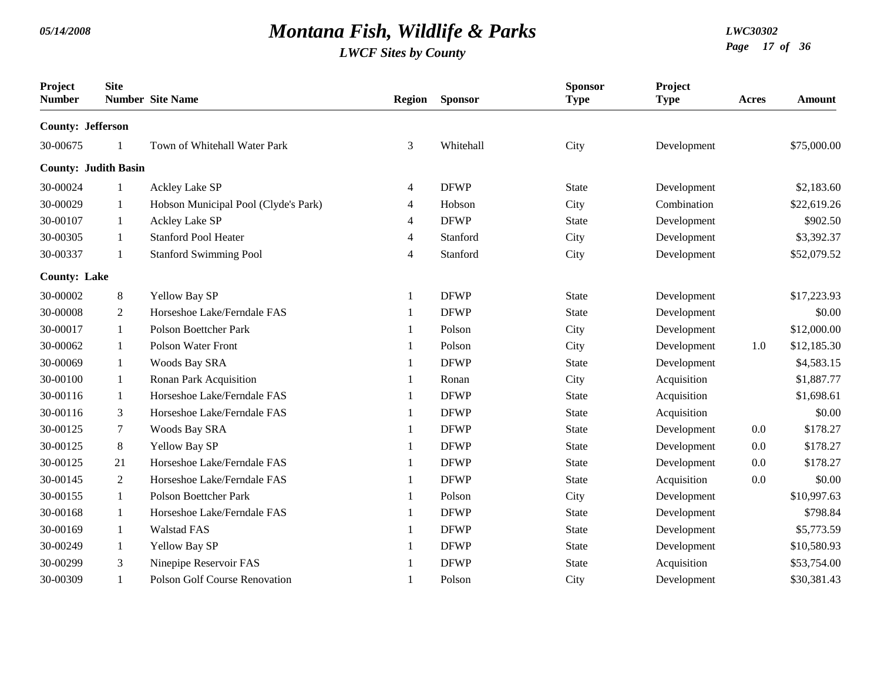| Project<br><b>Number</b>    | <b>Site</b>    | <b>Number</b> Site Name              | Region | <b>Sponsor</b> | <b>Sponsor</b><br><b>Type</b> | Project<br><b>Type</b> | Acres | <b>Amount</b> |
|-----------------------------|----------------|--------------------------------------|--------|----------------|-------------------------------|------------------------|-------|---------------|
| <b>County: Jefferson</b>    |                |                                      |        |                |                               |                        |       |               |
| 30-00675                    |                | Town of Whitehall Water Park         | 3      | Whitehall      | City                          | Development            |       | \$75,000.00   |
| <b>County: Judith Basin</b> |                |                                      |        |                |                               |                        |       |               |
| 30-00024                    | 1              | <b>Ackley Lake SP</b>                | 4      | <b>DFWP</b>    | <b>State</b>                  | Development            |       | \$2,183.60    |
| 30-00029                    | 1              | Hobson Municipal Pool (Clyde's Park) | 4      | Hobson         | City                          | Combination            |       | \$22,619.26   |
| 30-00107                    | 1              | Ackley Lake SP                       | 4      | <b>DFWP</b>    | <b>State</b>                  | Development            |       | \$902.50      |
| 30-00305                    | 1              | <b>Stanford Pool Heater</b>          | 4      | Stanford       | City                          | Development            |       | \$3,392.37    |
| 30-00337                    | 1              | <b>Stanford Swimming Pool</b>        | 4      | Stanford       | City                          | Development            |       | \$52,079.52   |
| <b>County: Lake</b>         |                |                                      |        |                |                               |                        |       |               |
| 30-00002                    | $\,8\,$        | Yellow Bay SP                        | -1     | <b>DFWP</b>    | <b>State</b>                  | Development            |       | \$17,223.93   |
| 30-00008                    | $\overline{2}$ | Horseshoe Lake/Ferndale FAS          |        | <b>DFWP</b>    | <b>State</b>                  | Development            |       | \$0.00        |
| 30-00017                    | 1              | <b>Polson Boettcher Park</b>         |        | Polson         | City                          | Development            |       | \$12,000.00   |
| 30-00062                    | 1              | <b>Polson Water Front</b>            |        | Polson         | City                          | Development            | 1.0   | \$12,185.30   |
| 30-00069                    | 1              | Woods Bay SRA                        |        | <b>DFWP</b>    | <b>State</b>                  | Development            |       | \$4,583.15    |
| 30-00100                    | -1             | Ronan Park Acquisition               |        | Ronan          | City                          | Acquisition            |       | \$1,887.77    |
| 30-00116                    | 1              | Horseshoe Lake/Ferndale FAS          |        | <b>DFWP</b>    | <b>State</b>                  | Acquisition            |       | \$1,698.61    |
| 30-00116                    | 3              | Horseshoe Lake/Ferndale FAS          |        | <b>DFWP</b>    | <b>State</b>                  | Acquisition            |       | \$0.00        |
| 30-00125                    | $\tau$         | <b>Woods Bay SRA</b>                 |        | <b>DFWP</b>    | <b>State</b>                  | Development            | 0.0   | \$178.27      |
| 30-00125                    | 8              | Yellow Bay SP                        |        | <b>DFWP</b>    | <b>State</b>                  | Development            | 0.0   | \$178.27      |
| 30-00125                    | 21             | Horseshoe Lake/Ferndale FAS          |        | <b>DFWP</b>    | <b>State</b>                  | Development            | 0.0   | \$178.27      |
| 30-00145                    | $\overline{2}$ | Horseshoe Lake/Ferndale FAS          |        | <b>DFWP</b>    | <b>State</b>                  | Acquisition            | 0.0   | \$0.00        |
| 30-00155                    | 1              | <b>Polson Boettcher Park</b>         |        | Polson         | City                          | Development            |       | \$10,997.63   |
| 30-00168                    | 1              | Horseshoe Lake/Ferndale FAS          |        | <b>DFWP</b>    | <b>State</b>                  | Development            |       | \$798.84      |
| 30-00169                    | 1              | <b>Walstad FAS</b>                   |        | <b>DFWP</b>    | <b>State</b>                  | Development            |       | \$5,773.59    |
| 30-00249                    | 1              | Yellow Bay SP                        |        | <b>DFWP</b>    | <b>State</b>                  | Development            |       | \$10,580.93   |
| 30-00299                    | 3              | Ninepipe Reservoir FAS               |        | <b>DFWP</b>    | <b>State</b>                  | Acquisition            |       | \$53,754.00   |
| 30-00309                    | $\mathbf{1}$   | <b>Polson Golf Course Renovation</b> | -1     | Polson         | City                          | Development            |       | \$30,381.43   |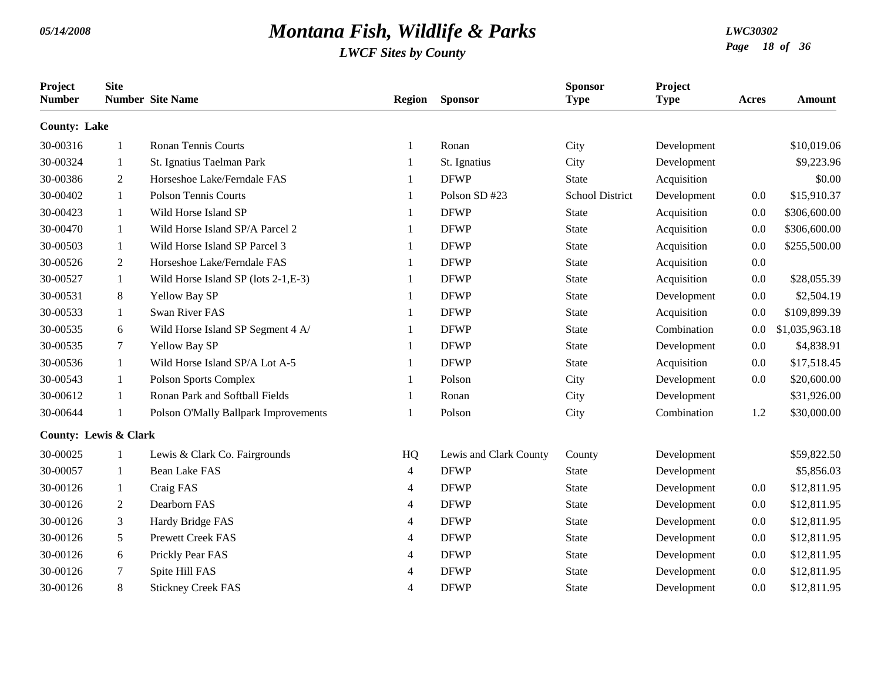| Project<br><b>Number</b>         | <b>Site</b>    | <b>Number</b> Site Name              | <b>Region</b>  | <b>Sponsor</b>         | <b>Sponsor</b><br><b>Type</b> | Project<br><b>Type</b> | Acres | <b>Amount</b>  |
|----------------------------------|----------------|--------------------------------------|----------------|------------------------|-------------------------------|------------------------|-------|----------------|
| <b>County: Lake</b>              |                |                                      |                |                        |                               |                        |       |                |
| 30-00316                         | 1              | <b>Ronan Tennis Courts</b>           | $\mathbf{1}$   | Ronan                  | City                          | Development            |       | \$10,019.06    |
| 30-00324                         | $\mathbf{1}$   | St. Ignatius Taelman Park            |                | St. Ignatius           | City                          | Development            |       | \$9,223.96     |
| 30-00386                         | $\overline{2}$ | Horseshoe Lake/Ferndale FAS          | $\mathbf{1}$   | <b>DFWP</b>            | <b>State</b>                  | Acquisition            |       | \$0.00         |
| 30-00402                         | $\mathbf{1}$   | <b>Polson Tennis Courts</b>          | $\mathbf{1}$   | Polson SD #23          | <b>School District</b>        | Development            | 0.0   | \$15,910.37    |
| 30-00423                         | $\mathbf{1}$   | Wild Horse Island SP                 | -1             | <b>DFWP</b>            | <b>State</b>                  | Acquisition            | 0.0   | \$306,600.00   |
| 30-00470                         | $\mathbf{1}$   | Wild Horse Island SP/A Parcel 2      | $\mathbf{1}$   | <b>DFWP</b>            | <b>State</b>                  | Acquisition            | 0.0   | \$306,600.00   |
| 30-00503                         | $\mathbf{1}$   | Wild Horse Island SP Parcel 3        | -1             | <b>DFWP</b>            | <b>State</b>                  | Acquisition            | 0.0   | \$255,500.00   |
| 30-00526                         | $\overline{2}$ | Horseshoe Lake/Ferndale FAS          | $\mathbf{1}$   | <b>DFWP</b>            | <b>State</b>                  | Acquisition            | 0.0   |                |
| 30-00527                         | 1              | Wild Horse Island SP (lots 2-1, E-3) | $\mathbf{1}$   | <b>DFWP</b>            | <b>State</b>                  | Acquisition            | 0.0   | \$28,055.39    |
| 30-00531                         | 8              | Yellow Bay SP                        |                | <b>DFWP</b>            | <b>State</b>                  | Development            | 0.0   | \$2,504.19     |
| 30-00533                         | $\mathbf{1}$   | Swan River FAS                       | $\mathbf{1}$   | <b>DFWP</b>            | <b>State</b>                  | Acquisition            | 0.0   | \$109,899.39   |
| 30-00535                         | 6              | Wild Horse Island SP Segment 4 A/    | -1             | <b>DFWP</b>            | <b>State</b>                  | Combination            | 0.0   | \$1,035,963.18 |
| 30-00535                         | $\tau$         | Yellow Bay SP                        | $\mathbf{1}$   | <b>DFWP</b>            | <b>State</b>                  | Development            | 0.0   | \$4,838.91     |
| 30-00536                         | $\mathbf{1}$   | Wild Horse Island SP/A Lot A-5       |                | <b>DFWP</b>            | <b>State</b>                  | Acquisition            | 0.0   | \$17,518.45    |
| 30-00543                         | $\mathbf{1}$   | <b>Polson Sports Complex</b>         | $\mathbf{1}$   | Polson                 | City                          | Development            | 0.0   | \$20,600.00    |
| 30-00612                         | 1              | Ronan Park and Softball Fields       | $\mathbf{1}$   | Ronan                  | City                          | Development            |       | \$31,926.00    |
| 30-00644                         | 1              | Polson O'Mally Ballpark Improvements | 1              | Polson                 | City                          | Combination            | 1.2   | \$30,000.00    |
| <b>County: Lewis &amp; Clark</b> |                |                                      |                |                        |                               |                        |       |                |
| 30-00025                         | 1              | Lewis & Clark Co. Fairgrounds        | HQ             | Lewis and Clark County | County                        | Development            |       | \$59,822.50    |
| 30-00057                         | 1              | <b>Bean Lake FAS</b>                 | $\overline{4}$ | <b>DFWP</b>            | <b>State</b>                  | Development            |       | \$5,856.03     |
| 30-00126                         | $\mathbf{1}$   | Craig FAS                            | $\overline{4}$ | <b>DFWP</b>            | <b>State</b>                  | Development            | 0.0   | \$12,811.95    |
| 30-00126                         | $\overline{2}$ | Dearborn FAS                         | $\overline{4}$ | <b>DFWP</b>            | <b>State</b>                  | Development            | 0.0   | \$12,811.95    |
| 30-00126                         | 3              | Hardy Bridge FAS                     | 4              | <b>DFWP</b>            | <b>State</b>                  | Development            | 0.0   | \$12,811.95    |
| 30-00126                         | 5              | <b>Prewett Creek FAS</b>             | 4              | <b>DFWP</b>            | <b>State</b>                  | Development            | 0.0   | \$12,811.95    |
| 30-00126                         | 6              | Prickly Pear FAS                     | $\overline{4}$ | <b>DFWP</b>            | <b>State</b>                  | Development            | 0.0   | \$12,811.95    |
| 30-00126                         | 7              | Spite Hill FAS                       | $\overline{4}$ | <b>DFWP</b>            | <b>State</b>                  | Development            | 0.0   | \$12,811.95    |
| 30-00126                         | 8              | <b>Stickney Creek FAS</b>            | $\overline{4}$ | <b>DFWP</b>            | <b>State</b>                  | Development            | 0.0   | \$12,811.95    |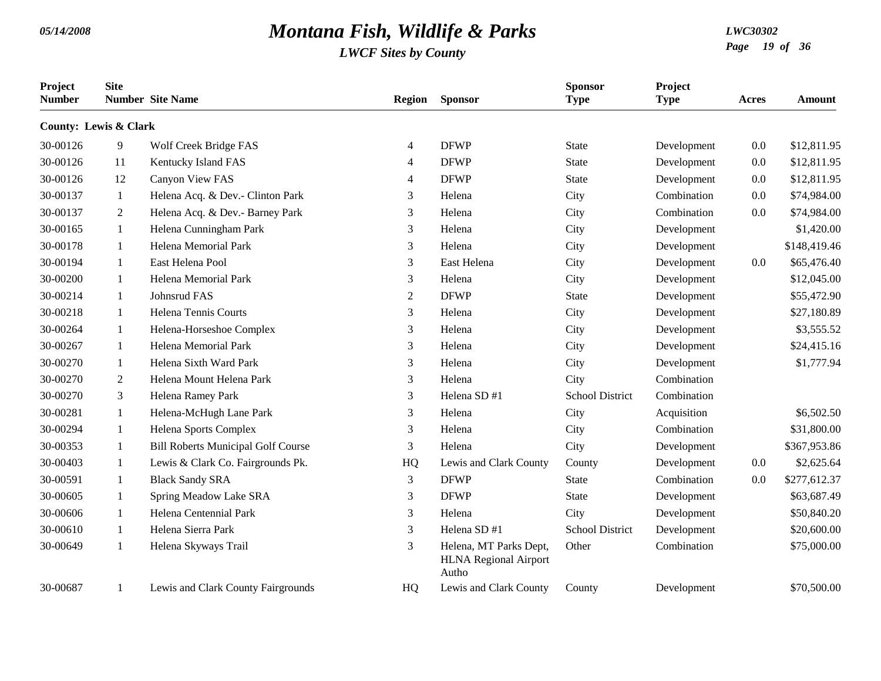| Project<br><b>Number</b> | <b>Site</b>                      | <b>Number</b> Site Name                   | <b>Region</b>  | <b>Sponsor</b>                                                  | <b>Sponsor</b><br><b>Type</b> | Project<br><b>Type</b> | Acres   | Amount       |
|--------------------------|----------------------------------|-------------------------------------------|----------------|-----------------------------------------------------------------|-------------------------------|------------------------|---------|--------------|
|                          | <b>County: Lewis &amp; Clark</b> |                                           |                |                                                                 |                               |                        |         |              |
| 30-00126                 | $\overline{9}$                   | Wolf Creek Bridge FAS                     | 4              | <b>DFWP</b>                                                     | <b>State</b>                  | Development            | 0.0     | \$12,811.95  |
| 30-00126                 | 11                               | Kentucky Island FAS                       | $\overline{4}$ | <b>DFWP</b>                                                     | <b>State</b>                  | Development            | 0.0     | \$12,811.95  |
| 30-00126                 | 12                               | Canyon View FAS                           | 4              | <b>DFWP</b>                                                     | <b>State</b>                  | Development            | 0.0     | \$12,811.95  |
| 30-00137                 | 1                                | Helena Acq. & Dev.- Clinton Park          | 3              | Helena                                                          | City                          | Combination            | 0.0     | \$74,984.00  |
| 30-00137                 | 2                                | Helena Acq. & Dev.- Barney Park           | 3              | Helena                                                          | City                          | Combination            | 0.0     | \$74,984.00  |
| 30-00165                 | 1                                | Helena Cunningham Park                    | 3              | Helena                                                          | City                          | Development            |         | \$1,420.00   |
| 30-00178                 | 1                                | Helena Memorial Park                      | 3              | Helena                                                          | City                          | Development            |         | \$148,419.46 |
| 30-00194                 | 1                                | East Helena Pool                          | 3              | East Helena                                                     | City                          | Development            | 0.0     | \$65,476.40  |
| 30-00200                 | 1                                | Helena Memorial Park                      | 3              | Helena                                                          | City                          | Development            |         | \$12,045.00  |
| 30-00214                 | 1                                | Johnsrud FAS                              | $\overline{2}$ | <b>DFWP</b>                                                     | <b>State</b>                  | Development            |         | \$55,472.90  |
| 30-00218                 | $\mathbf{1}$                     | Helena Tennis Courts                      | 3              | Helena                                                          | City                          | Development            |         | \$27,180.89  |
| 30-00264                 | 1                                | Helena-Horseshoe Complex                  | 3              | Helena                                                          | City                          | Development            |         | \$3,555.52   |
| 30-00267                 | $\mathbf{1}$                     | Helena Memorial Park                      | 3              | Helena                                                          | City                          | Development            |         | \$24,415.16  |
| 30-00270                 | 1                                | Helena Sixth Ward Park                    | 3              | Helena                                                          | City                          | Development            |         | \$1,777.94   |
| 30-00270                 | 2                                | Helena Mount Helena Park                  | 3              | Helena                                                          | City                          | Combination            |         |              |
| 30-00270                 | 3                                | Helena Ramey Park                         | 3              | Helena SD #1                                                    | <b>School District</b>        | Combination            |         |              |
| 30-00281                 | 1                                | Helena-McHugh Lane Park                   | 3              | Helena                                                          | City                          | Acquisition            |         | \$6,502.50   |
| 30-00294                 | $\mathbf{1}$                     | Helena Sports Complex                     | 3              | Helena                                                          | City                          | Combination            |         | \$31,800.00  |
| 30-00353                 | -1                               | <b>Bill Roberts Municipal Golf Course</b> | 3              | Helena                                                          | City                          | Development            |         | \$367,953.86 |
| 30-00403                 | 1                                | Lewis & Clark Co. Fairgrounds Pk.         | HQ             | Lewis and Clark County                                          | County                        | Development            | $0.0\,$ | \$2,625.64   |
| 30-00591                 | 1                                | <b>Black Sandy SRA</b>                    | $\mathfrak{Z}$ | <b>DFWP</b>                                                     | <b>State</b>                  | Combination            | 0.0     | \$277,612.37 |
| 30-00605                 | 1                                | Spring Meadow Lake SRA                    | 3              | <b>DFWP</b>                                                     | <b>State</b>                  | Development            |         | \$63,687.49  |
| 30-00606                 | $\mathbf{1}$                     | Helena Centennial Park                    | 3              | Helena                                                          | City                          | Development            |         | \$50,840.20  |
| 30-00610                 | 1                                | Helena Sierra Park                        | 3              | Helena SD #1                                                    | <b>School District</b>        | Development            |         | \$20,600.00  |
| 30-00649                 | 1                                | Helena Skyways Trail                      | 3              | Helena, MT Parks Dept,<br><b>HLNA</b> Regional Airport<br>Autho | Other                         | Combination            |         | \$75,000.00  |
| 30-00687                 | -1                               | Lewis and Clark County Fairgrounds        | HQ             | Lewis and Clark County                                          | County                        | Development            |         | \$70,500.00  |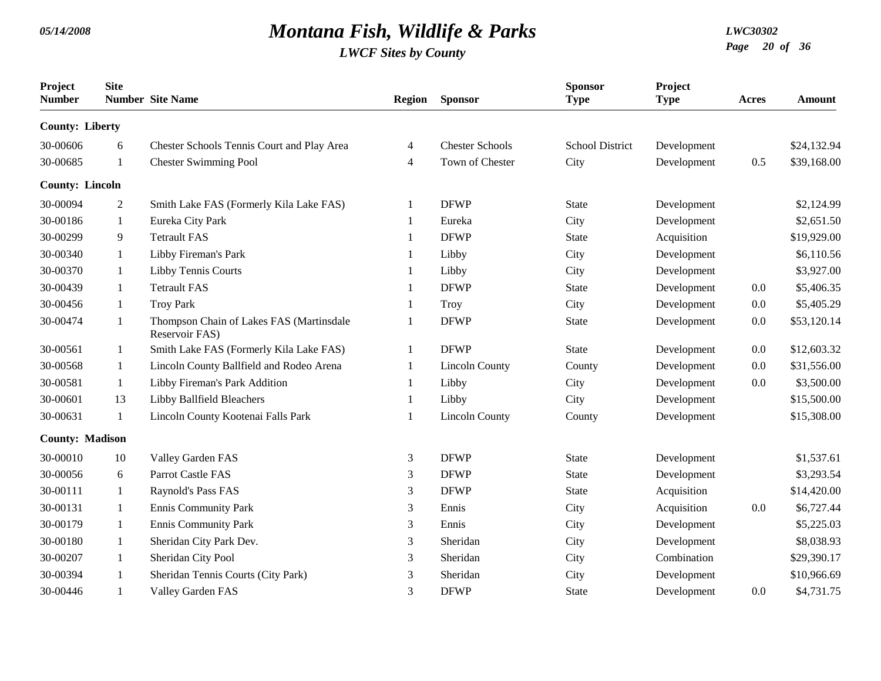| Project<br><b>Number</b> | <b>Site</b>    | <b>Number</b> Site Name                                    | <b>Region</b>  | <b>Sponsor</b>         | <b>Sponsor</b><br><b>Type</b> | Project<br><b>Type</b> | Acres | <b>Amount</b> |
|--------------------------|----------------|------------------------------------------------------------|----------------|------------------------|-------------------------------|------------------------|-------|---------------|
| <b>County: Liberty</b>   |                |                                                            |                |                        |                               |                        |       |               |
| 30-00606                 | 6              | Chester Schools Tennis Court and Play Area                 | 4              | <b>Chester Schools</b> | <b>School District</b>        | Development            |       | \$24,132.94   |
| 30-00685                 | $\mathbf{1}$   | <b>Chester Swimming Pool</b>                               | 4              | Town of Chester        | City                          | Development            | 0.5   | \$39,168.00   |
| <b>County: Lincoln</b>   |                |                                                            |                |                        |                               |                        |       |               |
| 30-00094                 | $\overline{2}$ | Smith Lake FAS (Formerly Kila Lake FAS)                    | -1             | <b>DFWP</b>            | <b>State</b>                  | Development            |       | \$2,124.99    |
| 30-00186                 | 1              | Eureka City Park                                           | $\mathbf{1}$   | Eureka                 | City                          | Development            |       | \$2,651.50    |
| 30-00299                 | 9              | <b>Tetrault FAS</b>                                        |                | <b>DFWP</b>            | State                         | Acquisition            |       | \$19,929.00   |
| 30-00340                 | $\mathbf{1}$   | Libby Fireman's Park                                       | -1             | Libby                  | City                          | Development            |       | \$6,110.56    |
| 30-00370                 | $\mathbf{1}$   | Libby Tennis Courts                                        | -1             | Libby                  | City                          | Development            |       | \$3,927.00    |
| 30-00439                 | 1              | <b>Tetrault FAS</b>                                        | -1             | <b>DFWP</b>            | <b>State</b>                  | Development            | 0.0   | \$5,406.35    |
| 30-00456                 | 1              | <b>Troy Park</b>                                           | -1             | Troy                   | City                          | Development            | 0.0   | \$5,405.29    |
| 30-00474                 | 1              | Thompson Chain of Lakes FAS (Martinsdale<br>Reservoir FAS) | -1             | <b>DFWP</b>            | <b>State</b>                  | Development            | 0.0   | \$53,120.14   |
| 30-00561                 | 1              | Smith Lake FAS (Formerly Kila Lake FAS)                    | -1             | <b>DFWP</b>            | <b>State</b>                  | Development            | 0.0   | \$12,603.32   |
| 30-00568                 | 1              | Lincoln County Ballfield and Rodeo Arena                   |                | <b>Lincoln County</b>  | County                        | Development            | 0.0   | \$31,556.00   |
| 30-00581                 | 1              | Libby Fireman's Park Addition                              | -1             | Libby                  | City                          | Development            | 0.0   | \$3,500.00    |
| 30-00601                 | 13             | Libby Ballfield Bleachers                                  | 1              | Libby                  | City                          | Development            |       | \$15,500.00   |
| 30-00631                 | 1              | Lincoln County Kootenai Falls Park                         | 1              | <b>Lincoln County</b>  | County                        | Development            |       | \$15,308.00   |
| <b>County: Madison</b>   |                |                                                            |                |                        |                               |                        |       |               |
| 30-00010                 | 10             | Valley Garden FAS                                          | $\mathfrak{Z}$ | <b>DFWP</b>            | <b>State</b>                  | Development            |       | \$1,537.61    |
| 30-00056                 | 6              | Parrot Castle FAS                                          | 3              | <b>DFWP</b>            | <b>State</b>                  | Development            |       | \$3,293.54    |
| 30-00111                 | 1              | Raynold's Pass FAS                                         | 3              | <b>DFWP</b>            | <b>State</b>                  | Acquisition            |       | \$14,420.00   |
| 30-00131                 | 1              | <b>Ennis Community Park</b>                                | 3              | Ennis                  | City                          | Acquisition            | 0.0   | \$6,727.44    |
| 30-00179                 | 1              | <b>Ennis Community Park</b>                                | 3              | Ennis                  | City                          | Development            |       | \$5,225.03    |
| 30-00180                 | 1              | Sheridan City Park Dev.                                    | 3              | Sheridan               | City                          | Development            |       | \$8,038.93    |
| 30-00207                 | 1              | Sheridan City Pool                                         | 3              | Sheridan               | City                          | Combination            |       | \$29,390.17   |
| 30-00394                 | 1              | Sheridan Tennis Courts (City Park)                         | 3              | Sheridan               | City                          | Development            |       | \$10,966.69   |
| 30-00446                 |                | Valley Garden FAS                                          | 3              | <b>DFWP</b>            | <b>State</b>                  | Development            | 0.0   | \$4,731.75    |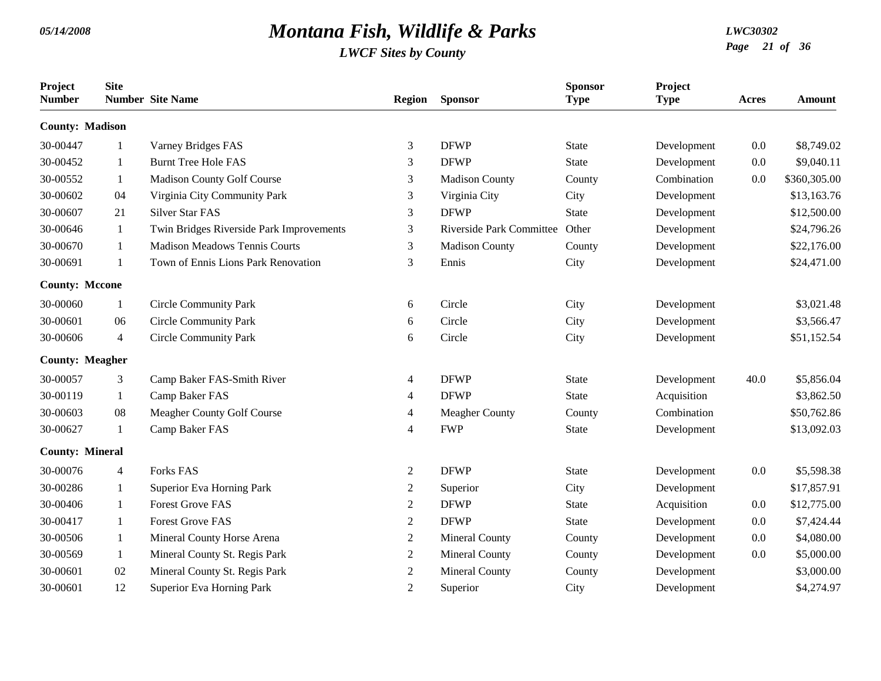| Project<br><b>Number</b> | <b>Site</b>    | <b>Number Site Name</b>                  | <b>Region</b>  | <b>Sponsor</b>                 | <b>Sponsor</b><br><b>Type</b> | Project<br><b>Type</b> | Acres | <b>Amount</b> |
|--------------------------|----------------|------------------------------------------|----------------|--------------------------------|-------------------------------|------------------------|-------|---------------|
| <b>County: Madison</b>   |                |                                          |                |                                |                               |                        |       |               |
| 30-00447                 | -1             | Varney Bridges FAS                       | 3              | <b>DFWP</b>                    | <b>State</b>                  | Development            | 0.0   | \$8,749.02    |
| 30-00452                 | 1              | <b>Burnt Tree Hole FAS</b>               | 3              | <b>DFWP</b>                    | <b>State</b>                  | Development            | 0.0   | \$9,040.11    |
| 30-00552                 | $\mathbf{1}$   | Madison County Golf Course               | 3              | <b>Madison County</b>          | County                        | Combination            | 0.0   | \$360,305.00  |
| 30-00602                 | 04             | Virginia City Community Park             | 3              | Virginia City                  | City                          | Development            |       | \$13,163.76   |
| 30-00607                 | 21             | <b>Silver Star FAS</b>                   | 3              | <b>DFWP</b>                    | <b>State</b>                  | Development            |       | \$12,500.00   |
| 30-00646                 | 1              | Twin Bridges Riverside Park Improvements | 3              | Riverside Park Committee Other |                               | Development            |       | \$24,796.26   |
| 30-00670                 | -1             | <b>Madison Meadows Tennis Courts</b>     | 3              | <b>Madison County</b>          | County                        | Development            |       | \$22,176.00   |
| 30-00691                 | 1              | Town of Ennis Lions Park Renovation      | 3              | Ennis                          | City                          | Development            |       | \$24,471.00   |
| <b>County: Mccone</b>    |                |                                          |                |                                |                               |                        |       |               |
| 30-00060                 | 1              | <b>Circle Community Park</b>             | 6              | Circle                         | City                          | Development            |       | \$3,021.48    |
| 30-00601                 | 06             | <b>Circle Community Park</b>             | 6              | Circle                         | City                          | Development            |       | \$3,566.47    |
| 30-00606                 | $\overline{4}$ | <b>Circle Community Park</b>             | 6              | Circle                         | City                          | Development            |       | \$51,152.54   |
| <b>County: Meagher</b>   |                |                                          |                |                                |                               |                        |       |               |
| 30-00057                 | 3              | Camp Baker FAS-Smith River               | 4              | <b>DFWP</b>                    | <b>State</b>                  | Development            | 40.0  | \$5,856.04    |
| 30-00119                 | $\mathbf{1}$   | Camp Baker FAS                           | 4              | <b>DFWP</b>                    | State                         | Acquisition            |       | \$3,862.50    |
| 30-00603                 | 08             | Meagher County Golf Course               | 4              | <b>Meagher County</b>          | County                        | Combination            |       | \$50,762.86   |
| 30-00627                 | $\mathbf{1}$   | Camp Baker FAS                           | 4              | <b>FWP</b>                     | <b>State</b>                  | Development            |       | \$13,092.03   |
| <b>County: Mineral</b>   |                |                                          |                |                                |                               |                        |       |               |
| 30-00076                 | $\overline{4}$ | <b>Forks FAS</b>                         | $\overline{c}$ | <b>DFWP</b>                    | <b>State</b>                  | Development            | 0.0   | \$5,598.38    |
| 30-00286                 | 1              | <b>Superior Eva Horning Park</b>         | 2              | Superior                       | City                          | Development            |       | \$17,857.91   |
| 30-00406                 | 1              | <b>Forest Grove FAS</b>                  | $\overline{c}$ | <b>DFWP</b>                    | <b>State</b>                  | Acquisition            | 0.0   | \$12,775.00   |
| 30-00417                 | 1              | <b>Forest Grove FAS</b>                  | $\overline{c}$ | <b>DFWP</b>                    | <b>State</b>                  | Development            | 0.0   | \$7,424.44    |
| 30-00506                 | 1              | Mineral County Horse Arena               | $\overline{c}$ | <b>Mineral County</b>          | County                        | Development            | 0.0   | \$4,080.00    |
| 30-00569                 | 1              | Mineral County St. Regis Park            | 2              | <b>Mineral County</b>          | County                        | Development            | 0.0   | \$5,000.00    |
| 30-00601                 | 02             | Mineral County St. Regis Park            | 2              | <b>Mineral County</b>          | County                        | Development            |       | \$3,000.00    |
| 30-00601                 | 12             | Superior Eva Horning Park                | $\overline{2}$ | Superior                       | City                          | Development            |       | \$4,274.97    |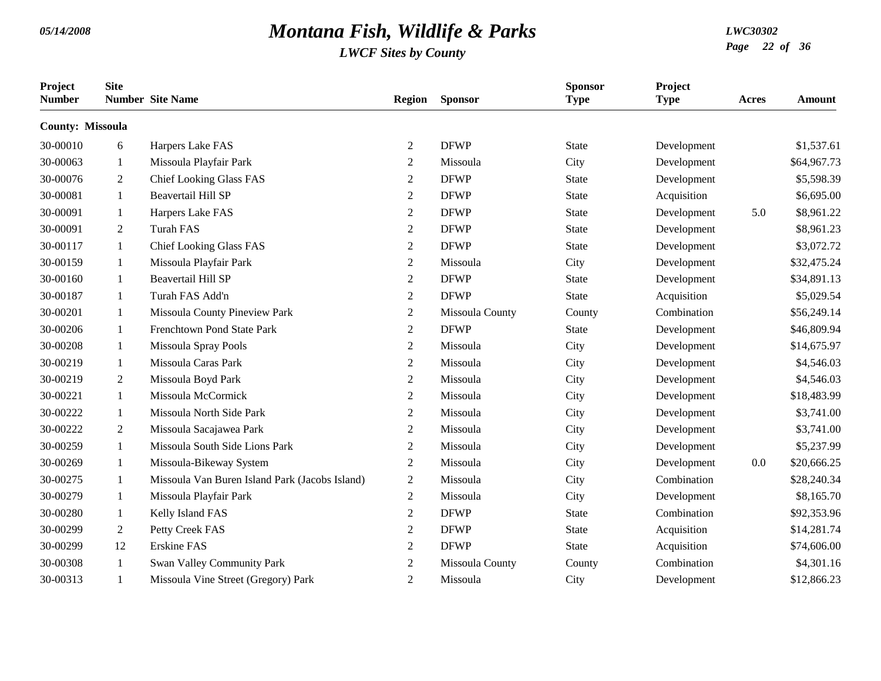| Project<br><b>Number</b> | <b>Site</b>  | <b>Number</b> Site Name                        | <b>Region</b>    | <b>Sponsor</b>  | <b>Sponsor</b><br><b>Type</b> | Project<br><b>Type</b> | Acres | Amount      |
|--------------------------|--------------|------------------------------------------------|------------------|-----------------|-------------------------------|------------------------|-------|-------------|
| <b>County: Missoula</b>  |              |                                                |                  |                 |                               |                        |       |             |
| 30-00010                 | 6            | Harpers Lake FAS                               | $\mathbf{2}$     | <b>DFWP</b>     | <b>State</b>                  | Development            |       | \$1,537.61  |
| 30-00063                 | 1            | Missoula Playfair Park                         | $\overline{2}$   | Missoula        | City                          | Development            |       | \$64,967.73 |
| 30-00076                 | 2            | <b>Chief Looking Glass FAS</b>                 | 2                | <b>DFWP</b>     | <b>State</b>                  | Development            |       | \$5,598.39  |
| 30-00081                 | 1            | <b>Beavertail Hill SP</b>                      | $\overline{2}$   | <b>DFWP</b>     | <b>State</b>                  | Acquisition            |       | \$6,695.00  |
| 30-00091                 | -1           | Harpers Lake FAS                               | $\overline{2}$   | <b>DFWP</b>     | <b>State</b>                  | Development            | 5.0   | \$8,961.22  |
| 30-00091                 | 2            | <b>Turah FAS</b>                               | $\mathbf{2}$     | <b>DFWP</b>     | <b>State</b>                  | Development            |       | \$8,961.23  |
| 30-00117                 | $\mathbf{1}$ | <b>Chief Looking Glass FAS</b>                 | $\boldsymbol{2}$ | <b>DFWP</b>     | <b>State</b>                  | Development            |       | \$3,072.72  |
| 30-00159                 | 1            | Missoula Playfair Park                         | $\overline{2}$   | Missoula        | City                          | Development            |       | \$32,475.24 |
| 30-00160                 | -1           | <b>Beavertail Hill SP</b>                      | $\overline{2}$   | <b>DFWP</b>     | <b>State</b>                  | Development            |       | \$34,891.13 |
| 30-00187                 | 1            | Turah FAS Add'n                                | $\overline{2}$   | <b>DFWP</b>     | <b>State</b>                  | Acquisition            |       | \$5,029.54  |
| 30-00201                 | 1            | Missoula County Pineview Park                  | $\overline{c}$   | Missoula County | County                        | Combination            |       | \$56,249.14 |
| 30-00206                 | $\mathbf{1}$ | Frenchtown Pond State Park                     | $\boldsymbol{2}$ | <b>DFWP</b>     | <b>State</b>                  | Development            |       | \$46,809.94 |
| 30-00208                 | -1           | <b>Missoula Spray Pools</b>                    | $\overline{2}$   | Missoula        | City                          | Development            |       | \$14,675.97 |
| 30-00219                 | 1            | Missoula Caras Park                            | $\overline{2}$   | Missoula        | City                          | Development            |       | \$4,546.03  |
| 30-00219                 | 2            | Missoula Boyd Park                             | $\overline{2}$   | Missoula        | City                          | Development            |       | \$4,546.03  |
| 30-00221                 | 1            | Missoula McCormick                             | $\mathbf{2}$     | Missoula        | City                          | Development            |       | \$18,483.99 |
| 30-00222                 | 1            | Missoula North Side Park                       | $\mathbf{2}$     | Missoula        | City                          | Development            |       | \$3,741.00  |
| 30-00222                 | 2            | Missoula Sacajawea Park                        | $\overline{2}$   | Missoula        | City                          | Development            |       | \$3,741.00  |
| 30-00259                 | 1            | Missoula South Side Lions Park                 | $\overline{2}$   | Missoula        | City                          | Development            |       | \$5,237.99  |
| 30-00269                 | 1            | Missoula-Bikeway System                        | $\overline{2}$   | Missoula        | City                          | Development            | 0.0   | \$20,666.25 |
| 30-00275                 | 1            | Missoula Van Buren Island Park (Jacobs Island) | $\boldsymbol{2}$ | Missoula        | City                          | Combination            |       | \$28,240.34 |
| 30-00279                 | 1            | Missoula Playfair Park                         | $\overline{2}$   | Missoula        | City                          | Development            |       | \$8,165.70  |
| 30-00280                 | 1            | Kelly Island FAS                               | $\overline{2}$   | <b>DFWP</b>     | <b>State</b>                  | Combination            |       | \$92,353.96 |
| 30-00299                 | 2            | Petty Creek FAS                                | 2                | <b>DFWP</b>     | <b>State</b>                  | Acquisition            |       | \$14,281.74 |
| 30-00299                 | 12           | <b>Erskine FAS</b>                             | $\overline{2}$   | <b>DFWP</b>     | <b>State</b>                  | Acquisition            |       | \$74,606.00 |
| 30-00308                 | -1           | Swan Valley Community Park                     | $\overline{2}$   | Missoula County | County                        | Combination            |       | \$4,301.16  |
| 30-00313                 | $\mathbf{1}$ | Missoula Vine Street (Gregory) Park            | $\mathbf{2}$     | Missoula        | City                          | Development            |       | \$12,866.23 |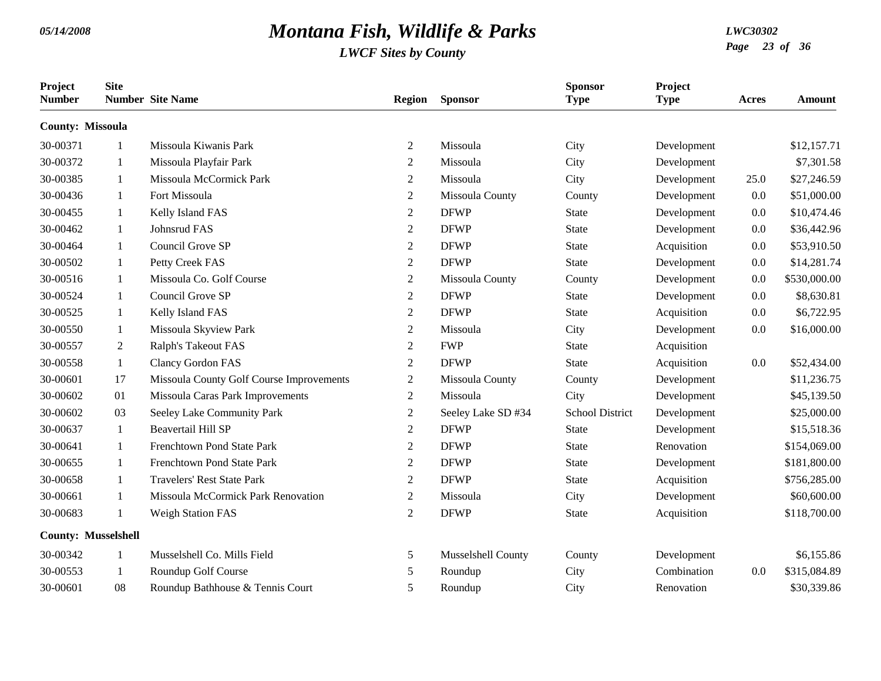| Project<br><b>Number</b>   | <b>Site</b>  | <b>Number</b> Site Name                  | <b>Region</b>  | <b>Sponsor</b>     | <b>Sponsor</b><br><b>Type</b> | Project<br><b>Type</b> | Acres | Amount       |
|----------------------------|--------------|------------------------------------------|----------------|--------------------|-------------------------------|------------------------|-------|--------------|
| <b>County: Missoula</b>    |              |                                          |                |                    |                               |                        |       |              |
| 30-00371                   | 1            | Missoula Kiwanis Park                    | 2              | Missoula           | City                          | Development            |       | \$12,157.71  |
| 30-00372                   | -1           | Missoula Playfair Park                   | 2              | Missoula           | City                          | Development            |       | \$7,301.58   |
| 30-00385                   | -1           | Missoula McCormick Park                  | $\mathbf{2}$   | Missoula           | City                          | Development            | 25.0  | \$27,246.59  |
| 30-00436                   | 1            | Fort Missoula                            | $\overline{2}$ | Missoula County    | County                        | Development            | 0.0   | \$51,000.00  |
| 30-00455                   | 1            | Kelly Island FAS                         | 2              | <b>DFWP</b>        | <b>State</b>                  | Development            | 0.0   | \$10,474.46  |
| 30-00462                   | -1           | Johnsrud FAS                             | $\mathbf{2}$   | <b>DFWP</b>        | <b>State</b>                  | Development            | 0.0   | \$36,442.96  |
| 30-00464                   | -1           | Council Grove SP                         | $\overline{2}$ | <b>DFWP</b>        | <b>State</b>                  | Acquisition            | 0.0   | \$53,910.50  |
| 30-00502                   | -1           | Petty Creek FAS                          | 2              | <b>DFWP</b>        | <b>State</b>                  | Development            | 0.0   | \$14,281.74  |
| 30-00516                   | -1           | Missoula Co. Golf Course                 | $\overline{2}$ | Missoula County    | County                        | Development            | 0.0   | \$530,000.00 |
| 30-00524                   | -1           | Council Grove SP                         | 2              | <b>DFWP</b>        | <b>State</b>                  | Development            | 0.0   | \$8,630.81   |
| 30-00525                   | -1           | Kelly Island FAS                         | $\overline{2}$ | <b>DFWP</b>        | <b>State</b>                  | Acquisition            | 0.0   | \$6,722.95   |
| 30-00550                   | -1           | Missoula Skyview Park                    | $\overline{2}$ | Missoula           | City                          | Development            | 0.0   | \$16,000.00  |
| 30-00557                   | 2            | Ralph's Takeout FAS                      | $\overline{2}$ | <b>FWP</b>         | <b>State</b>                  | Acquisition            |       |              |
| 30-00558                   | -1           | <b>Clancy Gordon FAS</b>                 | 2              | <b>DFWP</b>        | <b>State</b>                  | Acquisition            | 0.0   | \$52,434.00  |
| 30-00601                   | 17           | Missoula County Golf Course Improvements | $\overline{2}$ | Missoula County    | County                        | Development            |       | \$11,236.75  |
| 30-00602                   | 01           | Missoula Caras Park Improvements         | $\overline{2}$ | Missoula           | City                          | Development            |       | \$45,139.50  |
| 30-00602                   | 03           | Seeley Lake Community Park               | 2              | Seeley Lake SD #34 | <b>School District</b>        | Development            |       | \$25,000.00  |
| 30-00637                   | -1           | <b>Beavertail Hill SP</b>                | $\overline{2}$ | <b>DFWP</b>        | <b>State</b>                  | Development            |       | \$15,518.36  |
| 30-00641                   | $\mathbf{1}$ | Frenchtown Pond State Park               | 2              | <b>DFWP</b>        | <b>State</b>                  | Renovation             |       | \$154,069.00 |
| 30-00655                   | -1           | Frenchtown Pond State Park               | 2              | <b>DFWP</b>        | <b>State</b>                  | Development            |       | \$181,800.00 |
| 30-00658                   | -1           | <b>Travelers' Rest State Park</b>        | $\mathbf{2}$   | <b>DFWP</b>        | <b>State</b>                  | Acquisition            |       | \$756,285.00 |
| 30-00661                   | -1           | Missoula McCormick Park Renovation       | $\overline{2}$ | Missoula           | City                          | Development            |       | \$60,600.00  |
| 30-00683                   | $\mathbf{1}$ | <b>Weigh Station FAS</b>                 | 2              | <b>DFWP</b>        | <b>State</b>                  | Acquisition            |       | \$118,700.00 |
| <b>County: Musselshell</b> |              |                                          |                |                    |                               |                        |       |              |
| 30-00342                   | $\mathbf{1}$ | Musselshell Co. Mills Field              | 5              | Musselshell County | County                        | Development            |       | \$6,155.86   |
| 30-00553                   | 1            | Roundup Golf Course                      | 5              | Roundup            | City                          | Combination            | 0.0   | \$315,084.89 |
| 30-00601                   | 08           | Roundup Bathhouse & Tennis Court         | 5              | Roundup            | City                          | Renovation             |       | \$30,339.86  |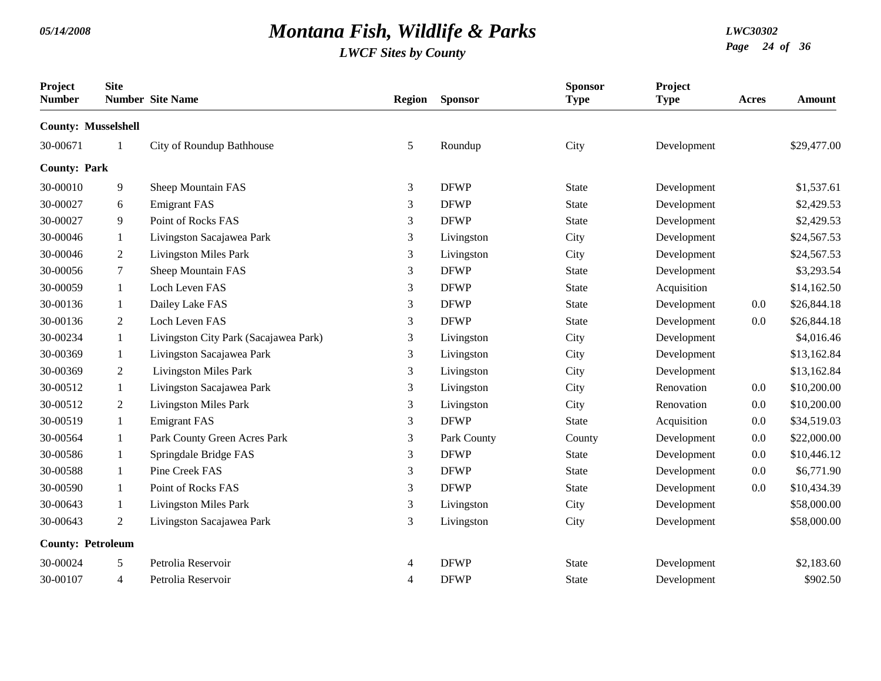| Project<br><b>Number</b>   | <b>Site</b>    | <b>Number</b> Site Name               | <b>Region</b> | <b>Sponsor</b> | <b>Sponsor</b><br><b>Type</b> | Project<br><b>Type</b> | Acres | <b>Amount</b> |
|----------------------------|----------------|---------------------------------------|---------------|----------------|-------------------------------|------------------------|-------|---------------|
| <b>County: Musselshell</b> |                |                                       |               |                |                               |                        |       |               |
| 30-00671                   |                | City of Roundup Bathhouse             | 5             | Roundup        | City                          | Development            |       | \$29,477.00   |
| <b>County: Park</b>        |                |                                       |               |                |                               |                        |       |               |
| 30-00010                   | 9              | Sheep Mountain FAS                    | 3             | <b>DFWP</b>    | <b>State</b>                  | Development            |       | \$1,537.61    |
| 30-00027                   | 6              | <b>Emigrant FAS</b>                   | 3             | <b>DFWP</b>    | <b>State</b>                  | Development            |       | \$2,429.53    |
| 30-00027                   | 9              | Point of Rocks FAS                    | 3             | <b>DFWP</b>    | <b>State</b>                  | Development            |       | \$2,429.53    |
| 30-00046                   | 1              | Livingston Sacajawea Park             | 3             | Livingston     | City                          | Development            |       | \$24,567.53   |
| 30-00046                   | 2              | <b>Livingston Miles Park</b>          | 3             | Livingston     | City                          | Development            |       | \$24,567.53   |
| 30-00056                   | 7              | Sheep Mountain FAS                    | 3             | <b>DFWP</b>    | <b>State</b>                  | Development            |       | \$3,293.54    |
| 30-00059                   | 1              | Loch Leven FAS                        | 3             | <b>DFWP</b>    | <b>State</b>                  | Acquisition            |       | \$14,162.50   |
| 30-00136                   | 1              | Dailey Lake FAS                       | 3             | <b>DFWP</b>    | State                         | Development            | 0.0   | \$26,844.18   |
| 30-00136                   | 2              | Loch Leven FAS                        | 3             | <b>DFWP</b>    | <b>State</b>                  | Development            | 0.0   | \$26,844.18   |
| 30-00234                   | $\mathbf{1}$   | Livingston City Park (Sacajawea Park) | 3             | Livingston     | City                          | Development            |       | \$4,016.46    |
| 30-00369                   | $\mathbf{1}$   | Livingston Sacajawea Park             | 3             | Livingston     | City                          | Development            |       | \$13,162.84   |
| 30-00369                   | $\overline{2}$ | <b>Livingston Miles Park</b>          | 3             | Livingston     | City                          | Development            |       | \$13,162.84   |
| 30-00512                   | 1              | Livingston Sacajawea Park             | 3             | Livingston     | City                          | Renovation             | 0.0   | \$10,200.00   |
| 30-00512                   | 2              | <b>Livingston Miles Park</b>          | 3             | Livingston     | City                          | Renovation             | 0.0   | \$10,200.00   |
| 30-00519                   | 1              | <b>Emigrant FAS</b>                   | 3             | <b>DFWP</b>    | <b>State</b>                  | Acquisition            | 0.0   | \$34,519.03   |
| 30-00564                   | 1              | Park County Green Acres Park          | 3             | Park County    | County                        | Development            | 0.0   | \$22,000.00   |
| 30-00586                   | 1              | Springdale Bridge FAS                 | 3             | <b>DFWP</b>    | <b>State</b>                  | Development            | 0.0   | \$10,446.12   |
| 30-00588                   | 1              | Pine Creek FAS                        | 3             | <b>DFWP</b>    | <b>State</b>                  | Development            | 0.0   | \$6,771.90    |
| 30-00590                   | 1              | Point of Rocks FAS                    | 3             | <b>DFWP</b>    | <b>State</b>                  | Development            | 0.0   | \$10,434.39   |
| 30-00643                   | 1              | <b>Livingston Miles Park</b>          | 3             | Livingston     | City                          | Development            |       | \$58,000.00   |
| 30-00643                   | 2              | Livingston Sacajawea Park             | 3             | Livingston     | City                          | Development            |       | \$58,000.00   |
| <b>County: Petroleum</b>   |                |                                       |               |                |                               |                        |       |               |
| 30-00024                   | 5              | Petrolia Reservoir                    | 4             | <b>DFWP</b>    | <b>State</b>                  | Development            |       | \$2,183.60    |
| 30-00107                   | $\overline{4}$ | Petrolia Reservoir                    | 4             | <b>DFWP</b>    | <b>State</b>                  | Development            |       | \$902.50      |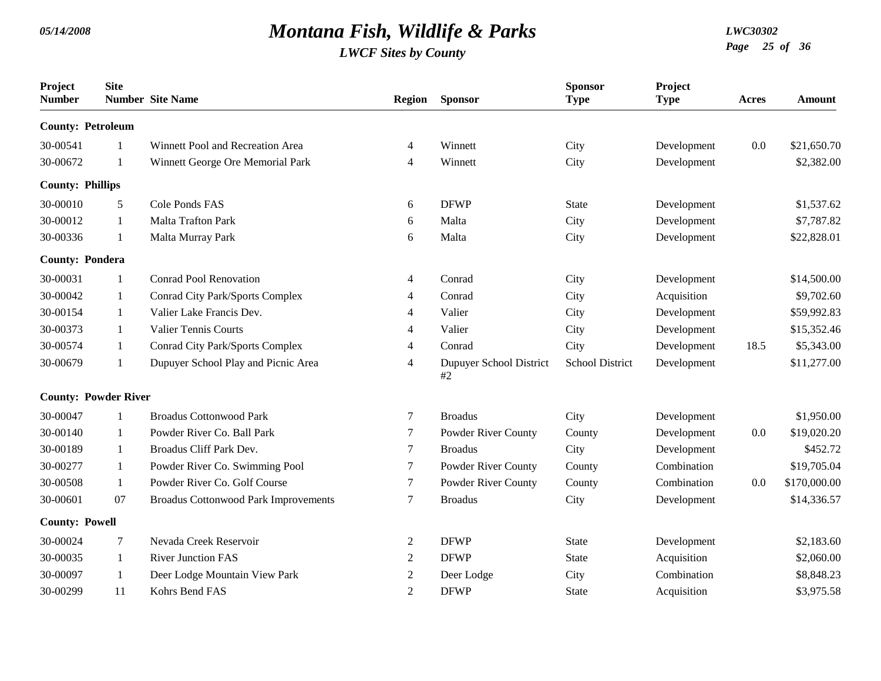| Project<br><b>Number</b> | <b>Site</b>                 | <b>Number</b> Site Name                     | <b>Region</b>  | <b>Sponsor</b>                | <b>Sponsor</b><br><b>Type</b> | Project<br><b>Type</b> | Acres | Amount       |
|--------------------------|-----------------------------|---------------------------------------------|----------------|-------------------------------|-------------------------------|------------------------|-------|--------------|
| <b>County: Petroleum</b> |                             |                                             |                |                               |                               |                        |       |              |
| 30-00541                 |                             | Winnett Pool and Recreation Area            | 4              | Winnett                       | City                          | Development            | 0.0   | \$21,650.70  |
| 30-00672                 | 1                           | Winnett George Ore Memorial Park            | 4              | Winnett                       | City                          | Development            |       | \$2,382.00   |
| <b>County: Phillips</b>  |                             |                                             |                |                               |                               |                        |       |              |
| 30-00010                 | 5                           | Cole Ponds FAS                              | 6              | <b>DFWP</b>                   | <b>State</b>                  | Development            |       | \$1,537.62   |
| 30-00012                 | 1                           | Malta Trafton Park                          | 6              | Malta                         | City                          | Development            |       | \$7,787.82   |
| 30-00336                 | -1                          | Malta Murray Park                           | 6              | Malta                         | City                          | Development            |       | \$22,828.01  |
| <b>County: Pondera</b>   |                             |                                             |                |                               |                               |                        |       |              |
| 30-00031                 | -1                          | <b>Conrad Pool Renovation</b>               | 4              | Conrad                        | City                          | Development            |       | \$14,500.00  |
| 30-00042                 | -1                          | Conrad City Park/Sports Complex             | 4              | Conrad                        | City                          | Acquisition            |       | \$9,702.60   |
| 30-00154                 | 1                           | Valier Lake Francis Dev.                    | 4              | Valier                        | City                          | Development            |       | \$59,992.83  |
| 30-00373                 | -1                          | <b>Valier Tennis Courts</b>                 | 4              | Valier                        | City                          | Development            |       | \$15,352.46  |
| 30-00574                 | 1                           | Conrad City Park/Sports Complex             | 4              | Conrad                        | City                          | Development            | 18.5  | \$5,343.00   |
| 30-00679                 | $\mathbf{1}$                | Dupuyer School Play and Picnic Area         | 4              | Dupuyer School District<br>#2 | School District               | Development            |       | \$11,277.00  |
|                          | <b>County: Powder River</b> |                                             |                |                               |                               |                        |       |              |
| 30-00047                 |                             | <b>Broadus Cottonwood Park</b>              | 7              | <b>Broadus</b>                | City                          | Development            |       | \$1,950.00   |
| 30-00140                 | -1                          | Powder River Co. Ball Park                  | 7              | Powder River County           | County                        | Development            | 0.0   | \$19,020.20  |
| 30-00189                 | 1                           | Broadus Cliff Park Dev.                     | 7              | <b>Broadus</b>                | City                          | Development            |       | \$452.72     |
| 30-00277                 | 1                           | Powder River Co. Swimming Pool              | 7              | Powder River County           | County                        | Combination            |       | \$19,705.04  |
| 30-00508                 | 1                           | Powder River Co. Golf Course                | 7              | Powder River County           | County                        | Combination            | 0.0   | \$170,000.00 |
| 30-00601                 | 07                          | <b>Broadus Cottonwood Park Improvements</b> | 7              | <b>Broadus</b>                | City                          | Development            |       | \$14,336.57  |
| <b>County: Powell</b>    |                             |                                             |                |                               |                               |                        |       |              |
| 30-00024                 | 7                           | Nevada Creek Reservoir                      | $\overline{c}$ | <b>DFWP</b>                   | <b>State</b>                  | Development            |       | \$2,183.60   |
| 30-00035                 | 1                           | <b>River Junction FAS</b>                   | $\overline{c}$ | <b>DFWP</b>                   | <b>State</b>                  | Acquisition            |       | \$2,060.00   |
| 30-00097                 | $\mathbf{1}$                | Deer Lodge Mountain View Park               | $\overline{c}$ | Deer Lodge                    | City                          | Combination            |       | \$8,848.23   |
| 30-00299                 | 11                          | Kohrs Bend FAS                              | $\overline{2}$ | <b>DFWP</b>                   | <b>State</b>                  | Acquisition            |       | \$3,975.58   |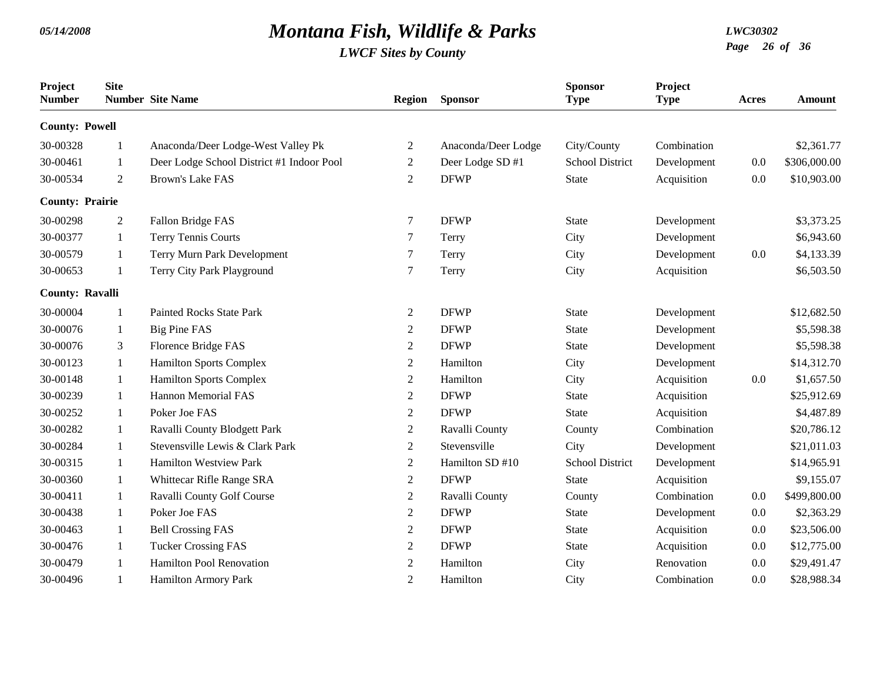| Project<br><b>Number</b> | <b>Site</b>    | <b>Number</b> Site Name                   | <b>Region</b>  | <b>Sponsor</b>      | <b>Sponsor</b><br><b>Type</b> | Project<br><b>Type</b> | Acres | Amount       |
|--------------------------|----------------|-------------------------------------------|----------------|---------------------|-------------------------------|------------------------|-------|--------------|
| <b>County: Powell</b>    |                |                                           |                |                     |                               |                        |       |              |
| 30-00328                 | 1              | Anaconda/Deer Lodge-West Valley Pk        | 2              | Anaconda/Deer Lodge | City/County                   | Combination            |       | \$2,361.77   |
| 30-00461                 | -1             | Deer Lodge School District #1 Indoor Pool | $\overline{c}$ | Deer Lodge SD #1    | <b>School District</b>        | Development            | 0.0   | \$306,000.00 |
| 30-00534                 | $\overline{2}$ | <b>Brown's Lake FAS</b>                   | 2              | <b>DFWP</b>         | <b>State</b>                  | Acquisition            | 0.0   | \$10,903.00  |
| <b>County: Prairie</b>   |                |                                           |                |                     |                               |                        |       |              |
| 30-00298                 | $\overline{2}$ | Fallon Bridge FAS                         | 7              | <b>DFWP</b>         | <b>State</b>                  | Development            |       | \$3,373.25   |
| 30-00377                 | 1              | Terry Tennis Courts                       | 7              | Terry               | City                          | Development            |       | \$6,943.60   |
| 30-00579                 | 1              | Terry Murn Park Development               | 7              | Terry               | City                          | Development            | 0.0   | \$4,133.39   |
| 30-00653                 | 1              | Terry City Park Playground                | 7              | Terry               | City                          | Acquisition            |       | \$6,503.50   |
| County: Ravalli          |                |                                           |                |                     |                               |                        |       |              |
| 30-00004                 |                | <b>Painted Rocks State Park</b>           | $\overline{c}$ | <b>DFWP</b>         | <b>State</b>                  | Development            |       | \$12,682.50  |
| 30-00076                 | 1              | <b>Big Pine FAS</b>                       | $\overline{c}$ | <b>DFWP</b>         | <b>State</b>                  | Development            |       | \$5,598.38   |
| 30-00076                 | 3              | Florence Bridge FAS                       | $\overline{c}$ | <b>DFWP</b>         | <b>State</b>                  | Development            |       | \$5,598.38   |
| 30-00123                 | 1              | <b>Hamilton Sports Complex</b>            | $\overline{c}$ | Hamilton            | City                          | Development            |       | \$14,312.70  |
| 30-00148                 | 1              | <b>Hamilton Sports Complex</b>            | $\overline{c}$ | Hamilton            | City                          | Acquisition            | 0.0   | \$1,657.50   |
| 30-00239                 | 1              | <b>Hannon Memorial FAS</b>                | $\overline{c}$ | <b>DFWP</b>         | <b>State</b>                  | Acquisition            |       | \$25,912.69  |
| 30-00252                 | 1              | Poker Joe FAS                             | $\overline{c}$ | <b>DFWP</b>         | <b>State</b>                  | Acquisition            |       | \$4,487.89   |
| 30-00282                 | 1              | Ravalli County Blodgett Park              | $\overline{c}$ | Ravalli County      | County                        | Combination            |       | \$20,786.12  |
| 30-00284                 | 1              | Stevensville Lewis & Clark Park           | 2              | Stevensville        | City                          | Development            |       | \$21,011.03  |
| 30-00315                 | $\mathbf{1}$   | <b>Hamilton Westview Park</b>             | $\overline{c}$ | Hamilton SD #10     | <b>School District</b>        | Development            |       | \$14,965.91  |
| 30-00360                 | 1              | Whittecar Rifle Range SRA                 | $\overline{c}$ | <b>DFWP</b>         | <b>State</b>                  | Acquisition            |       | \$9,155.07   |
| 30-00411                 | 1              | Ravalli County Golf Course                | $\overline{c}$ | Ravalli County      | County                        | Combination            | 0.0   | \$499,800.00 |
| 30-00438                 | 1              | Poker Joe FAS                             | 2              | <b>DFWP</b>         | <b>State</b>                  | Development            | 0.0   | \$2,363.29   |
| 30-00463                 | 1              | <b>Bell Crossing FAS</b>                  | $\overline{c}$ | <b>DFWP</b>         | <b>State</b>                  | Acquisition            | 0.0   | \$23,506.00  |
| 30-00476                 | 1              | <b>Tucker Crossing FAS</b>                | $\overline{c}$ | <b>DFWP</b>         | <b>State</b>                  | Acquisition            | 0.0   | \$12,775.00  |
| 30-00479                 |                | Hamilton Pool Renovation                  | 2              | Hamilton            | City                          | Renovation             | 0.0   | \$29,491.47  |
| 30-00496                 | $\mathbf{1}$   | <b>Hamilton Armory Park</b>               | $\overline{2}$ | Hamilton            | City                          | Combination            | 0.0   | \$28,988.34  |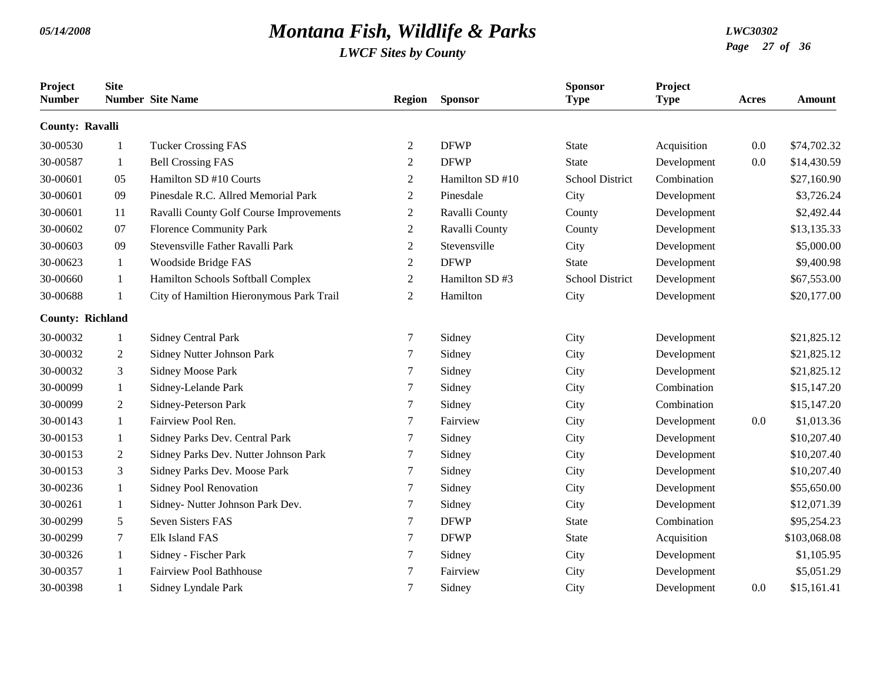| Project<br><b>Number</b> | <b>Site</b>    | <b>Number</b> Site Name                  | <b>Region</b>  | <b>Sponsor</b>  | <b>Sponsor</b><br><b>Type</b> | Project<br><b>Type</b> | Acres | <b>Amount</b> |
|--------------------------|----------------|------------------------------------------|----------------|-----------------|-------------------------------|------------------------|-------|---------------|
| <b>County: Ravalli</b>   |                |                                          |                |                 |                               |                        |       |               |
| 30-00530                 | 1              | <b>Tucker Crossing FAS</b>               | $\overline{2}$ | <b>DFWP</b>     | <b>State</b>                  | Acquisition            | 0.0   | \$74,702.32   |
| 30-00587                 | -1             | <b>Bell Crossing FAS</b>                 | $\overline{2}$ | <b>DFWP</b>     | <b>State</b>                  | Development            | 0.0   | \$14,430.59   |
| 30-00601                 | 05             | Hamilton SD #10 Courts                   | 2              | Hamilton SD #10 | <b>School District</b>        | Combination            |       | \$27,160.90   |
| 30-00601                 | 09             | Pinesdale R.C. Allred Memorial Park      | 2              | Pinesdale       | City                          | Development            |       | \$3,726.24    |
| 30-00601                 | 11             | Ravalli County Golf Course Improvements  | 2              | Ravalli County  | County                        | Development            |       | \$2,492.44    |
| 30-00602                 | 07             | <b>Florence Community Park</b>           | $\overline{2}$ | Ravalli County  | County                        | Development            |       | \$13,135.33   |
| 30-00603                 | 09             | Stevensville Father Ravalli Park         | $\overline{2}$ | Stevensville    | City                          | Development            |       | \$5,000.00    |
| 30-00623                 | 1              | Woodside Bridge FAS                      | $\overline{2}$ | <b>DFWP</b>     | <b>State</b>                  | Development            |       | \$9,400.98    |
| 30-00660                 | 1              | Hamilton Schools Softball Complex        | $\overline{2}$ | Hamilton SD#3   | <b>School District</b>        | Development            |       | \$67,553.00   |
| 30-00688                 | $\mathbf{1}$   | City of Hamiltion Hieronymous Park Trail | $\overline{2}$ | Hamilton        | City                          | Development            |       | \$20,177.00   |
| <b>County: Richland</b>  |                |                                          |                |                 |                               |                        |       |               |
| 30-00032                 | -1             | <b>Sidney Central Park</b>               | 7              | Sidney          | City                          | Development            |       | \$21,825.12   |
| 30-00032                 | $\overline{2}$ | Sidney Nutter Johnson Park               | 7              | Sidney          | City                          | Development            |       | \$21,825.12   |
| 30-00032                 | 3              | Sidney Moose Park                        | 7              | Sidney          | City                          | Development            |       | \$21,825.12   |
| 30-00099                 | 1              | Sidney-Lelande Park                      | 7              | Sidney          | City                          | Combination            |       | \$15,147.20   |
| 30-00099                 | 2              | Sidney-Peterson Park                     | 7              | Sidney          | City                          | Combination            |       | \$15,147.20   |
| 30-00143                 | 1              | Fairview Pool Ren.                       | $\tau$         | Fairview        | City                          | Development            | 0.0   | \$1,013.36    |
| 30-00153                 | -1             | Sidney Parks Dev. Central Park           | 7              | Sidney          | City                          | Development            |       | \$10,207.40   |
| 30-00153                 | 2              | Sidney Parks Dev. Nutter Johnson Park    | 7              | Sidney          | City                          | Development            |       | \$10,207.40   |
| 30-00153                 | 3              | Sidney Parks Dev. Moose Park             | 7              | Sidney          | City                          | Development            |       | \$10,207.40   |
| 30-00236                 | 1              | Sidney Pool Renovation                   | 7              | Sidney          | City                          | Development            |       | \$55,650.00   |
| 30-00261                 | 1              | Sidney- Nutter Johnson Park Dev.         | 7              | Sidney          | City                          | Development            |       | \$12,071.39   |
| 30-00299                 | 5              | Seven Sisters FAS                        | 7              | <b>DFWP</b>     | <b>State</b>                  | Combination            |       | \$95,254.23   |
| 30-00299                 | $\tau$         | <b>Elk Island FAS</b>                    | 7              | <b>DFWP</b>     | <b>State</b>                  | Acquisition            |       | \$103,068.08  |
| 30-00326                 | 1              | Sidney - Fischer Park                    | 7              | Sidney          | City                          | Development            |       | \$1,105.95    |
| 30-00357                 | 1              | <b>Fairview Pool Bathhouse</b>           | $\tau$         | Fairview        | City                          | Development            |       | \$5,051.29    |
| 30-00398                 | $\mathbf{1}$   | Sidney Lyndale Park                      | 7              | Sidney          | City                          | Development            | 0.0   | \$15,161.41   |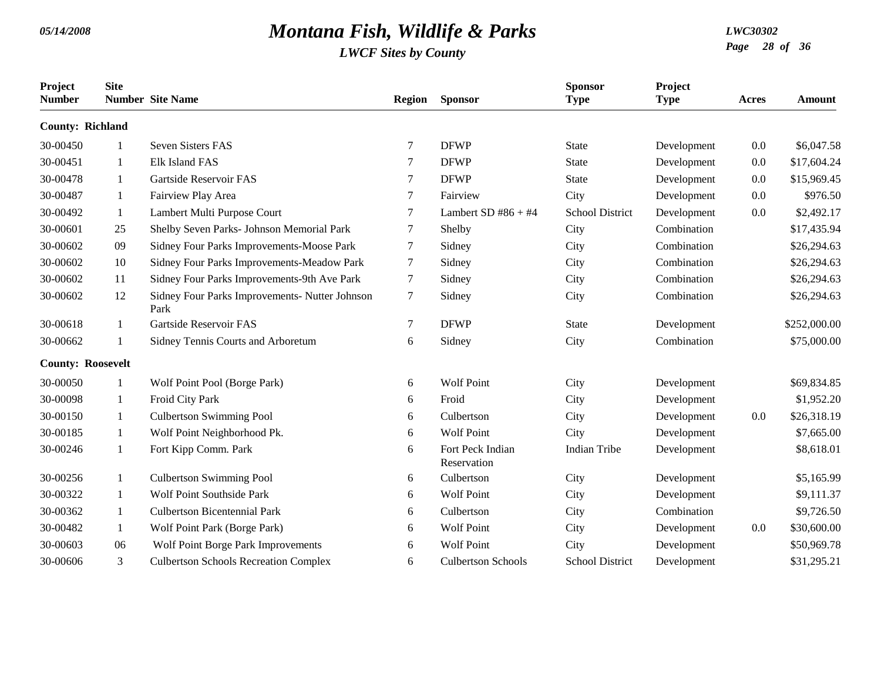| Project<br><b>Number</b> | <b>Site</b> | <b>Number Site Name</b>                                | Region | <b>Sponsor</b>                  | <b>Sponsor</b><br><b>Type</b> | Project<br><b>Type</b> | Acres | <b>Amount</b> |
|--------------------------|-------------|--------------------------------------------------------|--------|---------------------------------|-------------------------------|------------------------|-------|---------------|
| <b>County: Richland</b>  |             |                                                        |        |                                 |                               |                        |       |               |
| 30-00450                 |             | Seven Sisters FAS                                      | 7      | <b>DFWP</b>                     | <b>State</b>                  | Development            | 0.0   | \$6,047.58    |
| 30-00451                 | 1           | Elk Island FAS                                         | 7      | <b>DFWP</b>                     | <b>State</b>                  | Development            | 0.0   | \$17,604.24   |
| 30-00478                 | -1          | Gartside Reservoir FAS                                 | 7      | <b>DFWP</b>                     | State                         | Development            | 0.0   | \$15,969.45   |
| 30-00487                 | 1           | Fairview Play Area                                     | 7      | Fairview                        | City                          | Development            | 0.0   | \$976.50      |
| 30-00492                 | 1           | Lambert Multi Purpose Court                            | 7      | Lambert SD $#86 + #4$           | <b>School District</b>        | Development            | 0.0   | \$2,492.17    |
| 30-00601                 | 25          | Shelby Seven Parks- Johnson Memorial Park              | 7      | Shelby                          | City                          | Combination            |       | \$17,435.94   |
| 30-00602                 | 09          | Sidney Four Parks Improvements-Moose Park              | 7      | Sidney                          | City                          | Combination            |       | \$26,294.63   |
| 30-00602                 | 10          | Sidney Four Parks Improvements-Meadow Park             | 7      | Sidney                          | City                          | Combination            |       | \$26,294.63   |
| 30-00602                 | 11          | Sidney Four Parks Improvements-9th Ave Park            | 7      | Sidney                          | City                          | Combination            |       | \$26,294.63   |
| 30-00602                 | 12          | Sidney Four Parks Improvements- Nutter Johnson<br>Park | 7      | Sidney                          | City                          | Combination            |       | \$26,294.63   |
| 30-00618                 | -1          | Gartside Reservoir FAS                                 | 7      | <b>DFWP</b>                     | <b>State</b>                  | Development            |       | \$252,000.00  |
| 30-00662                 |             | Sidney Tennis Courts and Arboretum                     | 6      | Sidney                          | City                          | Combination            |       | \$75,000.00   |
| <b>County: Roosevelt</b> |             |                                                        |        |                                 |                               |                        |       |               |
| 30-00050                 |             | Wolf Point Pool (Borge Park)                           | 6      | <b>Wolf Point</b>               | City                          | Development            |       | \$69,834.85   |
| 30-00098                 | -1          | Froid City Park                                        | 6      | Froid                           | City                          | Development            |       | \$1,952.20    |
| 30-00150                 | 1           | <b>Culbertson Swimming Pool</b>                        | 6      | Culbertson                      | City                          | Development            | 0.0   | \$26,318.19   |
| 30-00185                 | 1           | Wolf Point Neighborhood Pk.                            | 6      | <b>Wolf Point</b>               | City                          | Development            |       | \$7,665.00    |
| 30-00246                 | 1           | Fort Kipp Comm. Park                                   | 6      | Fort Peck Indian<br>Reservation | <b>Indian Tribe</b>           | Development            |       | \$8,618.01    |
| 30-00256                 | 1           | <b>Culbertson Swimming Pool</b>                        | 6      | Culbertson                      | City                          | Development            |       | \$5,165.99    |
| 30-00322                 | 1           | <b>Wolf Point Southside Park</b>                       | 6      | <b>Wolf Point</b>               | City                          | Development            |       | \$9,111.37    |
| 30-00362                 | 1           | <b>Culbertson Bicentennial Park</b>                    | 6      | Culbertson                      | City                          | Combination            |       | \$9,726.50    |
| 30-00482                 | 1           | Wolf Point Park (Borge Park)                           | 6      | <b>Wolf Point</b>               | City                          | Development            | 0.0   | \$30,600.00   |
| 30-00603                 | 06          | Wolf Point Borge Park Improvements                     | 6      | <b>Wolf Point</b>               | City                          | Development            |       | \$50,969.78   |
| 30-00606                 | 3           | <b>Culbertson Schools Recreation Complex</b>           | 6      | <b>Culbertson Schools</b>       | <b>School District</b>        | Development            |       | \$31,295.21   |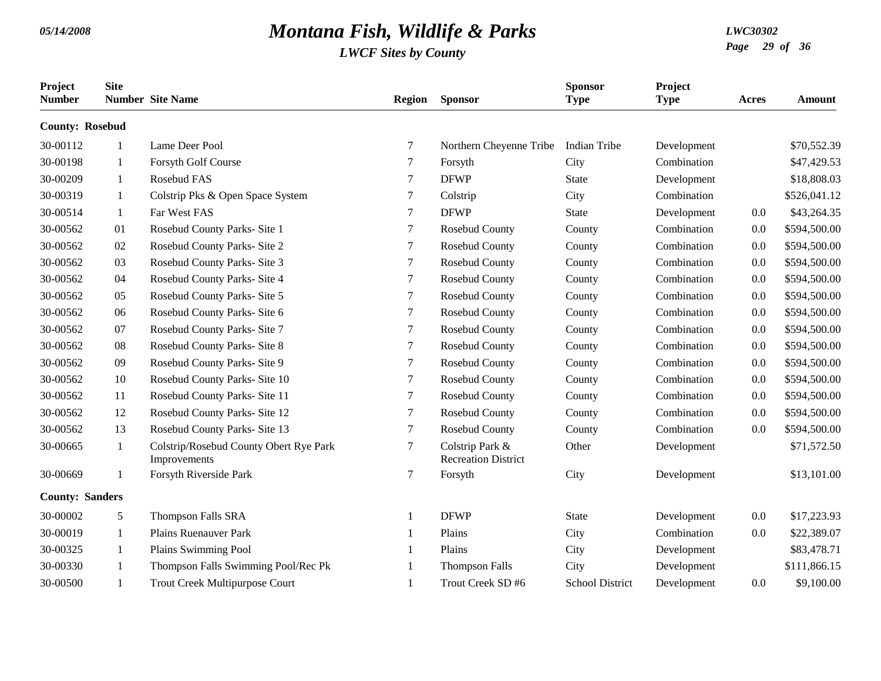| Project<br><b>Number</b> | <b>Site</b>  | <b>Number</b> Site Name                                | <b>Region</b> | <b>Sponsor</b>                                | <b>Sponsor</b><br><b>Type</b> | Project<br><b>Type</b> | Acres | <b>Amount</b> |
|--------------------------|--------------|--------------------------------------------------------|---------------|-----------------------------------------------|-------------------------------|------------------------|-------|---------------|
| <b>County: Rosebud</b>   |              |                                                        |               |                                               |                               |                        |       |               |
| 30-00112                 | -1           | Lame Deer Pool                                         | 7             | Northern Cheyenne Tribe                       | Indian Tribe                  | Development            |       | \$70,552.39   |
| 30-00198                 | 1            | Forsyth Golf Course                                    | 7             | Forsyth                                       | City                          | Combination            |       | \$47,429.53   |
| 30-00209                 | 1            | Rosebud FAS                                            | 7             | <b>DFWP</b>                                   | <b>State</b>                  | Development            |       | \$18,808.03   |
| 30-00319                 | -1           | Colstrip Pks & Open Space System                       | 7             | Colstrip                                      | City                          | Combination            |       | \$526,041.12  |
| 30-00514                 | 1            | Far West FAS                                           | 7             | <b>DFWP</b>                                   | <b>State</b>                  | Development            | 0.0   | \$43,264.35   |
| 30-00562                 | 01           | Rosebud County Parks- Site 1                           | 7             | Rosebud County                                | County                        | Combination            | 0.0   | \$594,500.00  |
| 30-00562                 | 02           | Rosebud County Parks- Site 2                           | 7             | Rosebud County                                | County                        | Combination            | 0.0   | \$594,500.00  |
| 30-00562                 | 03           | Rosebud County Parks- Site 3                           | 7             | Rosebud County                                | County                        | Combination            | 0.0   | \$594,500.00  |
| 30-00562                 | 04           | Rosebud County Parks- Site 4                           | 7             | Rosebud County                                | County                        | Combination            | 0.0   | \$594,500.00  |
| 30-00562                 | 05           | Rosebud County Parks- Site 5                           | 7             | Rosebud County                                | County                        | Combination            | 0.0   | \$594,500.00  |
| 30-00562                 | 06           | Rosebud County Parks- Site 6                           | 7             | Rosebud County                                | County                        | Combination            | 0.0   | \$594,500.00  |
| 30-00562                 | 07           | Rosebud County Parks- Site 7                           | 7             | Rosebud County                                | County                        | Combination            | 0.0   | \$594,500.00  |
| 30-00562                 | 08           | Rosebud County Parks- Site 8                           | 7             | Rosebud County                                | County                        | Combination            | 0.0   | \$594,500.00  |
| 30-00562                 | 09           | Rosebud County Parks- Site 9                           | 7             | Rosebud County                                | County                        | Combination            | 0.0   | \$594,500.00  |
| 30-00562                 | 10           | Rosebud County Parks- Site 10                          | 7             | Rosebud County                                | County                        | Combination            | 0.0   | \$594,500.00  |
| 30-00562                 | 11           | Rosebud County Parks- Site 11                          | 7             | Rosebud County                                | County                        | Combination            | 0.0   | \$594,500.00  |
| 30-00562                 | 12           | Rosebud County Parks- Site 12                          | 7             | Rosebud County                                | County                        | Combination            | 0.0   | \$594,500.00  |
| 30-00562                 | 13           | Rosebud County Parks- Site 13                          | 7             | Rosebud County                                | County                        | Combination            | 0.0   | \$594,500.00  |
| 30-00665                 | $\mathbf{1}$ | Colstrip/Rosebud County Obert Rye Park<br>Improvements | $\tau$        | Colstrip Park &<br><b>Recreation District</b> | Other                         | Development            |       | \$71,572.50   |
| 30-00669                 | -1           | Forsyth Riverside Park                                 | 7             | Forsyth                                       | City                          | Development            |       | \$13,101.00   |
| <b>County: Sanders</b>   |              |                                                        |               |                                               |                               |                        |       |               |
| 30-00002                 | 5            | <b>Thompson Falls SRA</b>                              | -1            | <b>DFWP</b>                                   | <b>State</b>                  | Development            | 0.0   | \$17,223.93   |
| 30-00019                 | 1            | <b>Plains Ruenauver Park</b>                           |               | Plains                                        | City                          | Combination            | 0.0   | \$22,389.07   |
| 30-00325                 | 1            | Plains Swimming Pool                                   |               | Plains                                        | City                          | Development            |       | \$83,478.71   |
| 30-00330                 |              | Thompson Falls Swimming Pool/Rec Pk                    |               | <b>Thompson Falls</b>                         | City                          | Development            |       | \$111,866.15  |
| 30-00500                 | $\mathbf{1}$ | <b>Trout Creek Multipurpose Court</b>                  |               | Trout Creek SD #6                             | <b>School District</b>        | Development            | 0.0   | \$9,100.00    |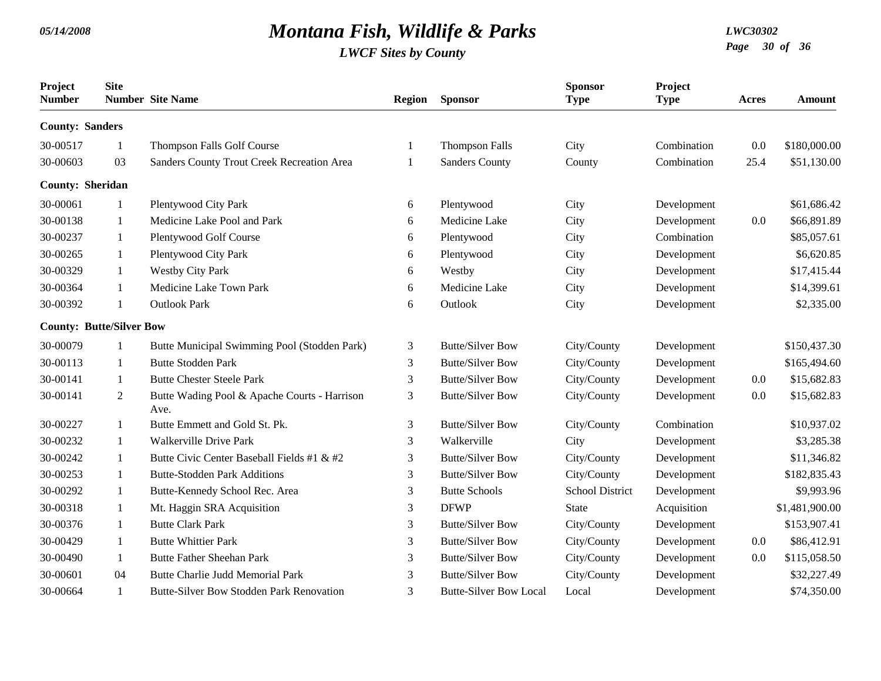| Project<br><b>Number</b> | <b>Site</b>                     | <b>Number</b> Site Name                              | <b>Region</b>  | <b>Sponsor</b>                | <b>Sponsor</b><br><b>Type</b> | Project<br><b>Type</b> | <b>Acres</b> | Amount         |
|--------------------------|---------------------------------|------------------------------------------------------|----------------|-------------------------------|-------------------------------|------------------------|--------------|----------------|
| <b>County: Sanders</b>   |                                 |                                                      |                |                               |                               |                        |              |                |
| 30-00517                 | -1                              | Thompson Falls Golf Course                           | 1              | <b>Thompson Falls</b>         | City                          | Combination            | 0.0          | \$180,000.00   |
| 30-00603                 | 03                              | Sanders County Trout Creek Recreation Area           | -1             | <b>Sanders County</b>         | County                        | Combination            | 25.4         | \$51,130.00    |
| <b>County: Sheridan</b>  |                                 |                                                      |                |                               |                               |                        |              |                |
| 30-00061                 | -1                              | Plentywood City Park                                 | 6              | Plentywood                    | City                          | Development            |              | \$61,686.42    |
| 30-00138                 | 1                               | Medicine Lake Pool and Park                          | 6              | Medicine Lake                 | City                          | Development            | 0.0          | \$66,891.89    |
| 30-00237                 | 1                               | Plentywood Golf Course                               | 6              | Plentywood                    | City                          | Combination            |              | \$85,057.61    |
| 30-00265                 | 1                               | Plentywood City Park                                 | 6              | Plentywood                    | City                          | Development            |              | \$6,620.85     |
| 30-00329                 | $\mathbf{1}$                    | <b>Westby City Park</b>                              | 6              | Westby                        | City                          | Development            |              | \$17,415.44    |
| 30-00364                 | 1                               | Medicine Lake Town Park                              | 6              | Medicine Lake                 | City                          | Development            |              | \$14,399.61    |
| 30-00392                 | 1                               | <b>Outlook Park</b>                                  | 6              | Outlook                       | City                          | Development            |              | \$2,335.00     |
|                          | <b>County: Butte/Silver Bow</b> |                                                      |                |                               |                               |                        |              |                |
| 30-00079                 |                                 | Butte Municipal Swimming Pool (Stodden Park)         | 3              | <b>Butte/Silver Bow</b>       | City/County                   | Development            |              | \$150,437.30   |
| 30-00113                 | 1                               | <b>Butte Stodden Park</b>                            | 3              | <b>Butte/Silver Bow</b>       | City/County                   | Development            |              | \$165,494.60   |
| 30-00141                 | $\mathbf{1}$                    | <b>Butte Chester Steele Park</b>                     | 3              | <b>Butte/Silver Bow</b>       | City/County                   | Development            | 0.0          | \$15,682.83    |
| 30-00141                 | $\overline{2}$                  | Butte Wading Pool & Apache Courts - Harrison<br>Ave. | $\mathfrak{Z}$ | <b>Butte/Silver Bow</b>       | City/County                   | Development            | 0.0          | \$15,682.83    |
| 30-00227                 | 1                               | Butte Emmett and Gold St. Pk.                        | 3              | <b>Butte/Silver Bow</b>       | City/County                   | Combination            |              | \$10,937.02    |
| 30-00232                 | $\mathbf{1}$                    | <b>Walkerville Drive Park</b>                        | 3              | Walkerville                   | City                          | Development            |              | \$3,285.38     |
| 30-00242                 | 1                               | Butte Civic Center Baseball Fields #1 & #2           | 3              | <b>Butte/Silver Bow</b>       | City/County                   | Development            |              | \$11,346.82    |
| 30-00253                 | 1                               | <b>Butte-Stodden Park Additions</b>                  | 3              | <b>Butte/Silver Bow</b>       | City/County                   | Development            |              | \$182,835.43   |
| 30-00292                 | 1                               | Butte-Kennedy School Rec. Area                       | 3              | <b>Butte Schools</b>          | <b>School District</b>        | Development            |              | \$9,993.96     |
| 30-00318                 | 1                               | Mt. Haggin SRA Acquisition                           | 3              | <b>DFWP</b>                   | <b>State</b>                  | Acquisition            |              | \$1,481,900.00 |
| 30-00376                 | 1                               | <b>Butte Clark Park</b>                              | 3              | <b>Butte/Silver Bow</b>       | City/County                   | Development            |              | \$153,907.41   |
| 30-00429                 | 1                               | <b>Butte Whittier Park</b>                           | 3              | <b>Butte/Silver Bow</b>       | City/County                   | Development            | 0.0          | \$86,412.91    |
| 30-00490                 | 1                               | <b>Butte Father Sheehan Park</b>                     | 3              | <b>Butte/Silver Bow</b>       | City/County                   | Development            | 0.0          | \$115,058.50   |
| 30-00601                 | 04                              | <b>Butte Charlie Judd Memorial Park</b>              | 3              | <b>Butte/Silver Bow</b>       | City/County                   | Development            |              | \$32,227.49    |
| 30-00664                 | $\mathbf{1}$                    | Butte-Silver Bow Stodden Park Renovation             | 3              | <b>Butte-Silver Bow Local</b> | Local                         | Development            |              | \$74,350.00    |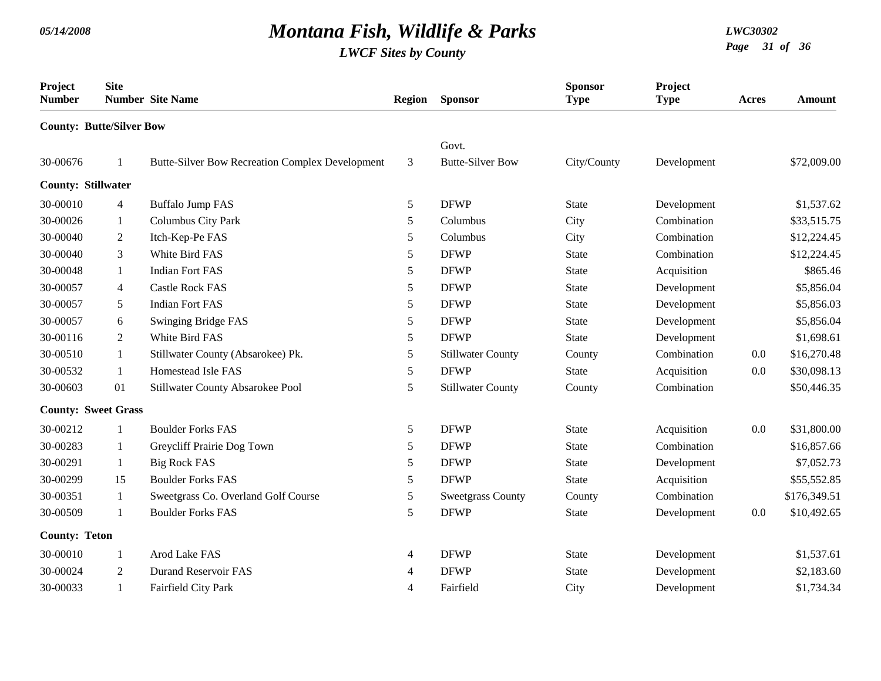| Project<br><b>Number</b>        | <b>Site</b>    | <b>Number</b> Site Name                                | <b>Region</b> | <b>Sponsor</b>           | <b>Sponsor</b><br><b>Type</b> | Project<br><b>Type</b> | Acres | <b>Amount</b> |
|---------------------------------|----------------|--------------------------------------------------------|---------------|--------------------------|-------------------------------|------------------------|-------|---------------|
| <b>County: Butte/Silver Bow</b> |                |                                                        |               |                          |                               |                        |       |               |
|                                 |                |                                                        |               | Govt.                    |                               |                        |       |               |
| 30-00676                        |                | <b>Butte-Silver Bow Recreation Complex Development</b> | 3             | <b>Butte-Silver Bow</b>  | City/County                   | Development            |       | \$72,009.00   |
| <b>County: Stillwater</b>       |                |                                                        |               |                          |                               |                        |       |               |
| 30-00010                        | 4              | <b>Buffalo Jump FAS</b>                                | 5             | <b>DFWP</b>              | <b>State</b>                  | Development            |       | \$1,537.62    |
| 30-00026                        | $\mathbf{1}$   | Columbus City Park                                     | 5             | Columbus                 | City                          | Combination            |       | \$33,515.75   |
| 30-00040                        | $\overline{2}$ | Itch-Kep-Pe FAS                                        | 5             | Columbus                 | City                          | Combination            |       | \$12,224.45   |
| 30-00040                        | 3              | White Bird FAS                                         | 5             | <b>DFWP</b>              | <b>State</b>                  | Combination            |       | \$12,224.45   |
| 30-00048                        | $\mathbf{1}$   | <b>Indian Fort FAS</b>                                 | $\sqrt{5}$    | <b>DFWP</b>              | <b>State</b>                  | Acquisition            |       | \$865.46      |
| 30-00057                        | 4              | <b>Castle Rock FAS</b>                                 | 5             | <b>DFWP</b>              | <b>State</b>                  | Development            |       | \$5,856.04    |
| 30-00057                        | 5              | <b>Indian Fort FAS</b>                                 | 5             | <b>DFWP</b>              | <b>State</b>                  | Development            |       | \$5,856.03    |
| 30-00057                        | 6              | Swinging Bridge FAS                                    | $\sqrt{5}$    | <b>DFWP</b>              | <b>State</b>                  | Development            |       | \$5,856.04    |
| 30-00116                        | $\overline{2}$ | White Bird FAS                                         | 5             | <b>DFWP</b>              | <b>State</b>                  | Development            |       | \$1,698.61    |
| 30-00510                        | $\mathbf{1}$   | Stillwater County (Absarokee) Pk.                      | 5             | <b>Stillwater County</b> | County                        | Combination            | 0.0   | \$16,270.48   |
| 30-00532                        | $\mathbf{1}$   | Homestead Isle FAS                                     | 5             | <b>DFWP</b>              | <b>State</b>                  | Acquisition            | 0.0   | \$30,098.13   |
| 30-00603                        | 01             | Stillwater County Absarokee Pool                       | 5             | <b>Stillwater County</b> | County                        | Combination            |       | \$50,446.35   |
| <b>County: Sweet Grass</b>      |                |                                                        |               |                          |                               |                        |       |               |
| 30-00212                        | 1              | <b>Boulder Forks FAS</b>                               | 5             | <b>DFWP</b>              | <b>State</b>                  | Acquisition            | 0.0   | \$31,800.00   |
| 30-00283                        | 1              | Greycliff Prairie Dog Town                             | 5             | <b>DFWP</b>              | <b>State</b>                  | Combination            |       | \$16,857.66   |
| 30-00291                        | $\mathbf{1}$   | <b>Big Rock FAS</b>                                    | 5             | <b>DFWP</b>              | <b>State</b>                  | Development            |       | \$7,052.73    |
| 30-00299                        | 15             | <b>Boulder Forks FAS</b>                               | 5             | <b>DFWP</b>              | <b>State</b>                  | Acquisition            |       | \$55,552.85   |
| 30-00351                        | $\mathbf{1}$   | Sweetgrass Co. Overland Golf Course                    | 5             | <b>Sweetgrass County</b> | County                        | Combination            |       | \$176,349.51  |
| 30-00509                        | $\mathbf{1}$   | <b>Boulder Forks FAS</b>                               | 5             | <b>DFWP</b>              | <b>State</b>                  | Development            | 0.0   | \$10,492.65   |
| <b>County: Teton</b>            |                |                                                        |               |                          |                               |                        |       |               |
| 30-00010                        | 1              | Arod Lake FAS                                          | 4             | <b>DFWP</b>              | <b>State</b>                  | Development            |       | \$1,537.61    |
| 30-00024                        | 2              | <b>Durand Reservoir FAS</b>                            | 4             | <b>DFWP</b>              | <b>State</b>                  | Development            |       | \$2,183.60    |
| 30-00033                        | $\mathbf{1}$   | Fairfield City Park                                    | 4             | Fairfield                | City                          | Development            |       | \$1,734.34    |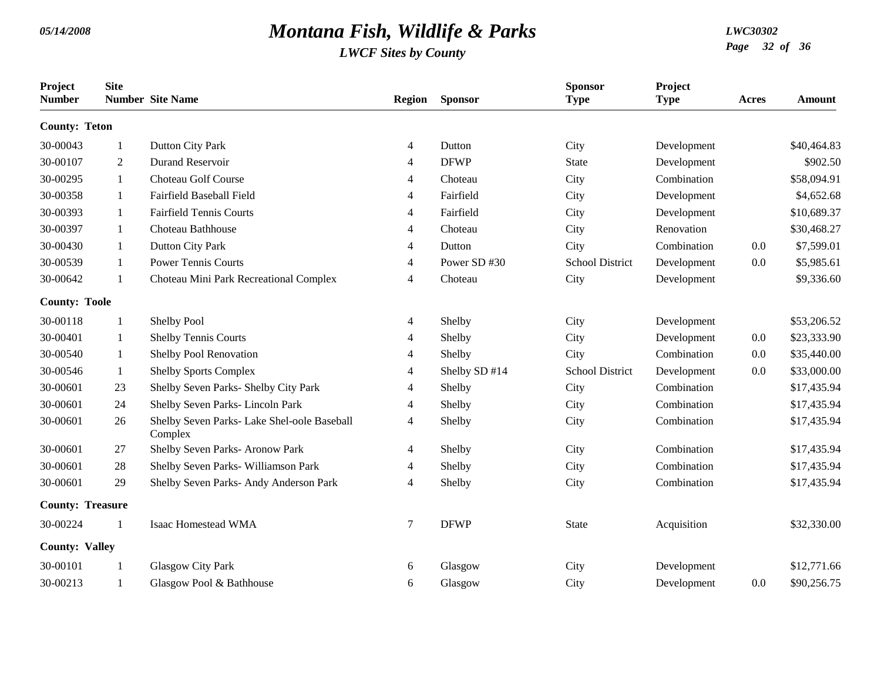| Project<br><b>Number</b> | <b>Site</b>    | <b>Number</b> Site Name                                | <b>Region</b> | <b>Sponsor</b> | <b>Sponsor</b><br><b>Type</b> | Project<br><b>Type</b> | <b>Acres</b> | <b>Amount</b> |
|--------------------------|----------------|--------------------------------------------------------|---------------|----------------|-------------------------------|------------------------|--------------|---------------|
| <b>County: Teton</b>     |                |                                                        |               |                |                               |                        |              |               |
| 30-00043                 | 1              | Dutton City Park                                       | 4             | Dutton         | City                          | Development            |              | \$40,464.83   |
| 30-00107                 | $\overline{2}$ | <b>Durand Reservoir</b>                                | 4             | <b>DFWP</b>    | <b>State</b>                  | Development            |              | \$902.50      |
| 30-00295                 | 1              | Choteau Golf Course                                    | 4             | Choteau        | City                          | Combination            |              | \$58,094.91   |
| 30-00358                 | 1              | Fairfield Baseball Field                               | 4             | Fairfield      | City                          | Development            |              | \$4,652.68    |
| 30-00393                 | 1              | <b>Fairfield Tennis Courts</b>                         | 4             | Fairfield      | City                          | Development            |              | \$10,689.37   |
| 30-00397                 | 1              | Choteau Bathhouse                                      | 4             | Choteau        | City                          | Renovation             |              | \$30,468.27   |
| 30-00430                 | -1             | <b>Dutton City Park</b>                                | 4             | Dutton         | City                          | Combination            | 0.0          | \$7,599.01    |
| 30-00539                 | 1              | <b>Power Tennis Courts</b>                             | 4             | Power SD #30   | School District               | Development            | 0.0          | \$5,985.61    |
| 30-00642                 | $\mathbf{1}$   | Choteau Mini Park Recreational Complex                 | 4             | Choteau        | City                          | Development            |              | \$9,336.60    |
| <b>County: Toole</b>     |                |                                                        |               |                |                               |                        |              |               |
| 30-00118                 | -1             | Shelby Pool                                            | 4             | Shelby         | City                          | Development            |              | \$53,206.52   |
| 30-00401                 | $\mathbf{1}$   | <b>Shelby Tennis Courts</b>                            | 4             | Shelby         | City                          | Development            | 0.0          | \$23,333.90   |
| 30-00540                 | -1             | Shelby Pool Renovation                                 | 4             | Shelby         | City                          | Combination            | 0.0          | \$35,440.00   |
| 30-00546                 | 1              | <b>Shelby Sports Complex</b>                           | 4             | Shelby SD #14  | <b>School District</b>        | Development            | 0.0          | \$33,000.00   |
| 30-00601                 | 23             | Shelby Seven Parks- Shelby City Park                   | 4             | Shelby         | City                          | Combination            |              | \$17,435.94   |
| 30-00601                 | 24             | Shelby Seven Parks-Lincoln Park                        | 4             | Shelby         | City                          | Combination            |              | \$17,435.94   |
| 30-00601                 | 26             | Shelby Seven Parks- Lake Shel-oole Baseball<br>Complex | 4             | Shelby         | City                          | Combination            |              | \$17,435.94   |
| 30-00601                 | 27             | Shelby Seven Parks- Aronow Park                        | 4             | Shelby         | City                          | Combination            |              | \$17,435.94   |
| 30-00601                 | 28             | Shelby Seven Parks- Williamson Park                    | 4             | Shelby         | City                          | Combination            |              | \$17,435.94   |
| 30-00601                 | 29             | Shelby Seven Parks- Andy Anderson Park                 | 4             | Shelby         | City                          | Combination            |              | \$17,435.94   |
| <b>County: Treasure</b>  |                |                                                        |               |                |                               |                        |              |               |
| 30-00224                 | $\mathbf{1}$   | Isaac Homestead WMA                                    | $\tau$        | <b>DFWP</b>    | <b>State</b>                  | Acquisition            |              | \$32,330.00   |
| <b>County: Valley</b>    |                |                                                        |               |                |                               |                        |              |               |
| 30-00101                 |                | <b>Glasgow City Park</b>                               | 6             | Glasgow        | City                          | Development            |              | \$12,771.66   |
| 30-00213                 | -1             | Glasgow Pool & Bathhouse                               | 6             | Glasgow        | City                          | Development            | 0.0          | \$90,256.75   |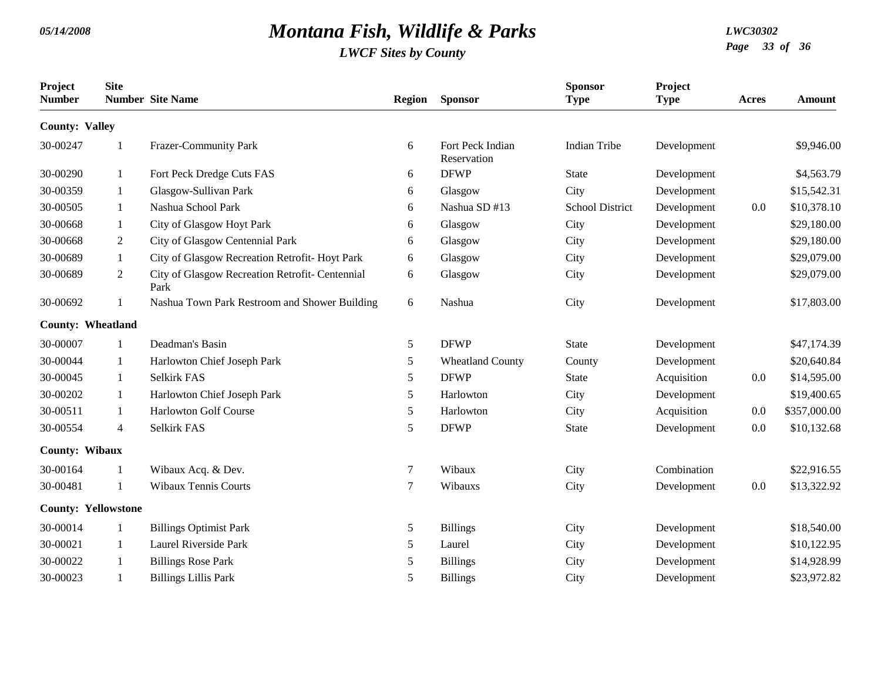| Project<br><b>Number</b> | <b>Site</b>                | <b>Number</b> Site Name                                 | Region | <b>Sponsor</b>                  | <b>Sponsor</b><br><b>Type</b> | Project<br><b>Type</b> | Acres | Amount       |
|--------------------------|----------------------------|---------------------------------------------------------|--------|---------------------------------|-------------------------------|------------------------|-------|--------------|
| <b>County: Valley</b>    |                            |                                                         |        |                                 |                               |                        |       |              |
| 30-00247                 |                            | Frazer-Community Park                                   | 6      | Fort Peck Indian<br>Reservation | <b>Indian Tribe</b>           | Development            |       | \$9,946.00   |
| 30-00290                 | 1                          | Fort Peck Dredge Cuts FAS                               | 6      | <b>DFWP</b>                     | <b>State</b>                  | Development            |       | \$4,563.79   |
| 30-00359                 | 1                          | Glasgow-Sullivan Park                                   | 6      | Glasgow                         | City                          | Development            |       | \$15,542.31  |
| 30-00505                 | 1                          | Nashua School Park                                      | 6      | Nashua SD #13                   | <b>School District</b>        | Development            | 0.0   | \$10,378.10  |
| 30-00668                 | 1                          | City of Glasgow Hoyt Park                               | 6      | Glasgow                         | City                          | Development            |       | \$29,180.00  |
| 30-00668                 | 2                          | City of Glasgow Centennial Park                         | 6      | Glasgow                         | City                          | Development            |       | \$29,180.00  |
| 30-00689                 | 1                          | City of Glasgow Recreation Retrofit-Hoyt Park           | 6      | Glasgow                         | City                          | Development            |       | \$29,079.00  |
| 30-00689                 | $\overline{2}$             | City of Glasgow Recreation Retrofit- Centennial<br>Park | 6      | Glasgow                         | City                          | Development            |       | \$29,079.00  |
| 30-00692                 |                            | Nashua Town Park Restroom and Shower Building           | 6      | Nashua                          | City                          | Development            |       | \$17,803.00  |
| <b>County: Wheatland</b> |                            |                                                         |        |                                 |                               |                        |       |              |
| 30-00007                 |                            | Deadman's Basin                                         | 5      | <b>DFWP</b>                     | State                         | Development            |       | \$47,174.39  |
| 30-00044                 | 1                          | Harlowton Chief Joseph Park                             | 5      | <b>Wheatland County</b>         | County                        | Development            |       | \$20,640.84  |
| 30-00045                 | 1                          | Selkirk FAS                                             | 5      | <b>DFWP</b>                     | <b>State</b>                  | Acquisition            | 0.0   | \$14,595.00  |
| 30-00202                 | 1                          | Harlowton Chief Joseph Park                             | 5      | Harlowton                       | City                          | Development            |       | \$19,400.65  |
| 30-00511                 | -1                         | <b>Harlowton Golf Course</b>                            | 5      | Harlowton                       | City                          | Acquisition            | 0.0   | \$357,000.00 |
| 30-00554                 | $\overline{4}$             | Selkirk FAS                                             | 5      | <b>DFWP</b>                     | <b>State</b>                  | Development            | 0.0   | \$10,132.68  |
| County: Wibaux           |                            |                                                         |        |                                 |                               |                        |       |              |
| 30-00164                 | 1                          | Wibaux Acq. & Dev.                                      | 7      | Wibaux                          | City                          | Combination            |       | \$22,916.55  |
| 30-00481                 | $\mathbf{1}$               | <b>Wibaux Tennis Courts</b>                             | 7      | Wibauxs                         | City                          | Development            | 0.0   | \$13,322.92  |
|                          | <b>County: Yellowstone</b> |                                                         |        |                                 |                               |                        |       |              |
| 30-00014                 |                            | <b>Billings Optimist Park</b>                           | 5      | <b>Billings</b>                 | City                          | Development            |       | \$18,540.00  |
| 30-00021                 | -1                         | Laurel Riverside Park                                   | 5      | Laurel                          | City                          | Development            |       | \$10,122.95  |
| 30-00022                 |                            | <b>Billings Rose Park</b>                               | 5      | <b>Billings</b>                 | City                          | Development            |       | \$14,928.99  |
| 30-00023                 | $\mathbf{1}$               | <b>Billings Lillis Park</b>                             | 5      | <b>Billings</b>                 | City                          | Development            |       | \$23,972.82  |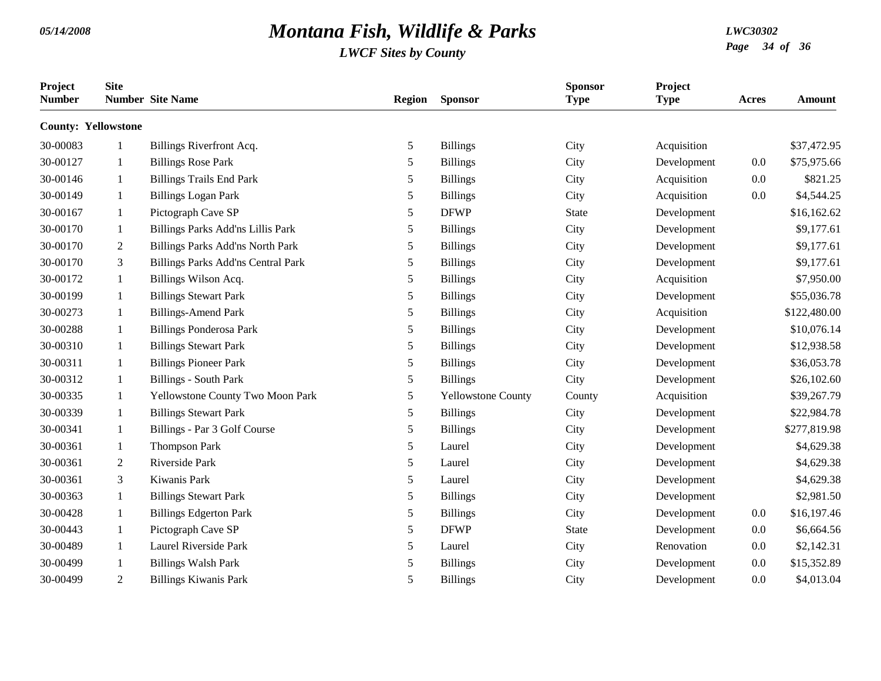| Project<br><b>Number</b>   | <b>Site</b>  | <b>Number</b> Site Name                   | <b>Region</b> | <b>Sponsor</b>            | <b>Sponsor</b><br><b>Type</b> | Project<br><b>Type</b> | Acres | Amount       |
|----------------------------|--------------|-------------------------------------------|---------------|---------------------------|-------------------------------|------------------------|-------|--------------|
| <b>County: Yellowstone</b> |              |                                           |               |                           |                               |                        |       |              |
| 30-00083                   | -1           | Billings Riverfront Acq.                  | 5             | <b>Billings</b>           | City                          | Acquisition            |       | \$37,472.95  |
| 30-00127                   | -1           | <b>Billings Rose Park</b>                 | 5             | <b>Billings</b>           | City                          | Development            | 0.0   | \$75,975.66  |
| 30-00146                   | -1           | <b>Billings Trails End Park</b>           | 5             | <b>Billings</b>           | City                          | Acquisition            | 0.0   | \$821.25     |
| 30-00149                   | 1            | <b>Billings Logan Park</b>                | 5             | <b>Billings</b>           | City                          | Acquisition            | 0.0   | \$4,544.25   |
| 30-00167                   | -1           | Pictograph Cave SP                        | 5             | <b>DFWP</b>               | <b>State</b>                  | Development            |       | \$16,162.62  |
| 30-00170                   | -1           | Billings Parks Add'ns Lillis Park         | 5             | <b>Billings</b>           | City                          | Development            |       | \$9,177.61   |
| 30-00170                   | 2            | <b>Billings Parks Add'ns North Park</b>   | 5             | <b>Billings</b>           | City                          | Development            |       | \$9,177.61   |
| 30-00170                   | 3            | <b>Billings Parks Add'ns Central Park</b> | 5             | <b>Billings</b>           | City                          | Development            |       | \$9,177.61   |
| 30-00172                   | 1            | Billings Wilson Acq.                      | 5             | <b>Billings</b>           | City                          | Acquisition            |       | \$7,950.00   |
| 30-00199                   | 1            | <b>Billings Stewart Park</b>              | 5             | <b>Billings</b>           | City                          | Development            |       | \$55,036.78  |
| 30-00273                   | -1           | <b>Billings-Amend Park</b>                | 5             | <b>Billings</b>           | City                          | Acquisition            |       | \$122,480.00 |
| 30-00288                   | 1            | <b>Billings Ponderosa Park</b>            | 5             | <b>Billings</b>           | City                          | Development            |       | \$10,076.14  |
| 30-00310                   | -1           | <b>Billings Stewart Park</b>              | 5             | <b>Billings</b>           | City                          | Development            |       | \$12,938.58  |
| 30-00311                   | -1           | <b>Billings Pioneer Park</b>              | 5             | <b>Billings</b>           | City                          | Development            |       | \$36,053.78  |
| 30-00312                   | -1           | <b>Billings - South Park</b>              | 5             | <b>Billings</b>           | City                          | Development            |       | \$26,102.60  |
| 30-00335                   | -1           | Yellowstone County Two Moon Park          | 5             | <b>Yellowstone County</b> | County                        | Acquisition            |       | \$39,267.79  |
| 30-00339                   | -1           | <b>Billings Stewart Park</b>              | 5             | <b>Billings</b>           | City                          | Development            |       | \$22,984.78  |
| 30-00341                   | -1           | Billings - Par 3 Golf Course              | 5             | <b>Billings</b>           | City                          | Development            |       | \$277,819.98 |
| 30-00361                   | 1            | <b>Thompson Park</b>                      | 5             | Laurel                    | City                          | Development            |       | \$4,629.38   |
| 30-00361                   | 2            | Riverside Park                            | 5             | Laurel                    | City                          | Development            |       | \$4,629.38   |
| 30-00361                   | 3            | Kiwanis Park                              | 5             | Laurel                    | City                          | Development            |       | \$4,629.38   |
| 30-00363                   | 1            | <b>Billings Stewart Park</b>              | 5             | <b>Billings</b>           | City                          | Development            |       | \$2,981.50   |
| 30-00428                   | $\mathbf{1}$ | <b>Billings Edgerton Park</b>             | 5             | <b>Billings</b>           | City                          | Development            | 0.0   | \$16,197.46  |
| 30-00443                   | -1           | Pictograph Cave SP                        | 5             | <b>DFWP</b>               | <b>State</b>                  | Development            | 0.0   | \$6,664.56   |
| 30-00489                   | -1           | Laurel Riverside Park                     | 5             | Laurel                    | City                          | Renovation             | 0.0   | \$2,142.31   |
| 30-00499                   | -1           | <b>Billings Walsh Park</b>                | 5             | <b>Billings</b>           | City                          | Development            | 0.0   | \$15,352.89  |
| 30-00499                   | 2            | <b>Billings Kiwanis Park</b>              | 5             | <b>Billings</b>           | City                          | Development            | 0.0   | \$4,013.04   |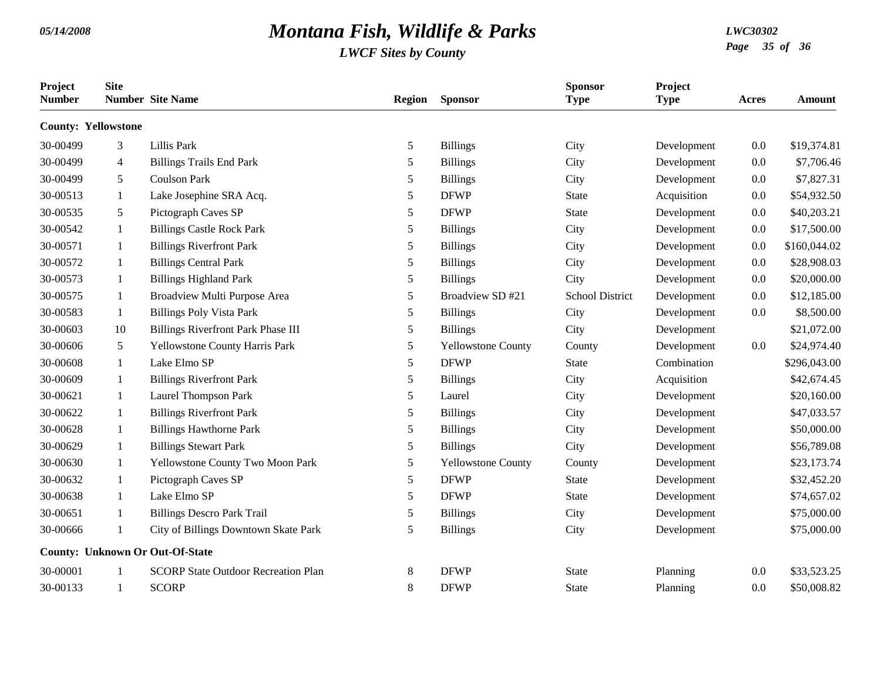| Project<br><b>Number</b>   | <b>Site</b>    | <b>Number</b> Site Name                    | <b>Region</b> | <b>Sponsor</b>            | <b>Sponsor</b><br><b>Type</b> | Project<br><b>Type</b> | Acres | Amount       |
|----------------------------|----------------|--------------------------------------------|---------------|---------------------------|-------------------------------|------------------------|-------|--------------|
| <b>County: Yellowstone</b> |                |                                            |               |                           |                               |                        |       |              |
| 30-00499                   | 3              | Lillis Park                                | 5             | <b>Billings</b>           | City                          | Development            | 0.0   | \$19,374.81  |
| 30-00499                   | $\overline{4}$ | <b>Billings Trails End Park</b>            | 5             | <b>Billings</b>           | City                          | Development            | 0.0   | \$7,706.46   |
| 30-00499                   | 5              | <b>Coulson Park</b>                        | 5             | <b>Billings</b>           | City                          | Development            | 0.0   | \$7,827.31   |
| 30-00513                   | $\mathbf{1}$   | Lake Josephine SRA Acq.                    | 5             | <b>DFWP</b>               | <b>State</b>                  | Acquisition            | 0.0   | \$54,932.50  |
| 30-00535                   | 5              | Pictograph Caves SP                        | 5             | <b>DFWP</b>               | <b>State</b>                  | Development            | 0.0   | \$40,203.21  |
| 30-00542                   | $\mathbf{1}$   | <b>Billings Castle Rock Park</b>           | $\mathfrak s$ | <b>Billings</b>           | City                          | Development            | 0.0   | \$17,500.00  |
| 30-00571                   | 1              | <b>Billings Riverfront Park</b>            | 5             | <b>Billings</b>           | City                          | Development            | 0.0   | \$160,044.02 |
| 30-00572                   | 1              | <b>Billings Central Park</b>               | 5             | <b>Billings</b>           | City                          | Development            | 0.0   | \$28,908.03  |
| 30-00573                   | 1              | <b>Billings Highland Park</b>              | 5             | <b>Billings</b>           | City                          | Development            | 0.0   | \$20,000.00  |
| 30-00575                   | 1              | Broadview Multi Purpose Area               | 5             | Broadview SD #21          | <b>School District</b>        | Development            | 0.0   | \$12,185.00  |
| 30-00583                   | 1              | <b>Billings Poly Vista Park</b>            | 5             | <b>Billings</b>           | City                          | Development            | 0.0   | \$8,500.00   |
| 30-00603                   | 10             | <b>Billings Riverfront Park Phase III</b>  | 5             | <b>Billings</b>           | City                          | Development            |       | \$21,072.00  |
| 30-00606                   | 5              | Yellowstone County Harris Park             | 5             | <b>Yellowstone County</b> | County                        | Development            | 0.0   | \$24,974.40  |
| 30-00608                   | 1              | Lake Elmo SP                               | 5             | <b>DFWP</b>               | <b>State</b>                  | Combination            |       | \$296,043.00 |
| 30-00609                   | 1              | <b>Billings Riverfront Park</b>            | 5             | <b>Billings</b>           | City                          | Acquisition            |       | \$42,674.45  |
| 30-00621                   | 1              | Laurel Thompson Park                       | $\mathfrak s$ | Laurel                    | City                          | Development            |       | \$20,160.00  |
| 30-00622                   | 1              | <b>Billings Riverfront Park</b>            | 5             | <b>Billings</b>           | City                          | Development            |       | \$47,033.57  |
| 30-00628                   | 1              | <b>Billings Hawthorne Park</b>             | 5             | <b>Billings</b>           | City                          | Development            |       | \$50,000.00  |
| 30-00629                   | 1              | <b>Billings Stewart Park</b>               | 5             | <b>Billings</b>           | City                          | Development            |       | \$56,789.08  |
| 30-00630                   | 1              | Yellowstone County Two Moon Park           | 5             | <b>Yellowstone County</b> | County                        | Development            |       | \$23,173.74  |
| 30-00632                   | 1              | Pictograph Caves SP                        | 5             | <b>DFWP</b>               | <b>State</b>                  | Development            |       | \$32,452.20  |
| 30-00638                   | 1              | Lake Elmo SP                               | 5             | <b>DFWP</b>               | <b>State</b>                  | Development            |       | \$74,657.02  |
| 30-00651                   | 1              | <b>Billings Descro Park Trail</b>          | 5             | <b>Billings</b>           | City                          | Development            |       | \$75,000.00  |
| 30-00666                   | $\mathbf{1}$   | City of Billings Downtown Skate Park       | 5             | <b>Billings</b>           | City                          | Development            |       | \$75,000.00  |
|                            |                | <b>County: Unknown Or Out-Of-State</b>     |               |                           |                               |                        |       |              |
| 30-00001                   |                | <b>SCORP State Outdoor Recreation Plan</b> | 8             | <b>DFWP</b>               | <b>State</b>                  | Planning               | 0.0   | \$33,523.25  |
| 30-00133                   | 1              | <b>SCORP</b>                               | 8             | <b>DFWP</b>               | <b>State</b>                  | Planning               | 0.0   | \$50,008.82  |